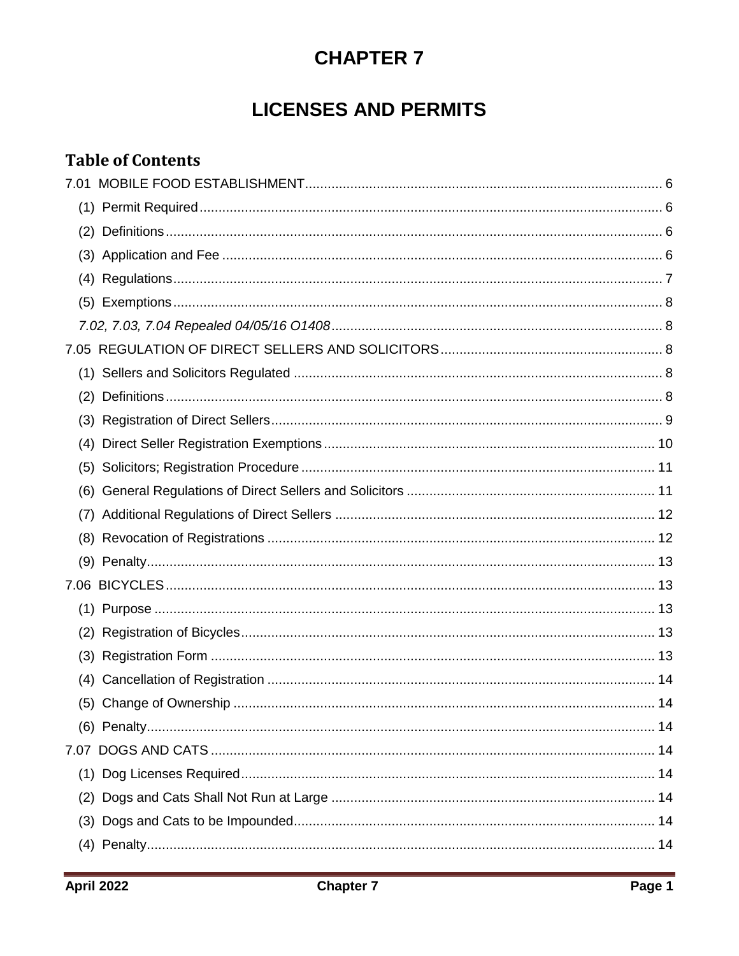# **CHAPTER 7**

# **LICENSES AND PERMITS**

## **Table of Contents**

| (1) |  |
|-----|--|
| (2) |  |
| (3) |  |
|     |  |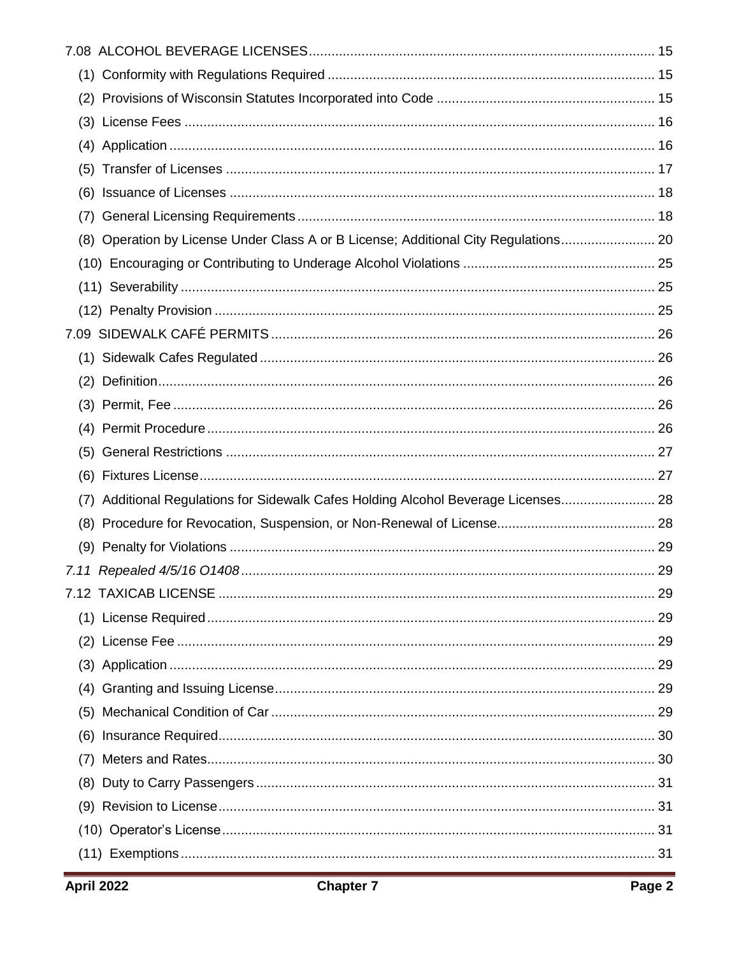| (8) Operation by License Under Class A or B License; Additional City Regulations 20 |  |
|-------------------------------------------------------------------------------------|--|
|                                                                                     |  |
|                                                                                     |  |
|                                                                                     |  |
|                                                                                     |  |
|                                                                                     |  |
|                                                                                     |  |
|                                                                                     |  |
|                                                                                     |  |
|                                                                                     |  |
|                                                                                     |  |
| (7) Additional Regulations for Sidewalk Cafes Holding Alcohol Beverage Licenses 28  |  |
|                                                                                     |  |
|                                                                                     |  |
|                                                                                     |  |
|                                                                                     |  |
|                                                                                     |  |
|                                                                                     |  |
|                                                                                     |  |
|                                                                                     |  |
|                                                                                     |  |
|                                                                                     |  |
|                                                                                     |  |
|                                                                                     |  |
|                                                                                     |  |
|                                                                                     |  |
|                                                                                     |  |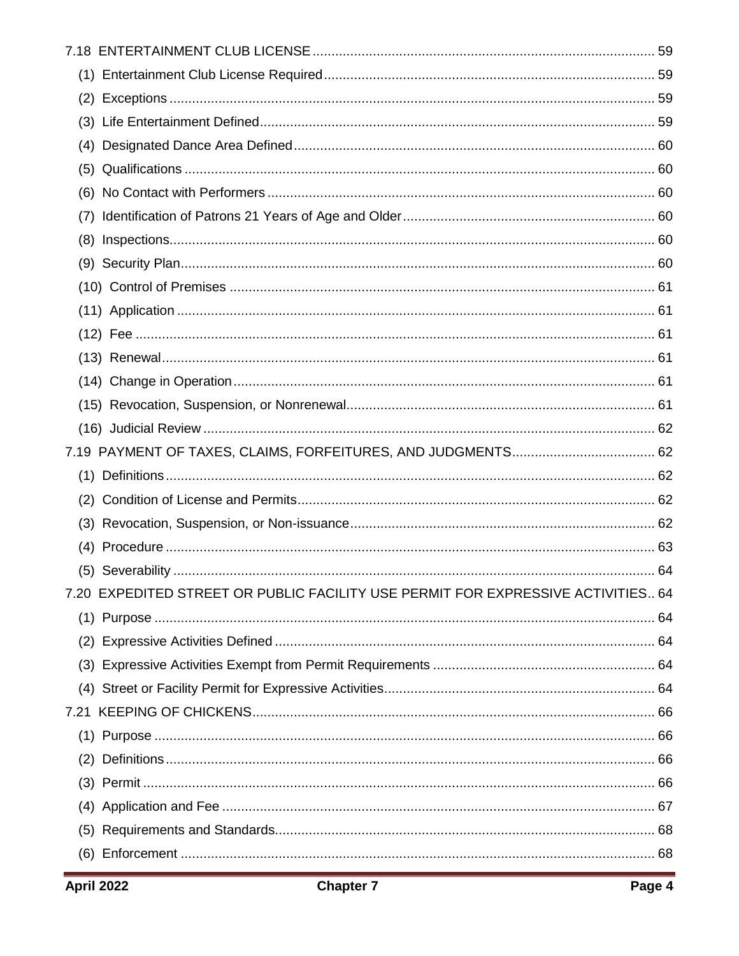| (7)                                                                              |  |
|----------------------------------------------------------------------------------|--|
|                                                                                  |  |
|                                                                                  |  |
|                                                                                  |  |
|                                                                                  |  |
|                                                                                  |  |
|                                                                                  |  |
|                                                                                  |  |
|                                                                                  |  |
|                                                                                  |  |
|                                                                                  |  |
|                                                                                  |  |
|                                                                                  |  |
|                                                                                  |  |
|                                                                                  |  |
|                                                                                  |  |
| 7.20 EXPEDITED STREET OR PUBLIC FACILITY USE PERMIT FOR EXPRESSIVE ACTIVITIES 64 |  |
|                                                                                  |  |
|                                                                                  |  |
|                                                                                  |  |
|                                                                                  |  |
|                                                                                  |  |
|                                                                                  |  |
|                                                                                  |  |
|                                                                                  |  |
|                                                                                  |  |
|                                                                                  |  |
|                                                                                  |  |
|                                                                                  |  |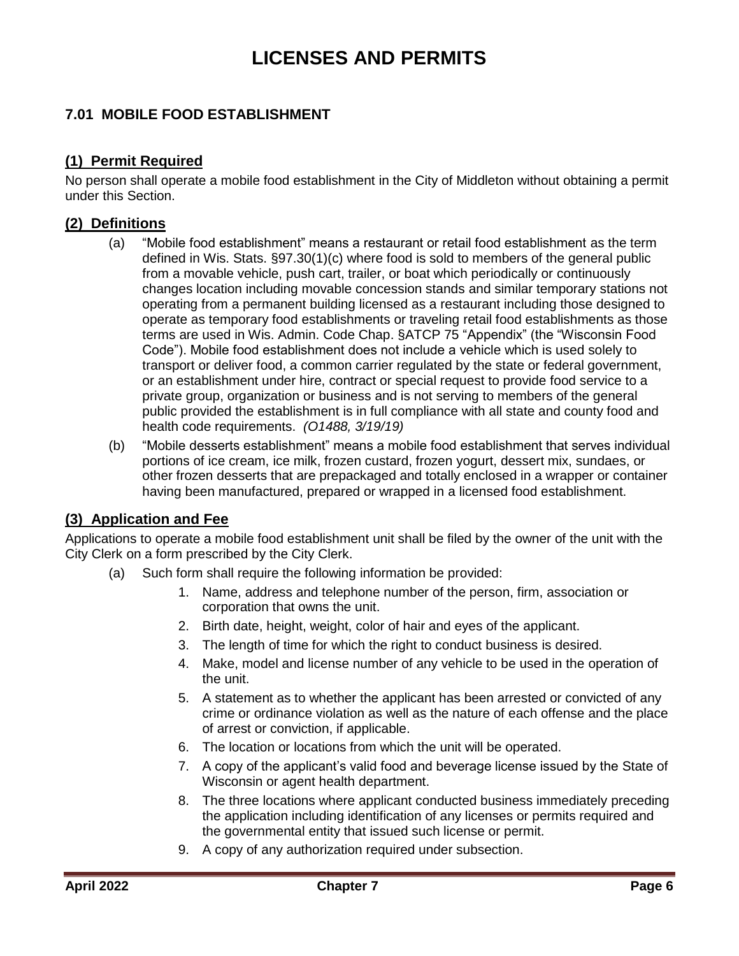# **LICENSES AND PERMITS**

## <span id="page-5-0"></span>**7.01 MOBILE FOOD ESTABLISHMENT**

### <span id="page-5-1"></span>**(1) Permit Required**

No person shall operate a mobile food establishment in the City of Middleton without obtaining a permit under this Section.

### <span id="page-5-2"></span>**(2) Definitions**

- (a) "Mobile food establishment" means a restaurant or retail food establishment as the term defined in Wis. Stats. §97.30(1)(c) where food is sold to members of the general public from a movable vehicle, push cart, trailer, or boat which periodically or continuously changes location including movable concession stands and similar temporary stations not operating from a permanent building licensed as a restaurant including those designed to operate as temporary food establishments or traveling retail food establishments as those terms are used in Wis. Admin. Code Chap. §ATCP 75 "Appendix" (the "Wisconsin Food Code"). Mobile food establishment does not include a vehicle which is used solely to transport or deliver food, a common carrier regulated by the state or federal government, or an establishment under hire, contract or special request to provide food service to a private group, organization or business and is not serving to members of the general public provided the establishment is in full compliance with all state and county food and health code requirements. *(O1488, 3/19/19)*
- (b) "Mobile desserts establishment" means a mobile food establishment that serves individual portions of ice cream, ice milk, frozen custard, frozen yogurt, dessert mix, sundaes, or other frozen desserts that are prepackaged and totally enclosed in a wrapper or container having been manufactured, prepared or wrapped in a licensed food establishment.

#### <span id="page-5-3"></span>**(3) Application and Fee**

Applications to operate a mobile food establishment unit shall be filed by the owner of the unit with the City Clerk on a form prescribed by the City Clerk.

- (a) Such form shall require the following information be provided:
	- 1. Name, address and telephone number of the person, firm, association or corporation that owns the unit.
	- 2. Birth date, height, weight, color of hair and eyes of the applicant.
	- 3. The length of time for which the right to conduct business is desired.
	- 4. Make, model and license number of any vehicle to be used in the operation of the unit.
	- 5. A statement as to whether the applicant has been arrested or convicted of any crime or ordinance violation as well as the nature of each offense and the place of arrest or conviction, if applicable.
	- 6. The location or locations from which the unit will be operated.
	- 7. A copy of the applicant's valid food and beverage license issued by the State of Wisconsin or agent health department.
	- 8. The three locations where applicant conducted business immediately preceding the application including identification of any licenses or permits required and the governmental entity that issued such license or permit.
	- 9. A copy of any authorization required under subsection.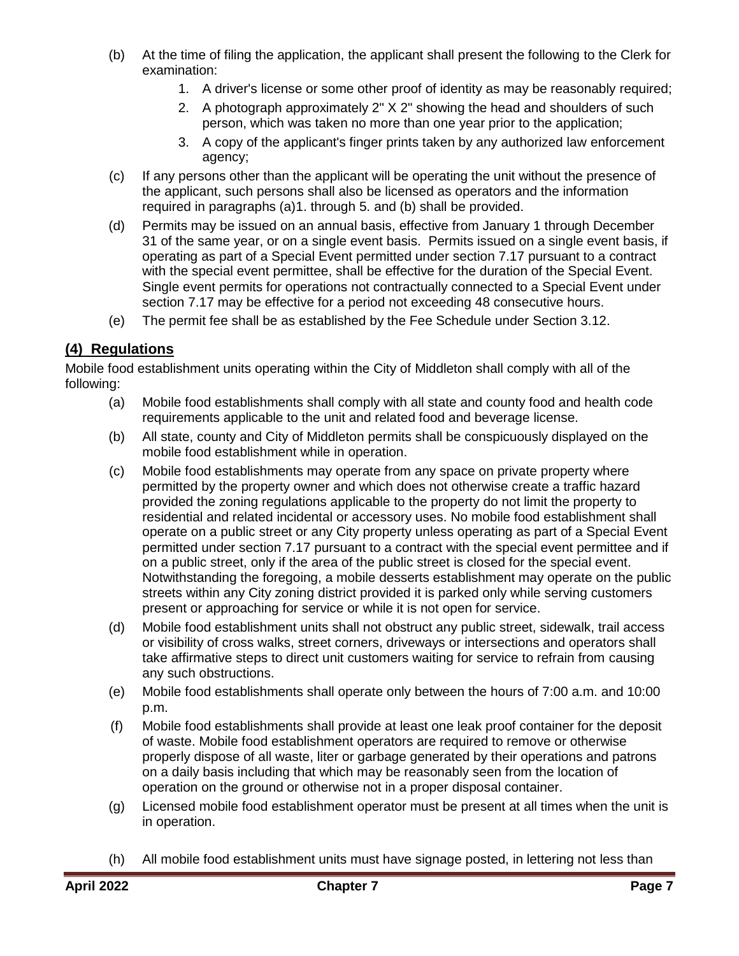- (b) At the time of filing the application, the applicant shall present the following to the Clerk for examination:
	- 1. A driver's license or some other proof of identity as may be reasonably required;
	- 2. A photograph approximately 2" X 2" showing the head and shoulders of such person, which was taken no more than one year prior to the application;
	- 3. A copy of the applicant's finger prints taken by any authorized law enforcement agency;
- (c) If any persons other than the applicant will be operating the unit without the presence of the applicant, such persons shall also be licensed as operators and the information required in paragraphs (a)1. through 5. and (b) shall be provided.
- (d) Permits may be issued on an annual basis, effective from January 1 through December 31 of the same year, or on a single event basis. Permits issued on a single event basis, if operating as part of a Special Event permitted under section 7.17 pursuant to a contract with the special event permittee, shall be effective for the duration of the Special Event. Single event permits for operations not contractually connected to a Special Event under section 7.17 may be effective for a period not exceeding 48 consecutive hours.
- (e) The permit fee shall be as established by the Fee Schedule under Section 3.12.

## <span id="page-6-0"></span>**(4) Regulations**

Mobile food establishment units operating within the City of Middleton shall comply with all of the following:

- (a) Mobile food establishments shall comply with all state and county food and health code requirements applicable to the unit and related food and beverage license.
- (b) All state, county and City of Middleton permits shall be conspicuously displayed on the mobile food establishment while in operation.
- (c) Mobile food establishments may operate from any space on private property where permitted by the property owner and which does not otherwise create a traffic hazard provided the zoning regulations applicable to the property do not limit the property to residential and related incidental or accessory uses. No mobile food establishment shall operate on a public street or any City property unless operating as part of a Special Event permitted under section 7.17 pursuant to a contract with the special event permittee and if on a public street, only if the area of the public street is closed for the special event. Notwithstanding the foregoing, a mobile desserts establishment may operate on the public streets within any City zoning district provided it is parked only while serving customers present or approaching for service or while it is not open for service.
- (d) Mobile food establishment units shall not obstruct any public street, sidewalk, trail access or visibility of cross walks, street corners, driveways or intersections and operators shall take affirmative steps to direct unit customers waiting for service to refrain from causing any such obstructions.
- (e) Mobile food establishments shall operate only between the hours of 7:00 a.m. and 10:00 p.m.
- (f) Mobile food establishments shall provide at least one leak proof container for the deposit of waste. Mobile food establishment operators are required to remove or otherwise properly dispose of all waste, liter or garbage generated by their operations and patrons on a daily basis including that which may be reasonably seen from the location of operation on the ground or otherwise not in a proper disposal container.
- (g) Licensed mobile food establishment operator must be present at all times when the unit is in operation.
- (h) All mobile food establishment units must have signage posted, in lettering not less than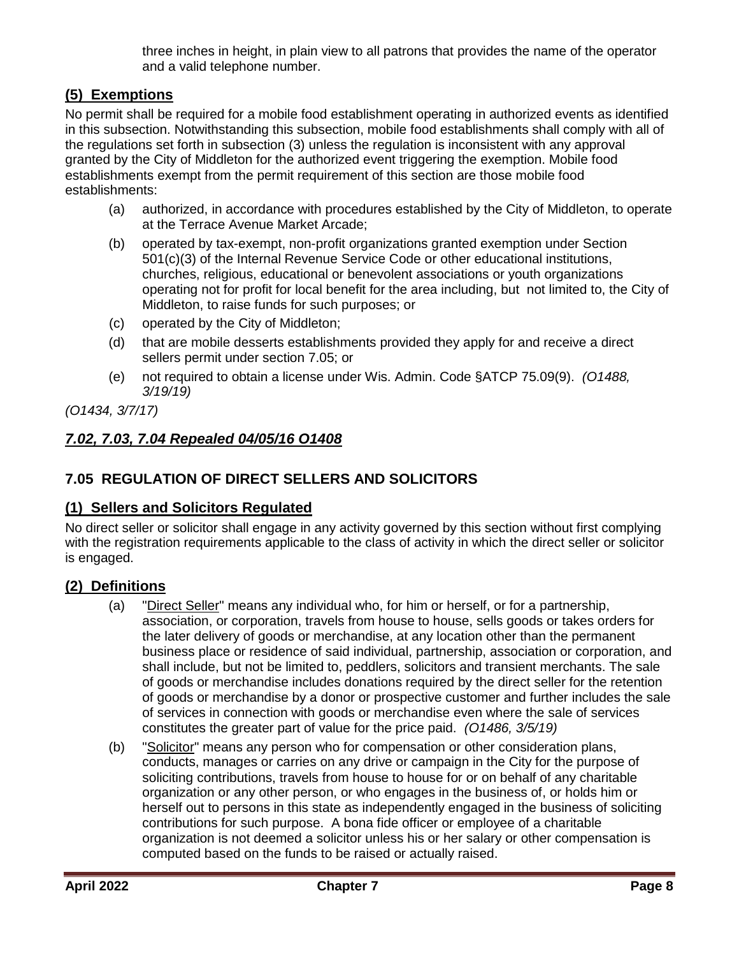three inches in height, in plain view to all patrons that provides the name of the operator and a valid telephone number.

## <span id="page-7-0"></span>**(5) Exemptions**

No permit shall be required for a mobile food establishment operating in authorized events as identified in this subsection. Notwithstanding this subsection, mobile food establishments shall comply with all of the regulations set forth in subsection (3) unless the regulation is inconsistent with any approval granted by the City of Middleton for the authorized event triggering the exemption. Mobile food establishments exempt from the permit requirement of this section are those mobile food establishments:

- (a) authorized, in accordance with procedures established by the City of Middleton, to operate at the Terrace Avenue Market Arcade;
- (b) operated by tax-exempt, non-profit organizations granted exemption under Section 501(c)(3) of the Internal Revenue Service Code or other educational institutions, churches, religious, educational or benevolent associations or youth organizations operating not for profit for local benefit for the area including, but not limited to, the City of Middleton, to raise funds for such purposes; or
- (c) operated by the City of Middleton;
- (d) that are mobile desserts establishments provided they apply for and receive a direct sellers permit under section 7.05; or
- (e) not required to obtain a license under Wis. Admin. Code §ATCP 75.09(9). *(O1488, 3/19/19)*

*(O1434, 3/7/17)*

## <span id="page-7-1"></span>*7.02, 7.03, 7.04 Repealed 04/05/16 O1408*

## <span id="page-7-2"></span>**7.05 REGULATION OF DIRECT SELLERS AND SOLICITORS**

## <span id="page-7-3"></span>**(1) Sellers and Solicitors Regulated**

No direct seller or solicitor shall engage in any activity governed by this section without first complying with the registration requirements applicable to the class of activity in which the direct seller or solicitor is engaged.

## <span id="page-7-4"></span>**(2) Definitions**

- (a) "Direct Seller" means any individual who, for him or herself, or for a partnership, association, or corporation, travels from house to house, sells goods or takes orders for the later delivery of goods or merchandise, at any location other than the permanent business place or residence of said individual, partnership, association or corporation, and shall include, but not be limited to, peddlers, solicitors and transient merchants. The sale of goods or merchandise includes donations required by the direct seller for the retention of goods or merchandise by a donor or prospective customer and further includes the sale of services in connection with goods or merchandise even where the sale of services constitutes the greater part of value for the price paid. *(O1486, 3/5/19)*
- (b) "Solicitor" means any person who for compensation or other consideration plans, conducts, manages or carries on any drive or campaign in the City for the purpose of soliciting contributions, travels from house to house for or on behalf of any charitable organization or any other person, or who engages in the business of, or holds him or herself out to persons in this state as independently engaged in the business of soliciting contributions for such purpose. A bona fide officer or employee of a charitable organization is not deemed a solicitor unless his or her salary or other compensation is computed based on the funds to be raised or actually raised.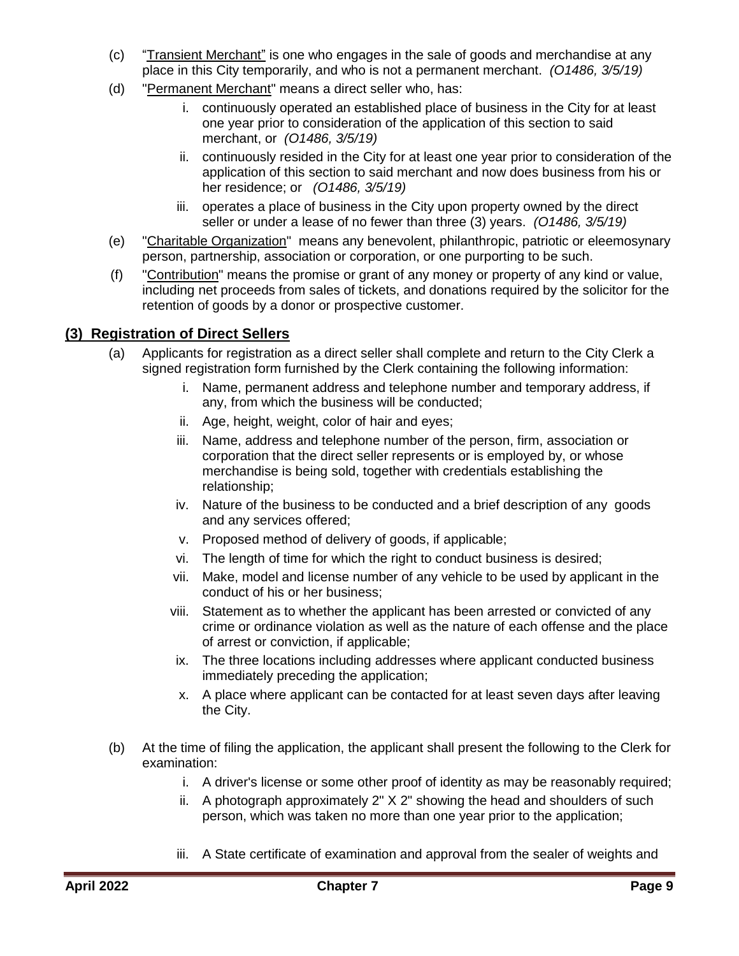- (c) "Transient Merchant" is one who engages in the sale of goods and merchandise at any place in this City temporarily, and who is not a permanent merchant. *(O1486, 3/5/19)*
- (d) "Permanent Merchant" means a direct seller who, has:
	- i. continuously operated an established place of business in the City for at least one year prior to consideration of the application of this section to said merchant, or *(O1486, 3/5/19)*
	- ii. continuously resided in the City for at least one year prior to consideration of the application of this section to said merchant and now does business from his or her residence; or *(O1486, 3/5/19)*
	- iii. operates a place of business in the City upon property owned by the direct seller or under a lease of no fewer than three (3) years. *(O1486, 3/5/19)*
- (e) "Charitable Organization" means any benevolent, philanthropic, patriotic or eleemosynary person, partnership, association or corporation, or one purporting to be such.
- (f) "Contribution" means the promise or grant of any money or property of any kind or value, including net proceeds from sales of tickets, and donations required by the solicitor for the retention of goods by a donor or prospective customer.

## <span id="page-8-0"></span>**(3) Registration of Direct Sellers**

- (a) Applicants for registration as a direct seller shall complete and return to the City Clerk a signed registration form furnished by the Clerk containing the following information:
	- i. Name, permanent address and telephone number and temporary address, if any, from which the business will be conducted;
	- ii. Age, height, weight, color of hair and eyes;
	- iii. Name, address and telephone number of the person, firm, association or corporation that the direct seller represents or is employed by, or whose merchandise is being sold, together with credentials establishing the relationship;
	- iv. Nature of the business to be conducted and a brief description of any goods and any services offered;
	- v. Proposed method of delivery of goods, if applicable;
	- vi. The length of time for which the right to conduct business is desired;
	- vii. Make, model and license number of any vehicle to be used by applicant in the conduct of his or her business;
	- viii. Statement as to whether the applicant has been arrested or convicted of any crime or ordinance violation as well as the nature of each offense and the place of arrest or conviction, if applicable;
	- ix. The three locations including addresses where applicant conducted business immediately preceding the application;
	- x. A place where applicant can be contacted for at least seven days after leaving the City.
- (b) At the time of filing the application, the applicant shall present the following to the Clerk for examination:
	- i. A driver's license or some other proof of identity as may be reasonably required;
	- ii. A photograph approximately 2" X 2" showing the head and shoulders of such person, which was taken no more than one year prior to the application;
	- iii. A State certificate of examination and approval from the sealer of weights and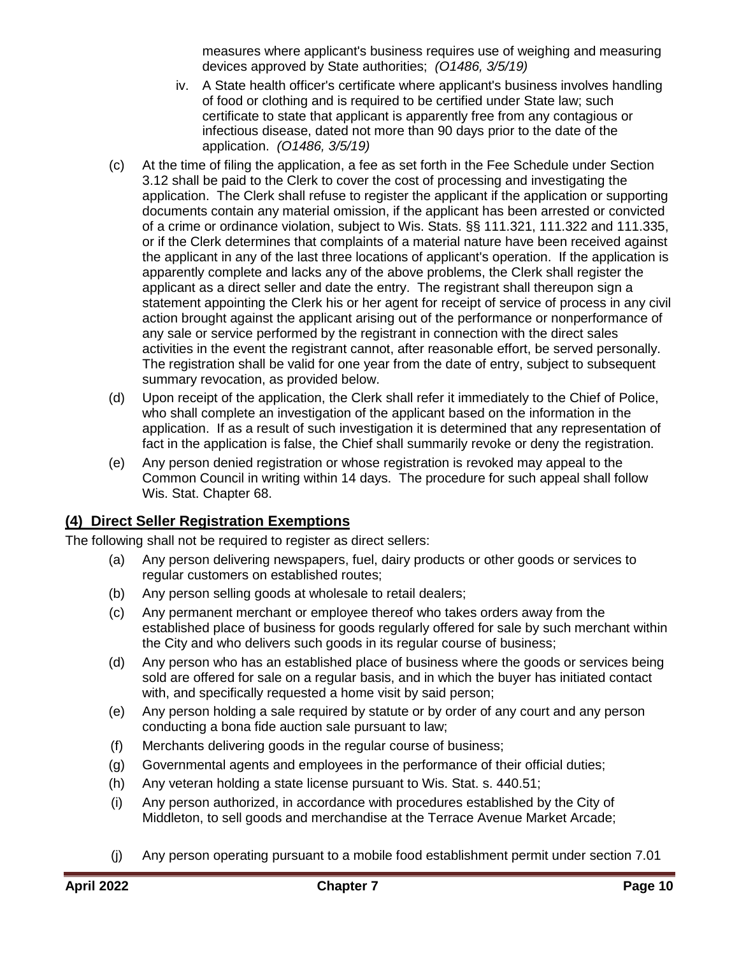measures where applicant's business requires use of weighing and measuring devices approved by State authorities; *(O1486, 3/5/19)*

- iv. A State health officer's certificate where applicant's business involves handling of food or clothing and is required to be certified under State law; such certificate to state that applicant is apparently free from any contagious or infectious disease, dated not more than 90 days prior to the date of the application. *(O1486, 3/5/19)*
- (c) At the time of filing the application, a fee as set forth in the Fee Schedule under Section 3.12 shall be paid to the Clerk to cover the cost of processing and investigating the application. The Clerk shall refuse to register the applicant if the application or supporting documents contain any material omission, if the applicant has been arrested or convicted of a crime or ordinance violation, subject to Wis. Stats. §§ 111.321, 111.322 and 111.335, or if the Clerk determines that complaints of a material nature have been received against the applicant in any of the last three locations of applicant's operation. If the application is apparently complete and lacks any of the above problems, the Clerk shall register the applicant as a direct seller and date the entry. The registrant shall thereupon sign a statement appointing the Clerk his or her agent for receipt of service of process in any civil action brought against the applicant arising out of the performance or nonperformance of any sale or service performed by the registrant in connection with the direct sales activities in the event the registrant cannot, after reasonable effort, be served personally. The registration shall be valid for one year from the date of entry, subject to subsequent summary revocation, as provided below.
- (d) Upon receipt of the application, the Clerk shall refer it immediately to the Chief of Police, who shall complete an investigation of the applicant based on the information in the application. If as a result of such investigation it is determined that any representation of fact in the application is false, the Chief shall summarily revoke or deny the registration.
- (e) Any person denied registration or whose registration is revoked may appeal to the Common Council in writing within 14 days. The procedure for such appeal shall follow Wis. Stat. Chapter 68.

## <span id="page-9-0"></span>**(4) Direct Seller Registration Exemptions**

The following shall not be required to register as direct sellers:

- (a) Any person delivering newspapers, fuel, dairy products or other goods or services to regular customers on established routes;
- (b) Any person selling goods at wholesale to retail dealers;
- (c) Any permanent merchant or employee thereof who takes orders away from the established place of business for goods regularly offered for sale by such merchant within the City and who delivers such goods in its regular course of business;
- (d) Any person who has an established place of business where the goods or services being sold are offered for sale on a regular basis, and in which the buyer has initiated contact with, and specifically requested a home visit by said person;
- (e) Any person holding a sale required by statute or by order of any court and any person conducting a bona fide auction sale pursuant to law;
- (f) Merchants delivering goods in the regular course of business;
- (g) Governmental agents and employees in the performance of their official duties;
- (h) Any veteran holding a state license pursuant to Wis. Stat. s. 440.51;
- (i) Any person authorized, in accordance with procedures established by the City of Middleton, to sell goods and merchandise at the Terrace Avenue Market Arcade;
- (j) Any person operating pursuant to a mobile food establishment permit under section 7.01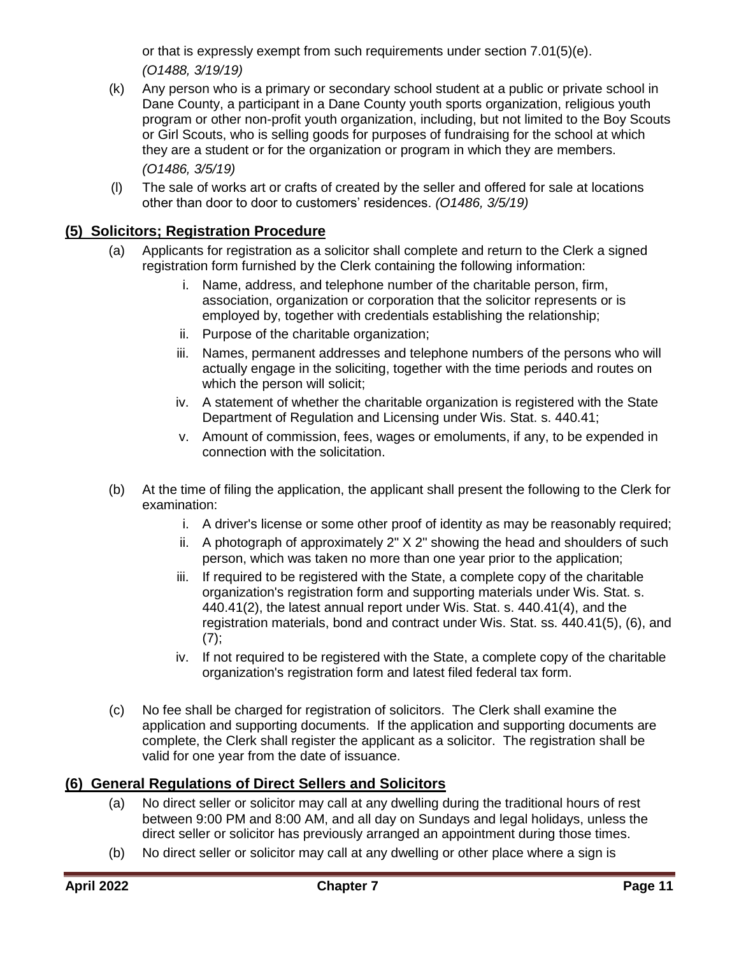or that is expressly exempt from such requirements under section 7.01(5)(e). *(O1488, 3/19/19)*

- (k) Any person who is a primary or secondary school student at a public or private school in Dane County, a participant in a Dane County youth sports organization, religious youth program or other non-profit youth organization, including, but not limited to the Boy Scouts or Girl Scouts, who is selling goods for purposes of fundraising for the school at which they are a student or for the organization or program in which they are members. *(O1486, 3/5/19)*
- (l) The sale of works art or crafts of created by the seller and offered for sale at locations other than door to door to customers' residences. *(O1486, 3/5/19)*

### <span id="page-10-0"></span>**(5) Solicitors; Registration Procedure**

- (a) Applicants for registration as a solicitor shall complete and return to the Clerk a signed registration form furnished by the Clerk containing the following information:
	- i. Name, address, and telephone number of the charitable person, firm, association, organization or corporation that the solicitor represents or is employed by, together with credentials establishing the relationship;
	- ii. Purpose of the charitable organization;
	- iii. Names, permanent addresses and telephone numbers of the persons who will actually engage in the soliciting, together with the time periods and routes on which the person will solicit;
	- iv. A statement of whether the charitable organization is registered with the State Department of Regulation and Licensing under Wis. Stat. s. 440.41;
	- v. Amount of commission, fees, wages or emoluments, if any, to be expended in connection with the solicitation.
- (b) At the time of filing the application, the applicant shall present the following to the Clerk for examination:
	- i. A driver's license or some other proof of identity as may be reasonably required;
	- ii. A photograph of approximately 2" X 2" showing the head and shoulders of such person, which was taken no more than one year prior to the application;
	- iii. If required to be registered with the State, a complete copy of the charitable organization's registration form and supporting materials under Wis. Stat. s. 440.41(2), the latest annual report under Wis. Stat. s. 440.41(4), and the registration materials, bond and contract under Wis. Stat. ss. 440.41(5), (6), and  $(7)$ ;
	- iv. If not required to be registered with the State, a complete copy of the charitable organization's registration form and latest filed federal tax form.
- (c) No fee shall be charged for registration of solicitors. The Clerk shall examine the application and supporting documents. If the application and supporting documents are complete, the Clerk shall register the applicant as a solicitor. The registration shall be valid for one year from the date of issuance.

### <span id="page-10-1"></span>**(6) General Regulations of Direct Sellers and Solicitors**

- (a) No direct seller or solicitor may call at any dwelling during the traditional hours of rest between 9:00 PM and 8:00 AM, and all day on Sundays and legal holidays, unless the direct seller or solicitor has previously arranged an appointment during those times.
- (b) No direct seller or solicitor may call at any dwelling or other place where a sign is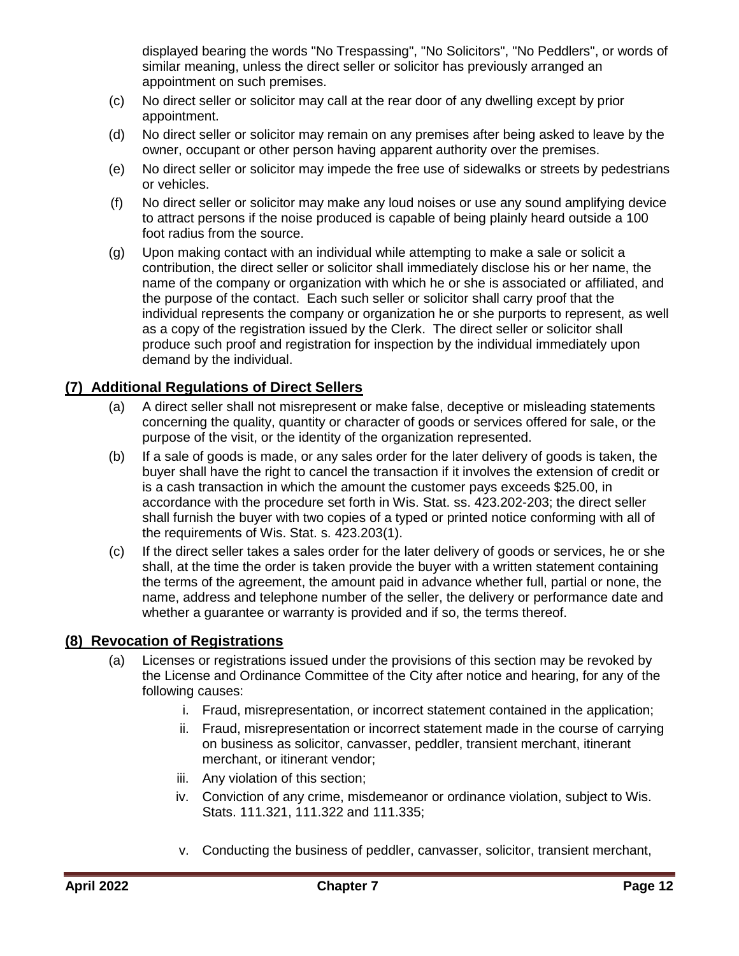displayed bearing the words "No Trespassing", "No Solicitors", "No Peddlers", or words of similar meaning, unless the direct seller or solicitor has previously arranged an appointment on such premises.

- (c) No direct seller or solicitor may call at the rear door of any dwelling except by prior appointment.
- (d) No direct seller or solicitor may remain on any premises after being asked to leave by the owner, occupant or other person having apparent authority over the premises.
- (e) No direct seller or solicitor may impede the free use of sidewalks or streets by pedestrians or vehicles.
- (f) No direct seller or solicitor may make any loud noises or use any sound amplifying device to attract persons if the noise produced is capable of being plainly heard outside a 100 foot radius from the source.
- (g) Upon making contact with an individual while attempting to make a sale or solicit a contribution, the direct seller or solicitor shall immediately disclose his or her name, the name of the company or organization with which he or she is associated or affiliated, and the purpose of the contact. Each such seller or solicitor shall carry proof that the individual represents the company or organization he or she purports to represent, as well as a copy of the registration issued by the Clerk. The direct seller or solicitor shall produce such proof and registration for inspection by the individual immediately upon demand by the individual.

## <span id="page-11-0"></span>**(7) Additional Regulations of Direct Sellers**

- (a) A direct seller shall not misrepresent or make false, deceptive or misleading statements concerning the quality, quantity or character of goods or services offered for sale, or the purpose of the visit, or the identity of the organization represented.
- (b) If a sale of goods is made, or any sales order for the later delivery of goods is taken, the buyer shall have the right to cancel the transaction if it involves the extension of credit or is a cash transaction in which the amount the customer pays exceeds \$25.00, in accordance with the procedure set forth in Wis. Stat. ss. 423.202-203; the direct seller shall furnish the buyer with two copies of a typed or printed notice conforming with all of the requirements of Wis. Stat. s. 423.203(1).
- (c) If the direct seller takes a sales order for the later delivery of goods or services, he or she shall, at the time the order is taken provide the buyer with a written statement containing the terms of the agreement, the amount paid in advance whether full, partial or none, the name, address and telephone number of the seller, the delivery or performance date and whether a guarantee or warranty is provided and if so, the terms thereof.

## <span id="page-11-1"></span>**(8) Revocation of Registrations**

- (a) Licenses or registrations issued under the provisions of this section may be revoked by the License and Ordinance Committee of the City after notice and hearing, for any of the following causes:
	- i. Fraud, misrepresentation, or incorrect statement contained in the application;
	- ii. Fraud, misrepresentation or incorrect statement made in the course of carrying on business as solicitor, canvasser, peddler, transient merchant, itinerant merchant, or itinerant vendor;
	- iii. Any violation of this section;
	- iv. Conviction of any crime, misdemeanor or ordinance violation, subject to Wis. Stats. 111.321, 111.322 and 111.335;
	- v. Conducting the business of peddler, canvasser, solicitor, transient merchant,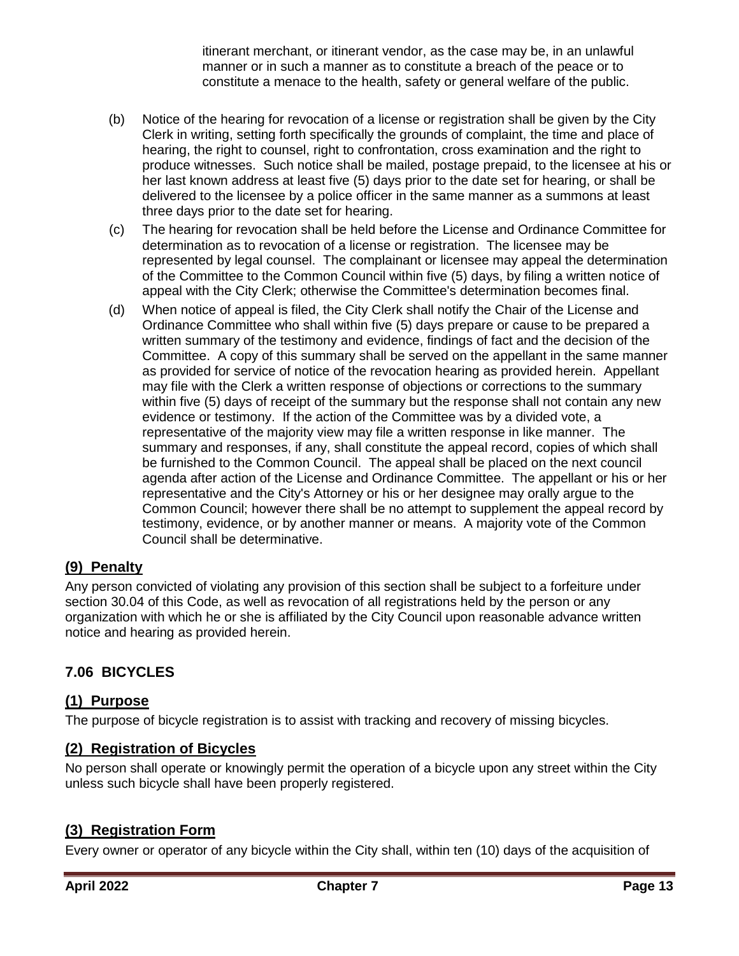itinerant merchant, or itinerant vendor, as the case may be, in an unlawful manner or in such a manner as to constitute a breach of the peace or to constitute a menace to the health, safety or general welfare of the public.

- (b) Notice of the hearing for revocation of a license or registration shall be given by the City Clerk in writing, setting forth specifically the grounds of complaint, the time and place of hearing, the right to counsel, right to confrontation, cross examination and the right to produce witnesses. Such notice shall be mailed, postage prepaid, to the licensee at his or her last known address at least five (5) days prior to the date set for hearing, or shall be delivered to the licensee by a police officer in the same manner as a summons at least three days prior to the date set for hearing.
- (c) The hearing for revocation shall be held before the License and Ordinance Committee for determination as to revocation of a license or registration. The licensee may be represented by legal counsel. The complainant or licensee may appeal the determination of the Committee to the Common Council within five (5) days, by filing a written notice of appeal with the City Clerk; otherwise the Committee's determination becomes final.
- (d) When notice of appeal is filed, the City Clerk shall notify the Chair of the License and Ordinance Committee who shall within five (5) days prepare or cause to be prepared a written summary of the testimony and evidence, findings of fact and the decision of the Committee. A copy of this summary shall be served on the appellant in the same manner as provided for service of notice of the revocation hearing as provided herein. Appellant may file with the Clerk a written response of objections or corrections to the summary within five (5) days of receipt of the summary but the response shall not contain any new evidence or testimony. If the action of the Committee was by a divided vote, a representative of the majority view may file a written response in like manner. The summary and responses, if any, shall constitute the appeal record, copies of which shall be furnished to the Common Council. The appeal shall be placed on the next council agenda after action of the License and Ordinance Committee. The appellant or his or her representative and the City's Attorney or his or her designee may orally argue to the Common Council; however there shall be no attempt to supplement the appeal record by testimony, evidence, or by another manner or means. A majority vote of the Common Council shall be determinative.

## <span id="page-12-0"></span>**(9) Penalty**

Any person convicted of violating any provision of this section shall be subject to a forfeiture under section 30.04 of this Code, as well as revocation of all registrations held by the person or any organization with which he or she is affiliated by the City Council upon reasonable advance written notice and hearing as provided herein.

## <span id="page-12-1"></span>**7.06 BICYCLES**

## <span id="page-12-2"></span>**(1) Purpose**

The purpose of bicycle registration is to assist with tracking and recovery of missing bicycles.

### <span id="page-12-3"></span>**(2) Registration of Bicycles**

No person shall operate or knowingly permit the operation of a bicycle upon any street within the City unless such bicycle shall have been properly registered.

## <span id="page-12-4"></span>**(3) Registration Form**

Every owner or operator of any bicycle within the City shall, within ten (10) days of the acquisition of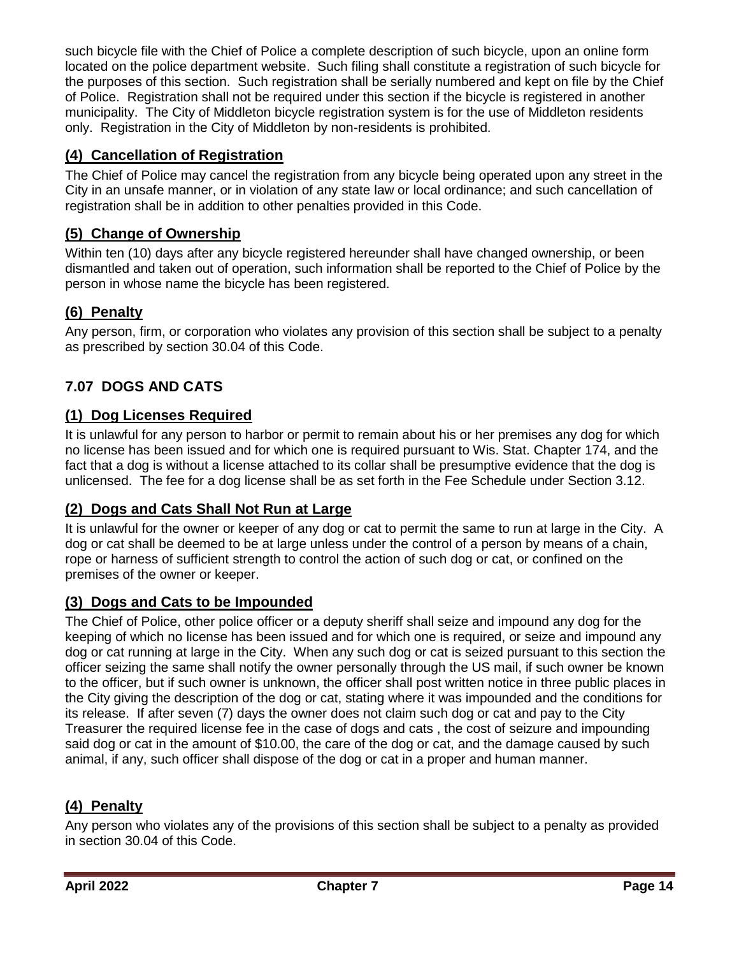such bicycle file with the Chief of Police a complete description of such bicycle, upon an online form located on the police department website. Such filing shall constitute a registration of such bicycle for the purposes of this section. Such registration shall be serially numbered and kept on file by the Chief of Police. Registration shall not be required under this section if the bicycle is registered in another municipality. The City of Middleton bicycle registration system is for the use of Middleton residents only. Registration in the City of Middleton by non-residents is prohibited.

## <span id="page-13-0"></span>**(4) Cancellation of Registration**

The Chief of Police may cancel the registration from any bicycle being operated upon any street in the City in an unsafe manner, or in violation of any state law or local ordinance; and such cancellation of registration shall be in addition to other penalties provided in this Code.

## <span id="page-13-1"></span>**(5) Change of Ownership**

Within ten (10) days after any bicycle registered hereunder shall have changed ownership, or been dismantled and taken out of operation, such information shall be reported to the Chief of Police by the person in whose name the bicycle has been registered.

## <span id="page-13-2"></span>**(6) Penalty**

Any person, firm, or corporation who violates any provision of this section shall be subject to a penalty as prescribed by section 30.04 of this Code.

## <span id="page-13-3"></span>**7.07 DOGS AND CATS**

## <span id="page-13-4"></span>**(1) Dog Licenses Required**

It is unlawful for any person to harbor or permit to remain about his or her premises any dog for which no license has been issued and for which one is required pursuant to Wis. Stat. Chapter 174, and the fact that a dog is without a license attached to its collar shall be presumptive evidence that the dog is unlicensed. The fee for a dog license shall be as set forth in the Fee Schedule under Section 3.12.

## <span id="page-13-5"></span>**(2) Dogs and Cats Shall Not Run at Large**

It is unlawful for the owner or keeper of any dog or cat to permit the same to run at large in the City. A dog or cat shall be deemed to be at large unless under the control of a person by means of a chain, rope or harness of sufficient strength to control the action of such dog or cat, or confined on the premises of the owner or keeper.

## <span id="page-13-6"></span>**(3) Dogs and Cats to be Impounded**

The Chief of Police, other police officer or a deputy sheriff shall seize and impound any dog for the keeping of which no license has been issued and for which one is required, or seize and impound any dog or cat running at large in the City. When any such dog or cat is seized pursuant to this section the officer seizing the same shall notify the owner personally through the US mail, if such owner be known to the officer, but if such owner is unknown, the officer shall post written notice in three public places in the City giving the description of the dog or cat, stating where it was impounded and the conditions for its release. If after seven (7) days the owner does not claim such dog or cat and pay to the City Treasurer the required license fee in the case of dogs and cats , the cost of seizure and impounding said dog or cat in the amount of \$10.00, the care of the dog or cat, and the damage caused by such animal, if any, such officer shall dispose of the dog or cat in a proper and human manner.

## <span id="page-13-7"></span>**(4) Penalty**

Any person who violates any of the provisions of this section shall be subject to a penalty as provided in section 30.04 of this Code.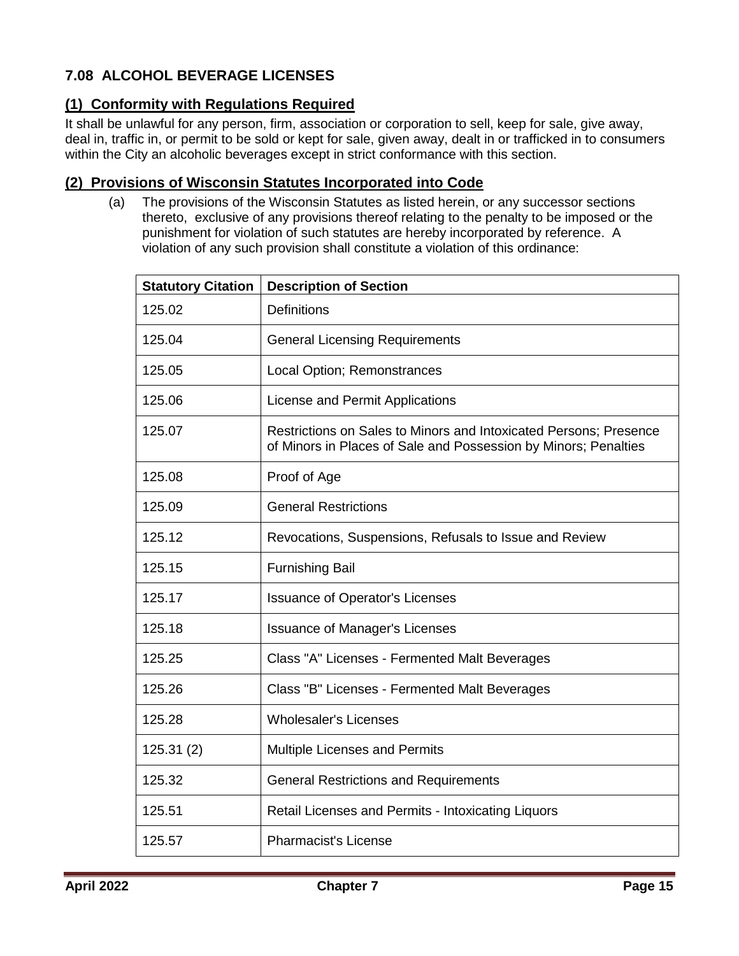## <span id="page-14-0"></span>**7.08 ALCOHOL BEVERAGE LICENSES**

## <span id="page-14-1"></span>**(1) Conformity with Regulations Required**

It shall be unlawful for any person, firm, association or corporation to sell, keep for sale, give away, deal in, traffic in, or permit to be sold or kept for sale, given away, dealt in or trafficked in to consumers within the City an alcoholic beverages except in strict conformance with this section.

### <span id="page-14-2"></span>**(2) Provisions of Wisconsin Statutes Incorporated into Code**

(a) The provisions of the Wisconsin Statutes as listed herein, or any successor sections thereto, exclusive of any provisions thereof relating to the penalty to be imposed or the punishment for violation of such statutes are hereby incorporated by reference. A violation of any such provision shall constitute a violation of this ordinance:

| <b>Statutory Citation</b> | <b>Description of Section</b>                                                                                                        |
|---------------------------|--------------------------------------------------------------------------------------------------------------------------------------|
| 125.02                    | <b>Definitions</b>                                                                                                                   |
| 125.04                    | <b>General Licensing Requirements</b>                                                                                                |
| 125.05                    | Local Option; Remonstrances                                                                                                          |
| 125.06                    | License and Permit Applications                                                                                                      |
| 125.07                    | Restrictions on Sales to Minors and Intoxicated Persons; Presence<br>of Minors in Places of Sale and Possession by Minors; Penalties |
| 125.08                    | Proof of Age                                                                                                                         |
| 125.09                    | <b>General Restrictions</b>                                                                                                          |
| 125.12                    | Revocations, Suspensions, Refusals to Issue and Review                                                                               |
| 125.15                    | <b>Furnishing Bail</b>                                                                                                               |
| 125.17                    | <b>Issuance of Operator's Licenses</b>                                                                                               |
| 125.18                    | <b>Issuance of Manager's Licenses</b>                                                                                                |
| 125.25                    | Class "A" Licenses - Fermented Malt Beverages                                                                                        |
| 125.26                    | Class "B" Licenses - Fermented Malt Beverages                                                                                        |
| 125.28                    | <b>Wholesaler's Licenses</b>                                                                                                         |
| 125.31(2)                 | Multiple Licenses and Permits                                                                                                        |
| 125.32                    | <b>General Restrictions and Requirements</b>                                                                                         |
| 125.51                    | Retail Licenses and Permits - Intoxicating Liquors                                                                                   |
| 125.57                    | <b>Pharmacist's License</b>                                                                                                          |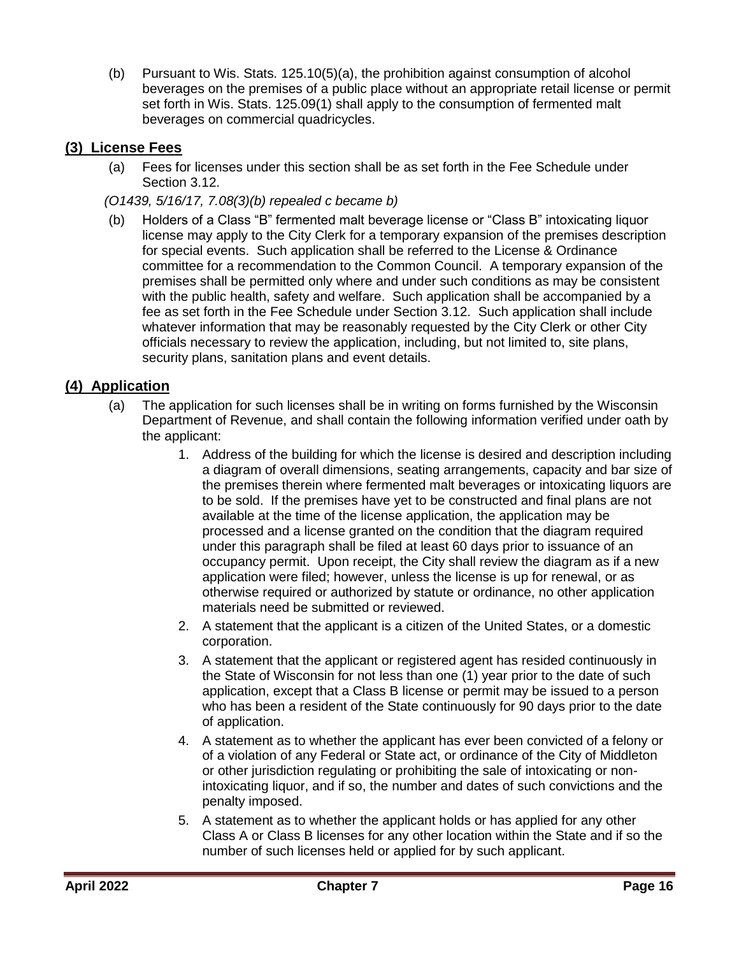(b) Pursuant to Wis. Stats. 125.10(5)(a), the prohibition against consumption of alcohol beverages on the premises of a public place without an appropriate retail license or permit set forth in Wis. Stats. 125.09(1) shall apply to the consumption of fermented malt beverages on commercial quadricycles.

## <span id="page-15-0"></span>**(3) License Fees**

- (a) Fees for licenses under this section shall be as set forth in the Fee Schedule under Section 3.12.
- *(O1439, 5/16/17, 7.08(3)(b) repealed c became b)*
- (b) Holders of a Class "B" fermented malt beverage license or "Class B" intoxicating liquor license may apply to the City Clerk for a temporary expansion of the premises description for special events. Such application shall be referred to the License & Ordinance committee for a recommendation to the Common Council. A temporary expansion of the premises shall be permitted only where and under such conditions as may be consistent with the public health, safety and welfare. Such application shall be accompanied by a fee as set forth in the Fee Schedule under Section 3.12. Such application shall include whatever information that may be reasonably requested by the City Clerk or other City officials necessary to review the application, including, but not limited to, site plans, security plans, sanitation plans and event details.

### <span id="page-15-1"></span>**(4) Application**

- (a) The application for such licenses shall be in writing on forms furnished by the Wisconsin Department of Revenue, and shall contain the following information verified under oath by the applicant:
	- 1. Address of the building for which the license is desired and description including a diagram of overall dimensions, seating arrangements, capacity and bar size of the premises therein where fermented malt beverages or intoxicating liquors are to be sold. If the premises have yet to be constructed and final plans are not available at the time of the license application, the application may be processed and a license granted on the condition that the diagram required under this paragraph shall be filed at least 60 days prior to issuance of an occupancy permit. Upon receipt, the City shall review the diagram as if a new application were filed; however, unless the license is up for renewal, or as otherwise required or authorized by statute or ordinance, no other application materials need be submitted or reviewed.
	- 2. A statement that the applicant is a citizen of the United States, or a domestic corporation.
	- 3. A statement that the applicant or registered agent has resided continuously in the State of Wisconsin for not less than one (1) year prior to the date of such application, except that a Class B license or permit may be issued to a person who has been a resident of the State continuously for 90 days prior to the date of application.
	- 4. A statement as to whether the applicant has ever been convicted of a felony or of a violation of any Federal or State act, or ordinance of the City of Middleton or other jurisdiction regulating or prohibiting the sale of intoxicating or nonintoxicating liquor, and if so, the number and dates of such convictions and the penalty imposed.
	- 5. A statement as to whether the applicant holds or has applied for any other Class A or Class B licenses for any other location within the State and if so the number of such licenses held or applied for by such applicant.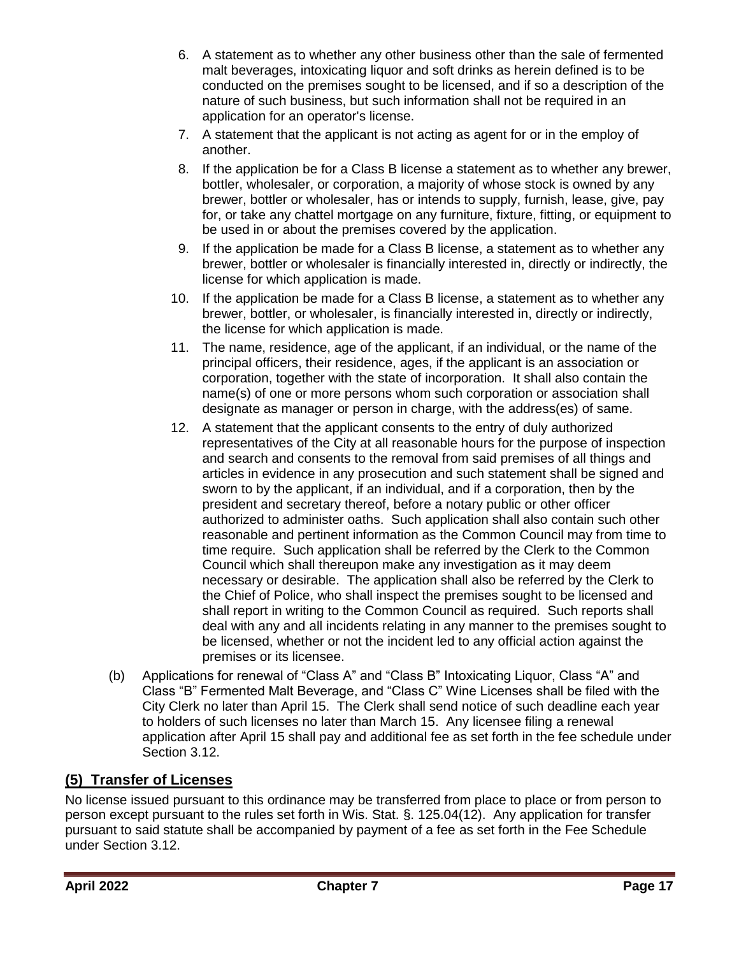- 6. A statement as to whether any other business other than the sale of fermented malt beverages, intoxicating liquor and soft drinks as herein defined is to be conducted on the premises sought to be licensed, and if so a description of the nature of such business, but such information shall not be required in an application for an operator's license.
- 7. A statement that the applicant is not acting as agent for or in the employ of another.
- 8. If the application be for a Class B license a statement as to whether any brewer, bottler, wholesaler, or corporation, a majority of whose stock is owned by any brewer, bottler or wholesaler, has or intends to supply, furnish, lease, give, pay for, or take any chattel mortgage on any furniture, fixture, fitting, or equipment to be used in or about the premises covered by the application.
- 9. If the application be made for a Class B license, a statement as to whether any brewer, bottler or wholesaler is financially interested in, directly or indirectly, the license for which application is made.
- 10. If the application be made for a Class B license, a statement as to whether any brewer, bottler, or wholesaler, is financially interested in, directly or indirectly, the license for which application is made.
- 11. The name, residence, age of the applicant, if an individual, or the name of the principal officers, their residence, ages, if the applicant is an association or corporation, together with the state of incorporation. It shall also contain the name(s) of one or more persons whom such corporation or association shall designate as manager or person in charge, with the address(es) of same.
- 12. A statement that the applicant consents to the entry of duly authorized representatives of the City at all reasonable hours for the purpose of inspection and search and consents to the removal from said premises of all things and articles in evidence in any prosecution and such statement shall be signed and sworn to by the applicant, if an individual, and if a corporation, then by the president and secretary thereof, before a notary public or other officer authorized to administer oaths. Such application shall also contain such other reasonable and pertinent information as the Common Council may from time to time require. Such application shall be referred by the Clerk to the Common Council which shall thereupon make any investigation as it may deem necessary or desirable. The application shall also be referred by the Clerk to the Chief of Police, who shall inspect the premises sought to be licensed and shall report in writing to the Common Council as required. Such reports shall deal with any and all incidents relating in any manner to the premises sought to be licensed, whether or not the incident led to any official action against the premises or its licensee.
- (b) Applications for renewal of "Class A" and "Class B" Intoxicating Liquor, Class "A" and Class "B" Fermented Malt Beverage, and "Class C" Wine Licenses shall be filed with the City Clerk no later than April 15. The Clerk shall send notice of such deadline each year to holders of such licenses no later than March 15. Any licensee filing a renewal application after April 15 shall pay and additional fee as set forth in the fee schedule under Section 3.12.

## <span id="page-16-0"></span>**(5) Transfer of Licenses**

No license issued pursuant to this ordinance may be transferred from place to place or from person to person except pursuant to the rules set forth in Wis. Stat. §. 125.04(12). Any application for transfer pursuant to said statute shall be accompanied by payment of a fee as set forth in the Fee Schedule under Section 3.12.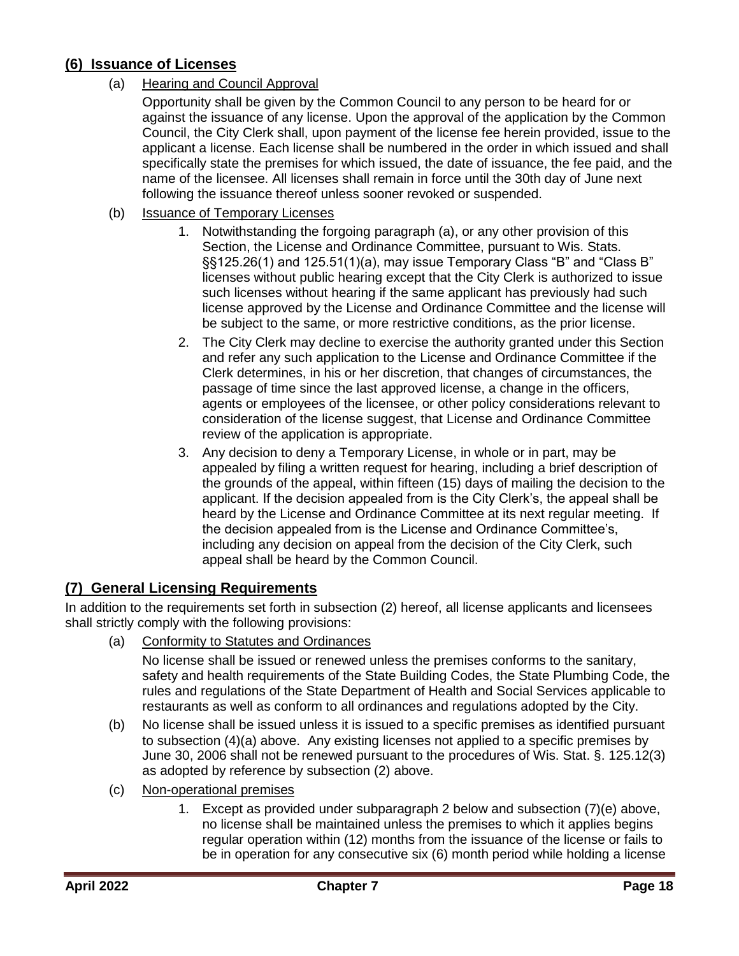## <span id="page-17-0"></span>**(6) Issuance of Licenses**

### (a) Hearing and Council Approval

Opportunity shall be given by the Common Council to any person to be heard for or against the issuance of any license. Upon the approval of the application by the Common Council, the City Clerk shall, upon payment of the license fee herein provided, issue to the applicant a license. Each license shall be numbered in the order in which issued and shall specifically state the premises for which issued, the date of issuance, the fee paid, and the name of the licensee. All licenses shall remain in force until the 30th day of June next following the issuance thereof unless sooner revoked or suspended.

### (b) Issuance of Temporary Licenses

- 1. Notwithstanding the forgoing paragraph (a), or any other provision of this Section, the License and Ordinance Committee, pursuant to Wis. Stats. §§125.26(1) and 125.51(1)(a), may issue Temporary Class "B" and "Class B" licenses without public hearing except that the City Clerk is authorized to issue such licenses without hearing if the same applicant has previously had such license approved by the License and Ordinance Committee and the license will be subject to the same, or more restrictive conditions, as the prior license.
- 2. The City Clerk may decline to exercise the authority granted under this Section and refer any such application to the License and Ordinance Committee if the Clerk determines, in his or her discretion, that changes of circumstances, the passage of time since the last approved license, a change in the officers, agents or employees of the licensee, or other policy considerations relevant to consideration of the license suggest, that License and Ordinance Committee review of the application is appropriate.
- 3. Any decision to deny a Temporary License, in whole or in part, may be appealed by filing a written request for hearing, including a brief description of the grounds of the appeal, within fifteen (15) days of mailing the decision to the applicant. If the decision appealed from is the City Clerk's, the appeal shall be heard by the License and Ordinance Committee at its next regular meeting. If the decision appealed from is the License and Ordinance Committee's, including any decision on appeal from the decision of the City Clerk, such appeal shall be heard by the Common Council.

### <span id="page-17-1"></span>**(7) General Licensing Requirements**

In addition to the requirements set forth in subsection (2) hereof, all license applicants and licensees shall strictly comply with the following provisions:

(a) Conformity to Statutes and Ordinances

No license shall be issued or renewed unless the premises conforms to the sanitary, safety and health requirements of the State Building Codes, the State Plumbing Code, the rules and regulations of the State Department of Health and Social Services applicable to restaurants as well as conform to all ordinances and regulations adopted by the City.

- (b) No license shall be issued unless it is issued to a specific premises as identified pursuant to subsection (4)(a) above. Any existing licenses not applied to a specific premises by June 30, 2006 shall not be renewed pursuant to the procedures of Wis. Stat. §. 125.12(3) as adopted by reference by subsection (2) above.
- (c) Non-operational premises
	- 1. Except as provided under subparagraph 2 below and subsection (7)(e) above, no license shall be maintained unless the premises to which it applies begins regular operation within (12) months from the issuance of the license or fails to be in operation for any consecutive six (6) month period while holding a license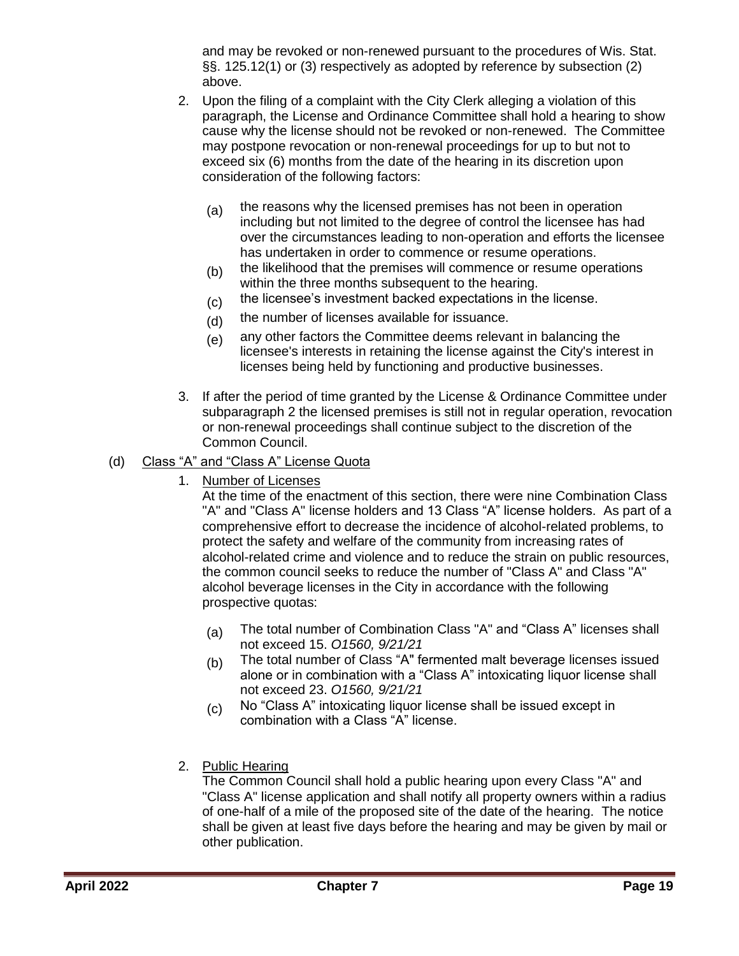and may be revoked or non-renewed pursuant to the procedures of Wis. Stat. §§. 125.12(1) or (3) respectively as adopted by reference by subsection (2) above.

- 2. Upon the filing of a complaint with the City Clerk alleging a violation of this paragraph, the License and Ordinance Committee shall hold a hearing to show cause why the license should not be revoked or non-renewed. The Committee may postpone revocation or non-renewal proceedings for up to but not to exceed six (6) months from the date of the hearing in its discretion upon consideration of the following factors:
	- (a) the reasons why the licensed premises has not been in operation including but not limited to the degree of control the licensee has had over the circumstances leading to non-operation and efforts the licensee has undertaken in order to commence or resume operations.
	- (b) the likelihood that the premises will commence or resume operations within the three months subsequent to the hearing.
	- (c) the licensee's investment backed expectations in the license.
	- $(d)$  the number of licenses available for issuance.
	- $(e)$  any other factors the Committee deems relevant in balancing the licensee's interests in retaining the license against the City's interest in licenses being held by functioning and productive businesses.
- 3. If after the period of time granted by the License & Ordinance Committee under subparagraph 2 the licensed premises is still not in regular operation, revocation or non-renewal proceedings shall continue subject to the discretion of the Common Council.

### (d) Class "A" and "Class A" License Quota

1. Number of Licenses

At the time of the enactment of this section, there were nine Combination Class "A" and "Class A" license holders and 13 Class "A" license holders. As part of a comprehensive effort to decrease the incidence of alcohol-related problems, to protect the safety and welfare of the community from increasing rates of alcohol-related crime and violence and to reduce the strain on public resources, the common council seeks to reduce the number of "Class A" and Class "A" alcohol beverage licenses in the City in accordance with the following prospective quotas:

- (a) The total number of Combination Class "A" and "Class A" licenses shall not exceed 15. *O1560, 9/21/21*
- (b) The total number of Class "A" fermented malt beverage licenses issued alone or in combination with a "Class A" intoxicating liquor license shall not exceed 23. *O1560, 9/21/21*
- (c) No "Class A" intoxicating liquor license shall be issued except in combination with a Class "A" license.
- 2. Public Hearing

The Common Council shall hold a public hearing upon every Class "A" and "Class A" license application and shall notify all property owners within a radius of one-half of a mile of the proposed site of the date of the hearing. The notice shall be given at least five days before the hearing and may be given by mail or other publication.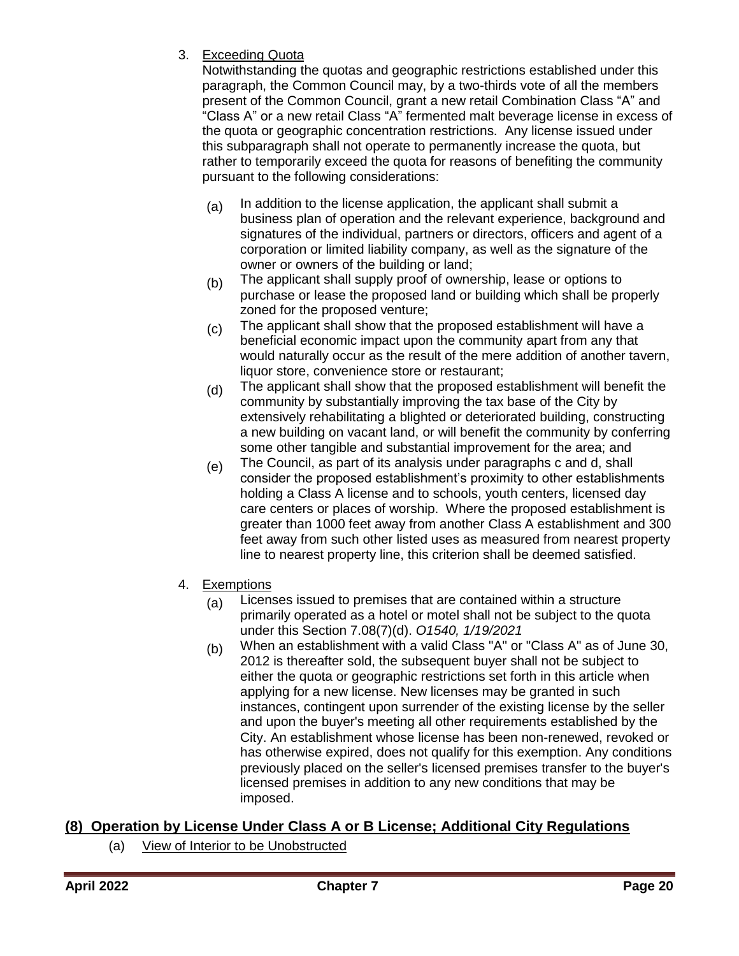3. Exceeding Quota

Notwithstanding the quotas and geographic restrictions established under this paragraph, the Common Council may, by a two-thirds vote of all the members present of the Common Council, grant a new retail Combination Class "A" and "Class A" or a new retail Class "A" fermented malt beverage license in excess of the quota or geographic concentration restrictions. Any license issued under this subparagraph shall not operate to permanently increase the quota, but rather to temporarily exceed the quota for reasons of benefiting the community pursuant to the following considerations:

- $(a)$  In addition to the license application, the applicant shall submit a business plan of operation and the relevant experience, background and signatures of the individual, partners or directors, officers and agent of a corporation or limited liability company, as well as the signature of the owner or owners of the building or land;
- (b) The applicant shall supply proof of ownership, lease or options to purchase or lease the proposed land or building which shall be properly zoned for the proposed venture;
- (c) The applicant shall show that the proposed establishment will have a beneficial economic impact upon the community apart from any that would naturally occur as the result of the mere addition of another tavern, liquor store, convenience store or restaurant;
- (d) The applicant shall show that the proposed establishment will benefit the community by substantially improving the tax base of the City by extensively rehabilitating a blighted or deteriorated building, constructing a new building on vacant land, or will benefit the community by conferring some other tangible and substantial improvement for the area; and
- $(e)$  The Council, as part of its analysis under paragraphs c and d, shall consider the proposed establishment's proximity to other establishments holding a Class A license and to schools, youth centers, licensed day care centers or places of worship. Where the proposed establishment is greater than 1000 feet away from another Class A establishment and 300 feet away from such other listed uses as measured from nearest property line to nearest property line, this criterion shall be deemed satisfied.
- 4. Exemptions
	- $(a)$  Licenses issued to premises that are contained within a structure primarily operated as a hotel or motel shall not be subject to the quota under this Section 7.08(7)(d). *O1540, 1/19/2021*
	- (b) When an establishment with a valid Class "A" or "Class A" as of June 30, 2012 is thereafter sold, the subsequent buyer shall not be subject to either the quota or geographic restrictions set forth in this article when applying for a new license. New licenses may be granted in such instances, contingent upon surrender of the existing license by the seller and upon the buyer's meeting all other requirements established by the City. An establishment whose license has been non-renewed, revoked or has otherwise expired, does not qualify for this exemption. Any conditions previously placed on the seller's licensed premises transfer to the buyer's licensed premises in addition to any new conditions that may be imposed.

## <span id="page-19-0"></span>**(8) Operation by License Under Class A or B License; Additional City Regulations**

(a) View of Interior to be Unobstructed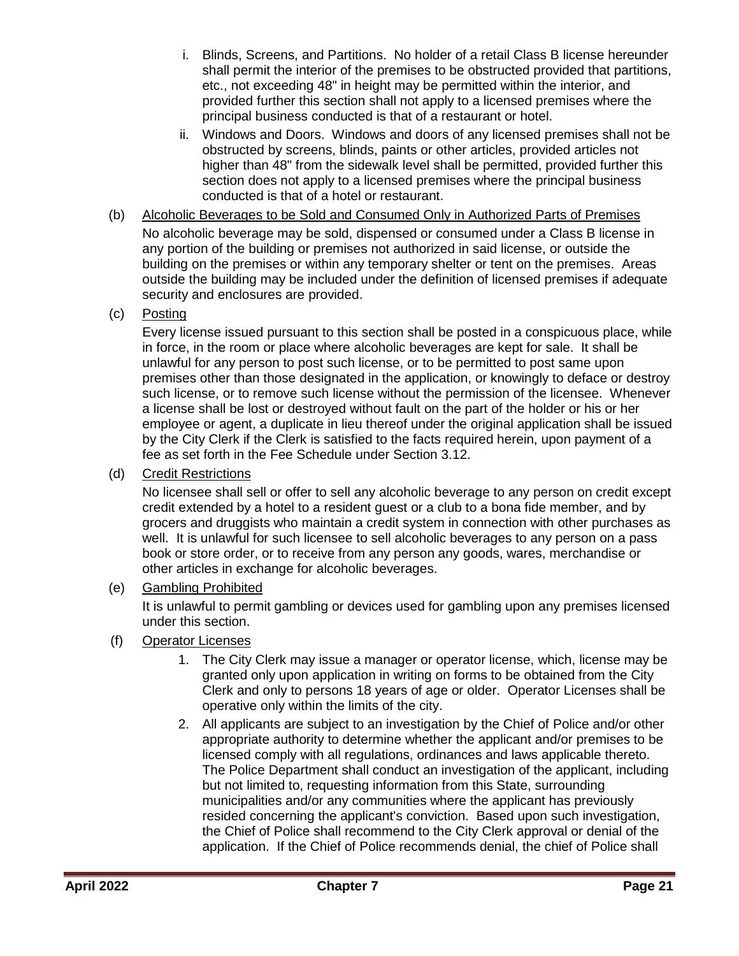- i. Blinds, Screens, and Partitions. No holder of a retail Class B license hereunder shall permit the interior of the premises to be obstructed provided that partitions, etc., not exceeding 48" in height may be permitted within the interior, and provided further this section shall not apply to a licensed premises where the principal business conducted is that of a restaurant or hotel.
- ii. Windows and Doors. Windows and doors of any licensed premises shall not be obstructed by screens, blinds, paints or other articles, provided articles not higher than 48" from the sidewalk level shall be permitted, provided further this section does not apply to a licensed premises where the principal business conducted is that of a hotel or restaurant.
- (b) Alcoholic Beverages to be Sold and Consumed Only in Authorized Parts of Premises No alcoholic beverage may be sold, dispensed or consumed under a Class B license in any portion of the building or premises not authorized in said license, or outside the building on the premises or within any temporary shelter or tent on the premises. Areas outside the building may be included under the definition of licensed premises if adequate security and enclosures are provided.
- (c) Posting

Every license issued pursuant to this section shall be posted in a conspicuous place, while in force, in the room or place where alcoholic beverages are kept for sale. It shall be unlawful for any person to post such license, or to be permitted to post same upon premises other than those designated in the application, or knowingly to deface or destroy such license, or to remove such license without the permission of the licensee. Whenever a license shall be lost or destroyed without fault on the part of the holder or his or her employee or agent, a duplicate in lieu thereof under the original application shall be issued by the City Clerk if the Clerk is satisfied to the facts required herein, upon payment of a fee as set forth in the Fee Schedule under Section 3.12.

(d) Credit Restrictions

No licensee shall sell or offer to sell any alcoholic beverage to any person on credit except credit extended by a hotel to a resident guest or a club to a bona fide member, and by grocers and druggists who maintain a credit system in connection with other purchases as well. It is unlawful for such licensee to sell alcoholic beverages to any person on a pass book or store order, or to receive from any person any goods, wares, merchandise or other articles in exchange for alcoholic beverages.

(e) Gambling Prohibited

It is unlawful to permit gambling or devices used for gambling upon any premises licensed under this section.

- (f) Operator Licenses
	- 1. The City Clerk may issue a manager or operator license, which, license may be granted only upon application in writing on forms to be obtained from the City Clerk and only to persons 18 years of age or older. Operator Licenses shall be operative only within the limits of the city.
	- 2. All applicants are subject to an investigation by the Chief of Police and/or other appropriate authority to determine whether the applicant and/or premises to be licensed comply with all regulations, ordinances and laws applicable thereto. The Police Department shall conduct an investigation of the applicant, including but not limited to, requesting information from this State, surrounding municipalities and/or any communities where the applicant has previously resided concerning the applicant's conviction. Based upon such investigation, the Chief of Police shall recommend to the City Clerk approval or denial of the application. If the Chief of Police recommends denial, the chief of Police shall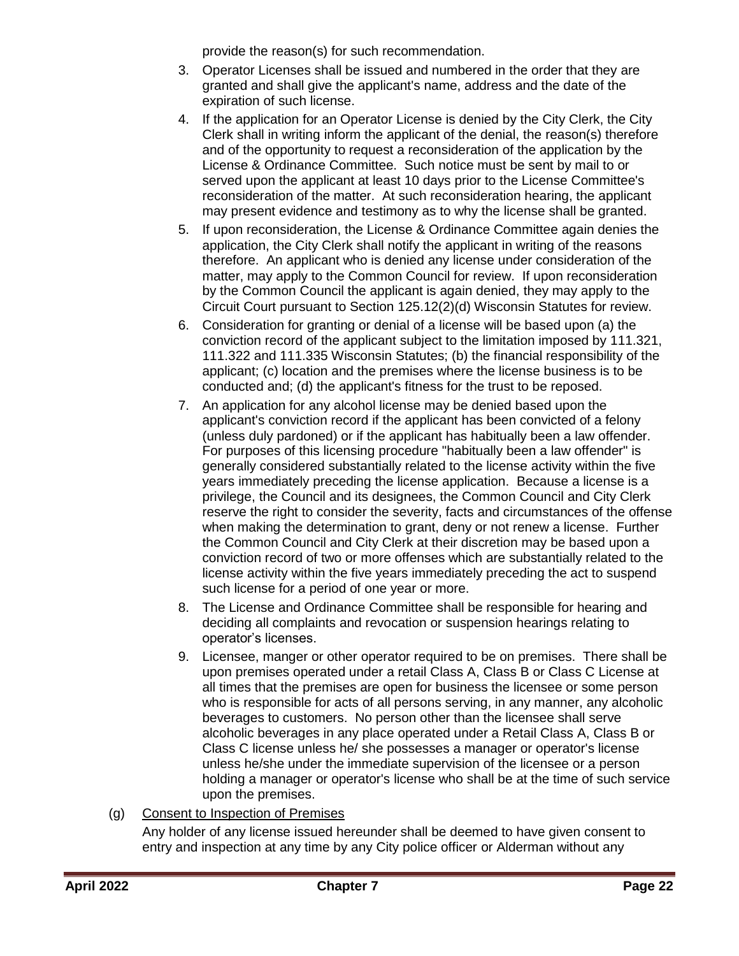provide the reason(s) for such recommendation.

- 3. Operator Licenses shall be issued and numbered in the order that they are granted and shall give the applicant's name, address and the date of the expiration of such license.
- 4. If the application for an Operator License is denied by the City Clerk, the City Clerk shall in writing inform the applicant of the denial, the reason(s) therefore and of the opportunity to request a reconsideration of the application by the License & Ordinance Committee. Such notice must be sent by mail to or served upon the applicant at least 10 days prior to the License Committee's reconsideration of the matter. At such reconsideration hearing, the applicant may present evidence and testimony as to why the license shall be granted.
- 5. If upon reconsideration, the License & Ordinance Committee again denies the application, the City Clerk shall notify the applicant in writing of the reasons therefore. An applicant who is denied any license under consideration of the matter, may apply to the Common Council for review. If upon reconsideration by the Common Council the applicant is again denied, they may apply to the Circuit Court pursuant to Section 125.12(2)(d) Wisconsin Statutes for review.
- 6. Consideration for granting or denial of a license will be based upon (a) the conviction record of the applicant subject to the limitation imposed by 111.321, 111.322 and 111.335 Wisconsin Statutes; (b) the financial responsibility of the applicant; (c) location and the premises where the license business is to be conducted and; (d) the applicant's fitness for the trust to be reposed.
- 7. An application for any alcohol license may be denied based upon the applicant's conviction record if the applicant has been convicted of a felony (unless duly pardoned) or if the applicant has habitually been a law offender. For purposes of this licensing procedure "habitually been a law offender" is generally considered substantially related to the license activity within the five years immediately preceding the license application. Because a license is a privilege, the Council and its designees, the Common Council and City Clerk reserve the right to consider the severity, facts and circumstances of the offense when making the determination to grant, deny or not renew a license. Further the Common Council and City Clerk at their discretion may be based upon a conviction record of two or more offenses which are substantially related to the license activity within the five years immediately preceding the act to suspend such license for a period of one year or more.
- 8. The License and Ordinance Committee shall be responsible for hearing and deciding all complaints and revocation or suspension hearings relating to operator's licenses.
- 9. Licensee, manger or other operator required to be on premises. There shall be upon premises operated under a retail Class A, Class B or Class C License at all times that the premises are open for business the licensee or some person who is responsible for acts of all persons serving, in any manner, any alcoholic beverages to customers. No person other than the licensee shall serve alcoholic beverages in any place operated under a Retail Class A, Class B or Class C license unless he/ she possesses a manager or operator's license unless he/she under the immediate supervision of the licensee or a person holding a manager or operator's license who shall be at the time of such service upon the premises.

## (g) Consent to Inspection of Premises

Any holder of any license issued hereunder shall be deemed to have given consent to entry and inspection at any time by any City police officer or Alderman without any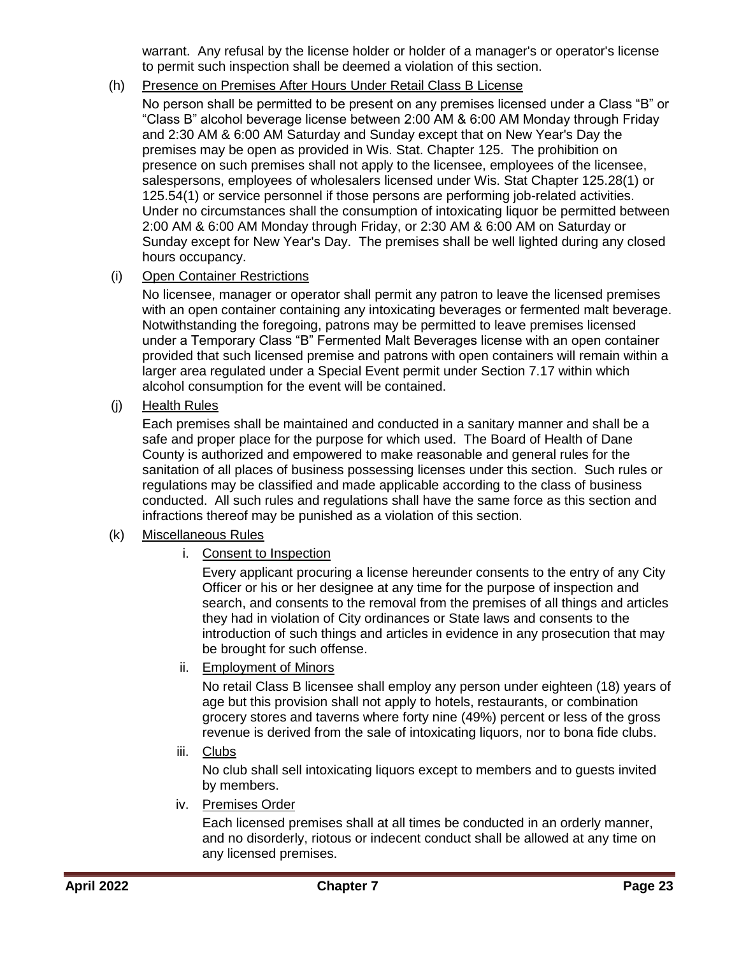warrant. Any refusal by the license holder or holder of a manager's or operator's license to permit such inspection shall be deemed a violation of this section.

### (h) Presence on Premises After Hours Under Retail Class B License

No person shall be permitted to be present on any premises licensed under a Class "B" or "Class B" alcohol beverage license between 2:00 AM & 6:00 AM Monday through Friday and 2:30 AM & 6:00 AM Saturday and Sunday except that on New Year's Day the premises may be open as provided in Wis. Stat. Chapter 125. The prohibition on presence on such premises shall not apply to the licensee, employees of the licensee, salespersons, employees of wholesalers licensed under Wis. Stat Chapter 125.28(1) or 125.54(1) or service personnel if those persons are performing job-related activities. Under no circumstances shall the consumption of intoxicating liquor be permitted between 2:00 AM & 6:00 AM Monday through Friday, or 2:30 AM & 6:00 AM on Saturday or Sunday except for New Year's Day. The premises shall be well lighted during any closed hours occupancy.

### (i) Open Container Restrictions

No licensee, manager or operator shall permit any patron to leave the licensed premises with an open container containing any intoxicating beverages or fermented malt beverage. Notwithstanding the foregoing, patrons may be permitted to leave premises licensed under a Temporary Class "B" Fermented Malt Beverages license with an open container provided that such licensed premise and patrons with open containers will remain within a larger area regulated under a Special Event permit under Section 7.17 within which alcohol consumption for the event will be contained.

(j) Health Rules

Each premises shall be maintained and conducted in a sanitary manner and shall be a safe and proper place for the purpose for which used. The Board of Health of Dane County is authorized and empowered to make reasonable and general rules for the sanitation of all places of business possessing licenses under this section. Such rules or regulations may be classified and made applicable according to the class of business conducted. All such rules and regulations shall have the same force as this section and infractions thereof may be punished as a violation of this section.

#### (k) Miscellaneous Rules

i. Consent to Inspection

Every applicant procuring a license hereunder consents to the entry of any City Officer or his or her designee at any time for the purpose of inspection and search, and consents to the removal from the premises of all things and articles they had in violation of City ordinances or State laws and consents to the introduction of such things and articles in evidence in any prosecution that may be brought for such offense.

ii. Employment of Minors

No retail Class B licensee shall employ any person under eighteen (18) years of age but this provision shall not apply to hotels, restaurants, or combination grocery stores and taverns where forty nine (49%) percent or less of the gross revenue is derived from the sale of intoxicating liquors, nor to bona fide clubs.

iii. Clubs

No club shall sell intoxicating liquors except to members and to guests invited by members.

iv. Premises Order

Each licensed premises shall at all times be conducted in an orderly manner, and no disorderly, riotous or indecent conduct shall be allowed at any time on any licensed premises.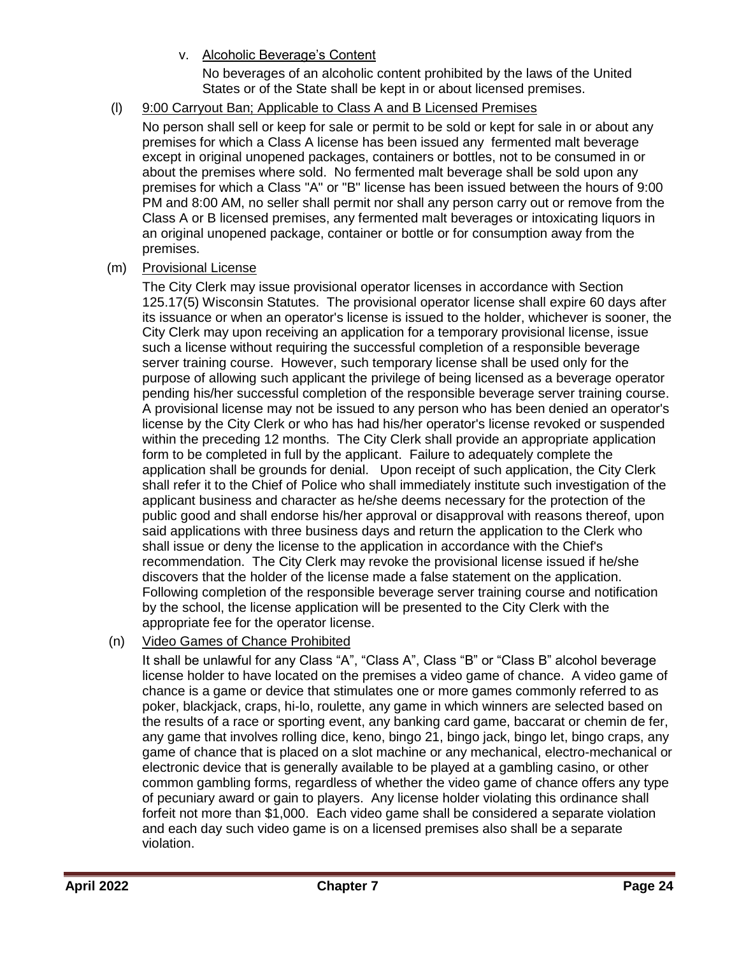v. Alcoholic Beverage's Content

No beverages of an alcoholic content prohibited by the laws of the United States or of the State shall be kept in or about licensed premises.

### (l) 9:00 Carryout Ban; Applicable to Class A and B Licensed Premises

No person shall sell or keep for sale or permit to be sold or kept for sale in or about any premises for which a Class A license has been issued any fermented malt beverage except in original unopened packages, containers or bottles, not to be consumed in or about the premises where sold. No fermented malt beverage shall be sold upon any premises for which a Class "A" or "B" license has been issued between the hours of 9:00 PM and 8:00 AM, no seller shall permit nor shall any person carry out or remove from the Class A or B licensed premises, any fermented malt beverages or intoxicating liquors in an original unopened package, container or bottle or for consumption away from the premises.

### (m) Provisional License

The City Clerk may issue provisional operator licenses in accordance with Section 125.17(5) Wisconsin Statutes. The provisional operator license shall expire 60 days after its issuance or when an operator's license is issued to the holder, whichever is sooner, the City Clerk may upon receiving an application for a temporary provisional license, issue such a license without requiring the successful completion of a responsible beverage server training course. However, such temporary license shall be used only for the purpose of allowing such applicant the privilege of being licensed as a beverage operator pending his/her successful completion of the responsible beverage server training course. A provisional license may not be issued to any person who has been denied an operator's license by the City Clerk or who has had his/her operator's license revoked or suspended within the preceding 12 months. The City Clerk shall provide an appropriate application form to be completed in full by the applicant. Failure to adequately complete the application shall be grounds for denial. Upon receipt of such application, the City Clerk shall refer it to the Chief of Police who shall immediately institute such investigation of the applicant business and character as he/she deems necessary for the protection of the public good and shall endorse his/her approval or disapproval with reasons thereof, upon said applications with three business days and return the application to the Clerk who shall issue or deny the license to the application in accordance with the Chief's recommendation. The City Clerk may revoke the provisional license issued if he/she discovers that the holder of the license made a false statement on the application. Following completion of the responsible beverage server training course and notification by the school, the license application will be presented to the City Clerk with the appropriate fee for the operator license.

### (n) Video Games of Chance Prohibited

It shall be unlawful for any Class "A", "Class A", Class "B" or "Class B" alcohol beverage license holder to have located on the premises a video game of chance. A video game of chance is a game or device that stimulates one or more games commonly referred to as poker, blackjack, craps, hi-lo, roulette, any game in which winners are selected based on the results of a race or sporting event, any banking card game, baccarat or chemin de fer, any game that involves rolling dice, keno, bingo 21, bingo jack, bingo let, bingo craps, any game of chance that is placed on a slot machine or any mechanical, electro-mechanical or electronic device that is generally available to be played at a gambling casino, or other common gambling forms, regardless of whether the video game of chance offers any type of pecuniary award or gain to players. Any license holder violating this ordinance shall forfeit not more than \$1,000. Each video game shall be considered a separate violation and each day such video game is on a licensed premises also shall be a separate violation.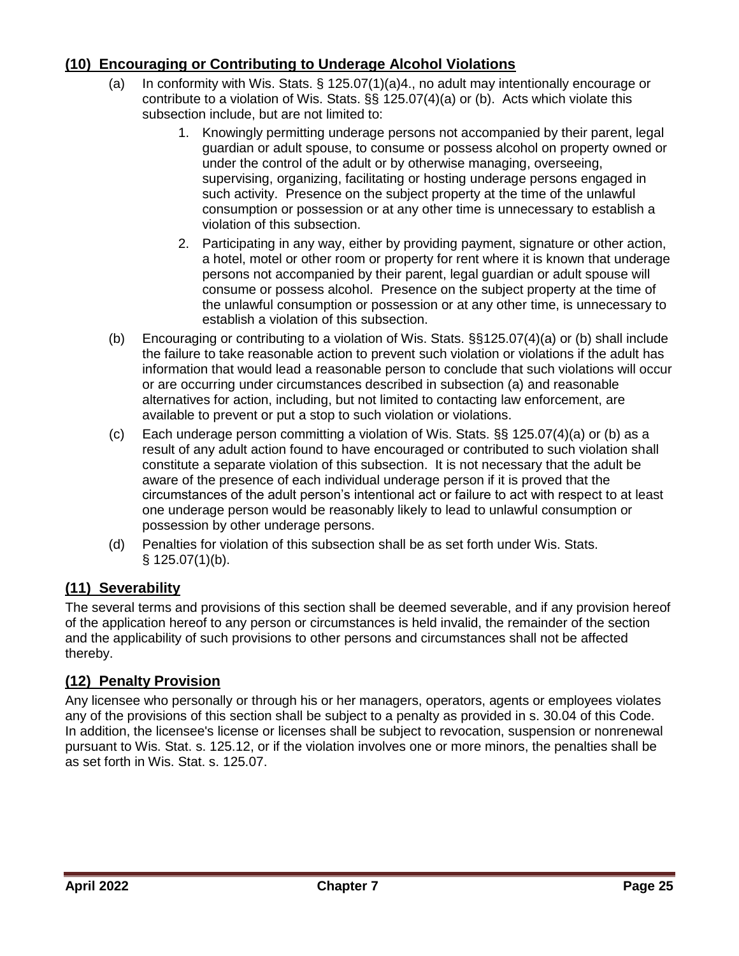## <span id="page-24-0"></span>**(10) Encouraging or Contributing to Underage Alcohol Violations**

- (a) In conformity with Wis. Stats. § 125.07(1)(a)4., no adult may intentionally encourage or contribute to a violation of Wis. Stats. §§ 125.07(4)(a) or (b). Acts which violate this subsection include, but are not limited to:
	- 1. Knowingly permitting underage persons not accompanied by their parent, legal guardian or adult spouse, to consume or possess alcohol on property owned or under the control of the adult or by otherwise managing, overseeing, supervising, organizing, facilitating or hosting underage persons engaged in such activity. Presence on the subject property at the time of the unlawful consumption or possession or at any other time is unnecessary to establish a violation of this subsection.
	- 2. Participating in any way, either by providing payment, signature or other action, a hotel, motel or other room or property for rent where it is known that underage persons not accompanied by their parent, legal guardian or adult spouse will consume or possess alcohol. Presence on the subject property at the time of the unlawful consumption or possession or at any other time, is unnecessary to establish a violation of this subsection.
- (b) Encouraging or contributing to a violation of Wis. Stats. §§125.07(4)(a) or (b) shall include the failure to take reasonable action to prevent such violation or violations if the adult has information that would lead a reasonable person to conclude that such violations will occur or are occurring under circumstances described in subsection (a) and reasonable alternatives for action, including, but not limited to contacting law enforcement, are available to prevent or put a stop to such violation or violations.
- (c) Each underage person committing a violation of Wis. Stats. §§ 125.07(4)(a) or (b) as a result of any adult action found to have encouraged or contributed to such violation shall constitute a separate violation of this subsection. It is not necessary that the adult be aware of the presence of each individual underage person if it is proved that the circumstances of the adult person's intentional act or failure to act with respect to at least one underage person would be reasonably likely to lead to unlawful consumption or possession by other underage persons.
- (d) Penalties for violation of this subsection shall be as set forth under Wis. Stats. § 125.07(1)(b).

## <span id="page-24-1"></span>**(11) Severability**

The several terms and provisions of this section shall be deemed severable, and if any provision hereof of the application hereof to any person or circumstances is held invalid, the remainder of the section and the applicability of such provisions to other persons and circumstances shall not be affected thereby.

## <span id="page-24-2"></span>**(12) Penalty Provision**

Any licensee who personally or through his or her managers, operators, agents or employees violates any of the provisions of this section shall be subject to a penalty as provided in s. 30.04 of this Code. In addition, the licensee's license or licenses shall be subject to revocation, suspension or nonrenewal pursuant to Wis. Stat. s. 125.12, or if the violation involves one or more minors, the penalties shall be as set forth in Wis. Stat. s. 125.07.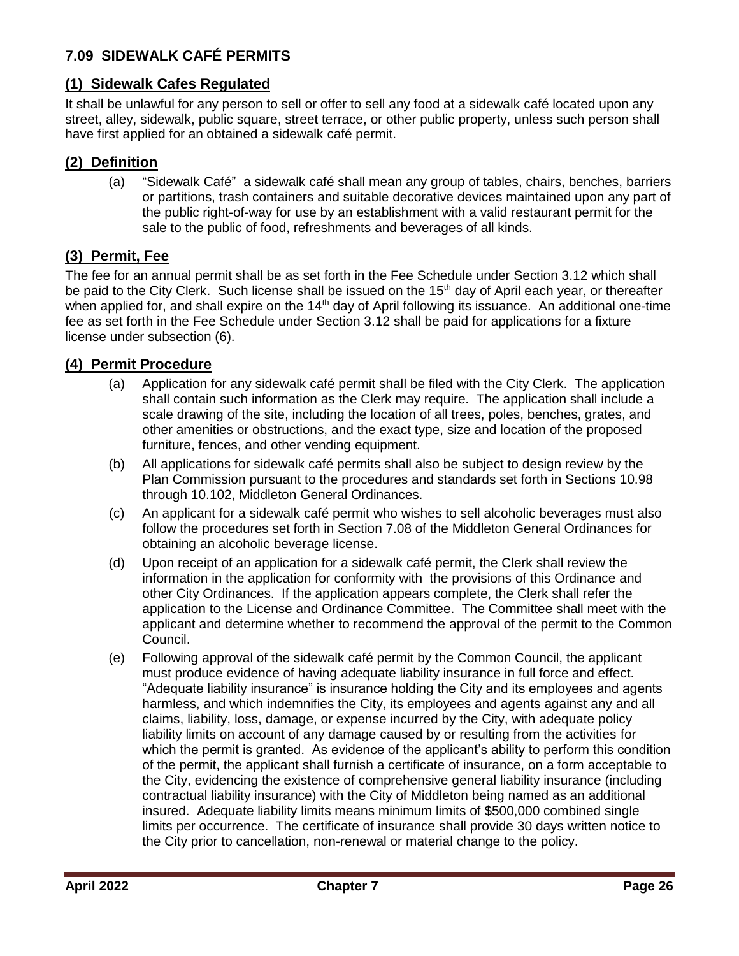## <span id="page-25-0"></span>**7.09 SIDEWALK CAFÉ PERMITS**

## <span id="page-25-1"></span>**(1) Sidewalk Cafes Regulated**

It shall be unlawful for any person to sell or offer to sell any food at a sidewalk café located upon any street, alley, sidewalk, public square, street terrace, or other public property, unless such person shall have first applied for an obtained a sidewalk café permit.

## <span id="page-25-2"></span>**(2) Definition**

(a) "Sidewalk Café" a sidewalk café shall mean any group of tables, chairs, benches, barriers or partitions, trash containers and suitable decorative devices maintained upon any part of the public right-of-way for use by an establishment with a valid restaurant permit for the sale to the public of food, refreshments and beverages of all kinds.

## <span id="page-25-3"></span>**(3) Permit, Fee**

The fee for an annual permit shall be as set forth in the Fee Schedule under Section 3.12 which shall be paid to the City Clerk. Such license shall be issued on the 15<sup>th</sup> day of April each year, or thereafter when applied for, and shall expire on the 14<sup>th</sup> day of April following its issuance. An additional one-time fee as set forth in the Fee Schedule under Section 3.12 shall be paid for applications for a fixture license under subsection (6).

### <span id="page-25-4"></span>**(4) Permit Procedure**

- (a) Application for any sidewalk café permit shall be filed with the City Clerk. The application shall contain such information as the Clerk may require. The application shall include a scale drawing of the site, including the location of all trees, poles, benches, grates, and other amenities or obstructions, and the exact type, size and location of the proposed furniture, fences, and other vending equipment.
- (b) All applications for sidewalk café permits shall also be subject to design review by the Plan Commission pursuant to the procedures and standards set forth in Sections 10.98 through 10.102, Middleton General Ordinances.
- (c) An applicant for a sidewalk café permit who wishes to sell alcoholic beverages must also follow the procedures set forth in Section 7.08 of the Middleton General Ordinances for obtaining an alcoholic beverage license.
- (d) Upon receipt of an application for a sidewalk café permit, the Clerk shall review the information in the application for conformity with the provisions of this Ordinance and other City Ordinances. If the application appears complete, the Clerk shall refer the application to the License and Ordinance Committee. The Committee shall meet with the applicant and determine whether to recommend the approval of the permit to the Common Council.
- (e) Following approval of the sidewalk café permit by the Common Council, the applicant must produce evidence of having adequate liability insurance in full force and effect. "Adequate liability insurance" is insurance holding the City and its employees and agents harmless, and which indemnifies the City, its employees and agents against any and all claims, liability, loss, damage, or expense incurred by the City, with adequate policy liability limits on account of any damage caused by or resulting from the activities for which the permit is granted. As evidence of the applicant's ability to perform this condition of the permit, the applicant shall furnish a certificate of insurance, on a form acceptable to the City, evidencing the existence of comprehensive general liability insurance (including contractual liability insurance) with the City of Middleton being named as an additional insured. Adequate liability limits means minimum limits of \$500,000 combined single limits per occurrence. The certificate of insurance shall provide 30 days written notice to the City prior to cancellation, non-renewal or material change to the policy.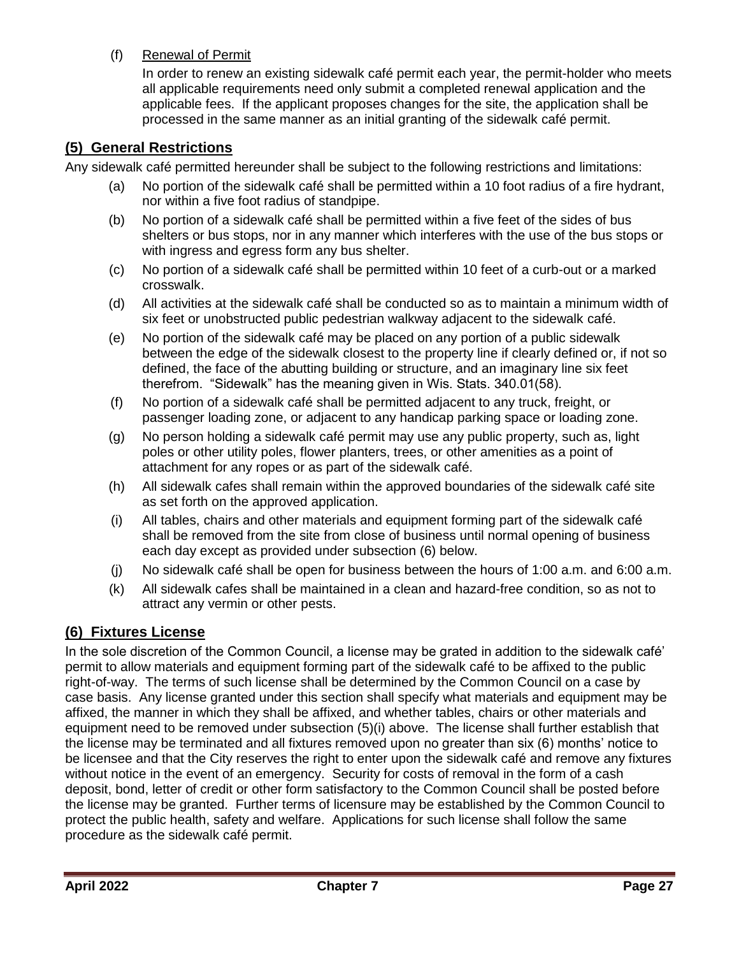(f) Renewal of Permit

In order to renew an existing sidewalk café permit each year, the permit-holder who meets all applicable requirements need only submit a completed renewal application and the applicable fees. If the applicant proposes changes for the site, the application shall be processed in the same manner as an initial granting of the sidewalk café permit.

### <span id="page-26-0"></span>**(5) General Restrictions**

Any sidewalk café permitted hereunder shall be subject to the following restrictions and limitations:

- (a) No portion of the sidewalk café shall be permitted within a 10 foot radius of a fire hydrant, nor within a five foot radius of standpipe.
- (b) No portion of a sidewalk café shall be permitted within a five feet of the sides of bus shelters or bus stops, nor in any manner which interferes with the use of the bus stops or with ingress and egress form any bus shelter.
- (c) No portion of a sidewalk café shall be permitted within 10 feet of a curb-out or a marked crosswalk.
- (d) All activities at the sidewalk café shall be conducted so as to maintain a minimum width of six feet or unobstructed public pedestrian walkway adjacent to the sidewalk café.
- (e) No portion of the sidewalk café may be placed on any portion of a public sidewalk between the edge of the sidewalk closest to the property line if clearly defined or, if not so defined, the face of the abutting building or structure, and an imaginary line six feet therefrom. "Sidewalk" has the meaning given in Wis. Stats. 340.01(58).
- (f) No portion of a sidewalk café shall be permitted adjacent to any truck, freight, or passenger loading zone, or adjacent to any handicap parking space or loading zone.
- (g) No person holding a sidewalk café permit may use any public property, such as, light poles or other utility poles, flower planters, trees, or other amenities as a point of attachment for any ropes or as part of the sidewalk café.
- (h) All sidewalk cafes shall remain within the approved boundaries of the sidewalk café site as set forth on the approved application.
- (i) All tables, chairs and other materials and equipment forming part of the sidewalk café shall be removed from the site from close of business until normal opening of business each day except as provided under subsection (6) below.
- (j) No sidewalk café shall be open for business between the hours of 1:00 a.m. and 6:00 a.m.
- (k) All sidewalk cafes shall be maintained in a clean and hazard-free condition, so as not to attract any vermin or other pests.

## <span id="page-26-1"></span>**(6) Fixtures License**

In the sole discretion of the Common Council, a license may be grated in addition to the sidewalk café' permit to allow materials and equipment forming part of the sidewalk café to be affixed to the public right-of-way. The terms of such license shall be determined by the Common Council on a case by case basis. Any license granted under this section shall specify what materials and equipment may be affixed, the manner in which they shall be affixed, and whether tables, chairs or other materials and equipment need to be removed under subsection (5)(i) above. The license shall further establish that the license may be terminated and all fixtures removed upon no greater than six (6) months' notice to be licensee and that the City reserves the right to enter upon the sidewalk café and remove any fixtures without notice in the event of an emergency. Security for costs of removal in the form of a cash deposit, bond, letter of credit or other form satisfactory to the Common Council shall be posted before the license may be granted. Further terms of licensure may be established by the Common Council to protect the public health, safety and welfare. Applications for such license shall follow the same procedure as the sidewalk café permit.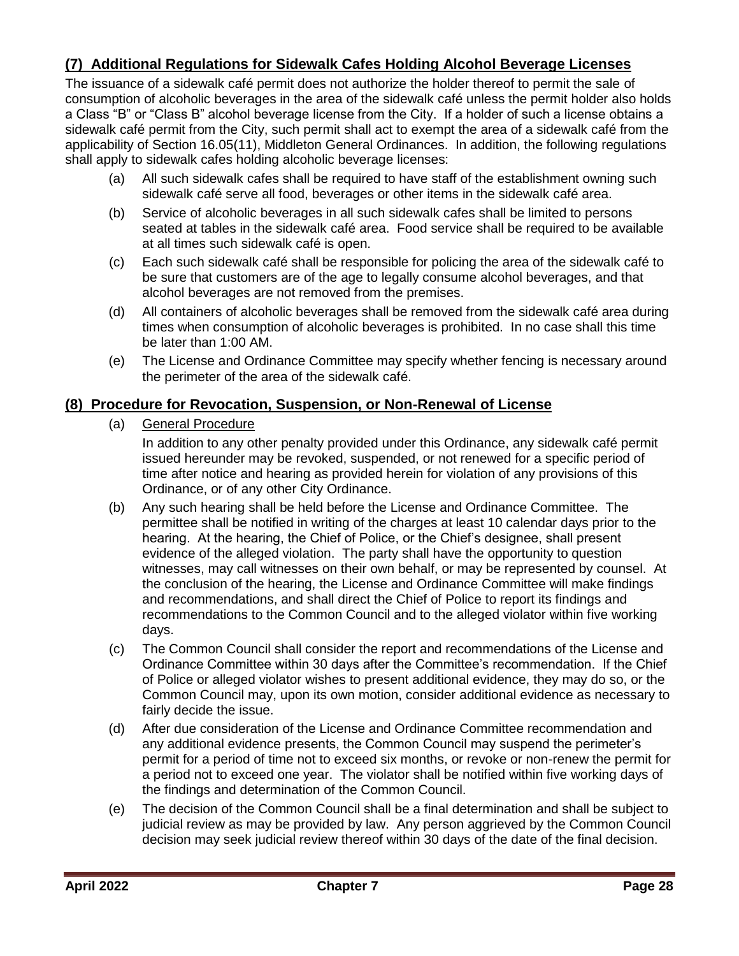## <span id="page-27-0"></span>**(7) Additional Regulations for Sidewalk Cafes Holding Alcohol Beverage Licenses**

The issuance of a sidewalk café permit does not authorize the holder thereof to permit the sale of consumption of alcoholic beverages in the area of the sidewalk café unless the permit holder also holds a Class "B" or "Class B" alcohol beverage license from the City. If a holder of such a license obtains a sidewalk café permit from the City, such permit shall act to exempt the area of a sidewalk café from the applicability of Section 16.05(11), Middleton General Ordinances. In addition, the following regulations shall apply to sidewalk cafes holding alcoholic beverage licenses:

- (a) All such sidewalk cafes shall be required to have staff of the establishment owning such sidewalk café serve all food, beverages or other items in the sidewalk café area.
- (b) Service of alcoholic beverages in all such sidewalk cafes shall be limited to persons seated at tables in the sidewalk café area. Food service shall be required to be available at all times such sidewalk café is open.
- (c) Each such sidewalk café shall be responsible for policing the area of the sidewalk café to be sure that customers are of the age to legally consume alcohol beverages, and that alcohol beverages are not removed from the premises.
- (d) All containers of alcoholic beverages shall be removed from the sidewalk café area during times when consumption of alcoholic beverages is prohibited. In no case shall this time be later than 1:00 AM.
- (e) The License and Ordinance Committee may specify whether fencing is necessary around the perimeter of the area of the sidewalk café.

## <span id="page-27-1"></span>**(8) Procedure for Revocation, Suspension, or Non-Renewal of License**

(a) General Procedure

In addition to any other penalty provided under this Ordinance, any sidewalk café permit issued hereunder may be revoked, suspended, or not renewed for a specific period of time after notice and hearing as provided herein for violation of any provisions of this Ordinance, or of any other City Ordinance.

- (b) Any such hearing shall be held before the License and Ordinance Committee. The permittee shall be notified in writing of the charges at least 10 calendar days prior to the hearing. At the hearing, the Chief of Police, or the Chief's designee, shall present evidence of the alleged violation. The party shall have the opportunity to question witnesses, may call witnesses on their own behalf, or may be represented by counsel. At the conclusion of the hearing, the License and Ordinance Committee will make findings and recommendations, and shall direct the Chief of Police to report its findings and recommendations to the Common Council and to the alleged violator within five working days.
- (c) The Common Council shall consider the report and recommendations of the License and Ordinance Committee within 30 days after the Committee's recommendation. If the Chief of Police or alleged violator wishes to present additional evidence, they may do so, or the Common Council may, upon its own motion, consider additional evidence as necessary to fairly decide the issue.
- (d) After due consideration of the License and Ordinance Committee recommendation and any additional evidence presents, the Common Council may suspend the perimeter's permit for a period of time not to exceed six months, or revoke or non-renew the permit for a period not to exceed one year. The violator shall be notified within five working days of the findings and determination of the Common Council.
- (e) The decision of the Common Council shall be a final determination and shall be subject to judicial review as may be provided by law. Any person aggrieved by the Common Council decision may seek judicial review thereof within 30 days of the date of the final decision.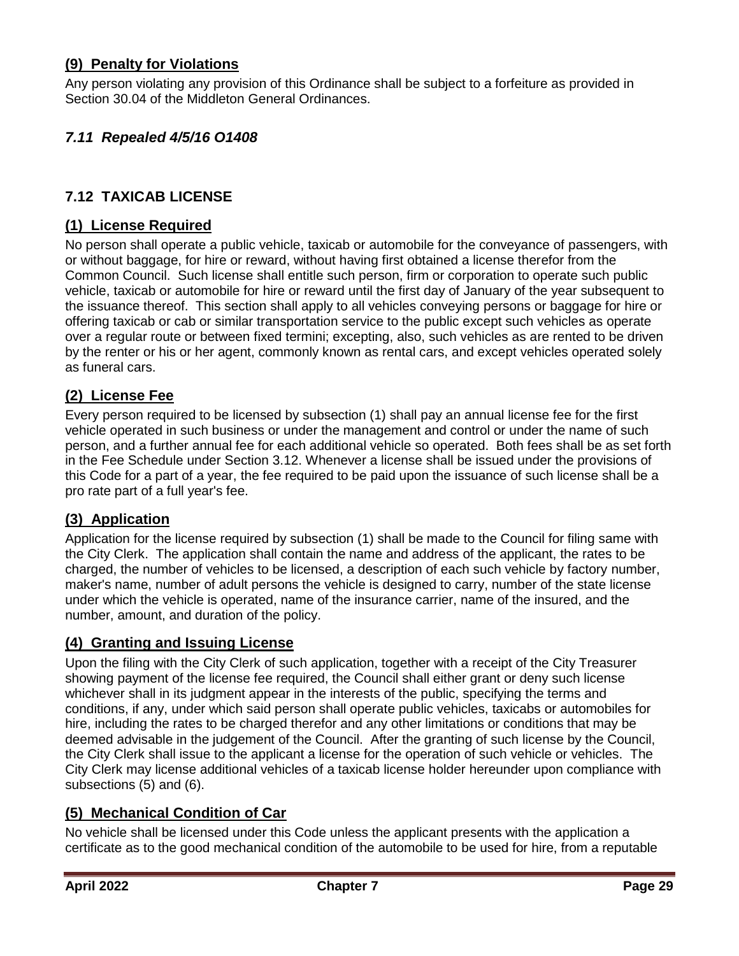## <span id="page-28-0"></span>**(9) Penalty for Violations**

Any person violating any provision of this Ordinance shall be subject to a forfeiture as provided in Section 30.04 of the Middleton General Ordinances.

## <span id="page-28-1"></span>*7.11 Repealed 4/5/16 O1408*

## <span id="page-28-2"></span>**7.12 TAXICAB LICENSE**

### <span id="page-28-3"></span>**(1) License Required**

No person shall operate a public vehicle, taxicab or automobile for the conveyance of passengers, with or without baggage, for hire or reward, without having first obtained a license therefor from the Common Council. Such license shall entitle such person, firm or corporation to operate such public vehicle, taxicab or automobile for hire or reward until the first day of January of the year subsequent to the issuance thereof. This section shall apply to all vehicles conveying persons or baggage for hire or offering taxicab or cab or similar transportation service to the public except such vehicles as operate over a regular route or between fixed termini; excepting, also, such vehicles as are rented to be driven by the renter or his or her agent, commonly known as rental cars, and except vehicles operated solely as funeral cars.

### <span id="page-28-4"></span>**(2) License Fee**

Every person required to be licensed by subsection (1) shall pay an annual license fee for the first vehicle operated in such business or under the management and control or under the name of such person, and a further annual fee for each additional vehicle so operated. Both fees shall be as set forth in the Fee Schedule under Section 3.12. Whenever a license shall be issued under the provisions of this Code for a part of a year, the fee required to be paid upon the issuance of such license shall be a pro rate part of a full year's fee.

### <span id="page-28-5"></span>**(3) Application**

Application for the license required by subsection (1) shall be made to the Council for filing same with the City Clerk. The application shall contain the name and address of the applicant, the rates to be charged, the number of vehicles to be licensed, a description of each such vehicle by factory number, maker's name, number of adult persons the vehicle is designed to carry, number of the state license under which the vehicle is operated, name of the insurance carrier, name of the insured, and the number, amount, and duration of the policy.

### <span id="page-28-6"></span>**(4) Granting and Issuing License**

Upon the filing with the City Clerk of such application, together with a receipt of the City Treasurer showing payment of the license fee required, the Council shall either grant or deny such license whichever shall in its judgment appear in the interests of the public, specifying the terms and conditions, if any, under which said person shall operate public vehicles, taxicabs or automobiles for hire, including the rates to be charged therefor and any other limitations or conditions that may be deemed advisable in the judgement of the Council. After the granting of such license by the Council, the City Clerk shall issue to the applicant a license for the operation of such vehicle or vehicles. The City Clerk may license additional vehicles of a taxicab license holder hereunder upon compliance with subsections (5) and (6).

### <span id="page-28-7"></span>**(5) Mechanical Condition of Car**

No vehicle shall be licensed under this Code unless the applicant presents with the application a certificate as to the good mechanical condition of the automobile to be used for hire, from a reputable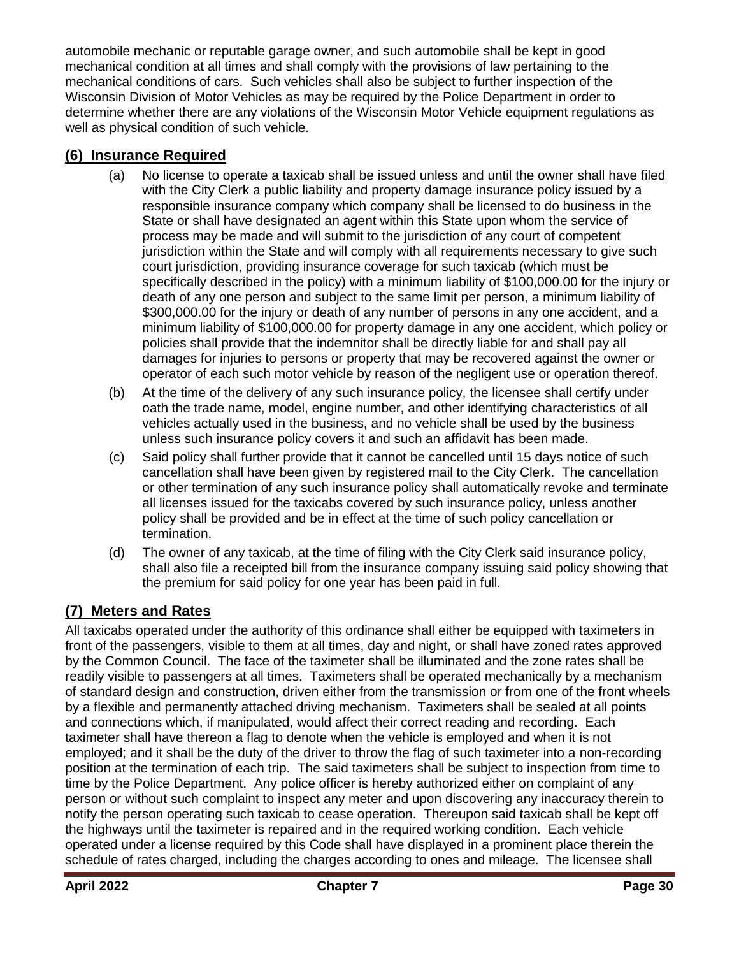automobile mechanic or reputable garage owner, and such automobile shall be kept in good mechanical condition at all times and shall comply with the provisions of law pertaining to the mechanical conditions of cars. Such vehicles shall also be subject to further inspection of the Wisconsin Division of Motor Vehicles as may be required by the Police Department in order to determine whether there are any violations of the Wisconsin Motor Vehicle equipment regulations as well as physical condition of such vehicle.

## <span id="page-29-0"></span>**(6) Insurance Required**

- (a) No license to operate a taxicab shall be issued unless and until the owner shall have filed with the City Clerk a public liability and property damage insurance policy issued by a responsible insurance company which company shall be licensed to do business in the State or shall have designated an agent within this State upon whom the service of process may be made and will submit to the jurisdiction of any court of competent jurisdiction within the State and will comply with all requirements necessary to give such court jurisdiction, providing insurance coverage for such taxicab (which must be specifically described in the policy) with a minimum liability of \$100,000.00 for the injury or death of any one person and subject to the same limit per person, a minimum liability of \$300,000.00 for the injury or death of any number of persons in any one accident, and a minimum liability of \$100,000.00 for property damage in any one accident, which policy or policies shall provide that the indemnitor shall be directly liable for and shall pay all damages for injuries to persons or property that may be recovered against the owner or operator of each such motor vehicle by reason of the negligent use or operation thereof.
- (b) At the time of the delivery of any such insurance policy, the licensee shall certify under oath the trade name, model, engine number, and other identifying characteristics of all vehicles actually used in the business, and no vehicle shall be used by the business unless such insurance policy covers it and such an affidavit has been made.
- (c) Said policy shall further provide that it cannot be cancelled until 15 days notice of such cancellation shall have been given by registered mail to the City Clerk. The cancellation or other termination of any such insurance policy shall automatically revoke and terminate all licenses issued for the taxicabs covered by such insurance policy, unless another policy shall be provided and be in effect at the time of such policy cancellation or termination.
- (d) The owner of any taxicab, at the time of filing with the City Clerk said insurance policy, shall also file a receipted bill from the insurance company issuing said policy showing that the premium for said policy for one year has been paid in full.

## <span id="page-29-1"></span>**(7) Meters and Rates**

All taxicabs operated under the authority of this ordinance shall either be equipped with taximeters in front of the passengers, visible to them at all times, day and night, or shall have zoned rates approved by the Common Council. The face of the taximeter shall be illuminated and the zone rates shall be readily visible to passengers at all times. Taximeters shall be operated mechanically by a mechanism of standard design and construction, driven either from the transmission or from one of the front wheels by a flexible and permanently attached driving mechanism. Taximeters shall be sealed at all points and connections which, if manipulated, would affect their correct reading and recording. Each taximeter shall have thereon a flag to denote when the vehicle is employed and when it is not employed; and it shall be the duty of the driver to throw the flag of such taximeter into a non-recording position at the termination of each trip. The said taximeters shall be subject to inspection from time to time by the Police Department. Any police officer is hereby authorized either on complaint of any person or without such complaint to inspect any meter and upon discovering any inaccuracy therein to notify the person operating such taxicab to cease operation. Thereupon said taxicab shall be kept off the highways until the taximeter is repaired and in the required working condition. Each vehicle operated under a license required by this Code shall have displayed in a prominent place therein the schedule of rates charged, including the charges according to ones and mileage. The licensee shall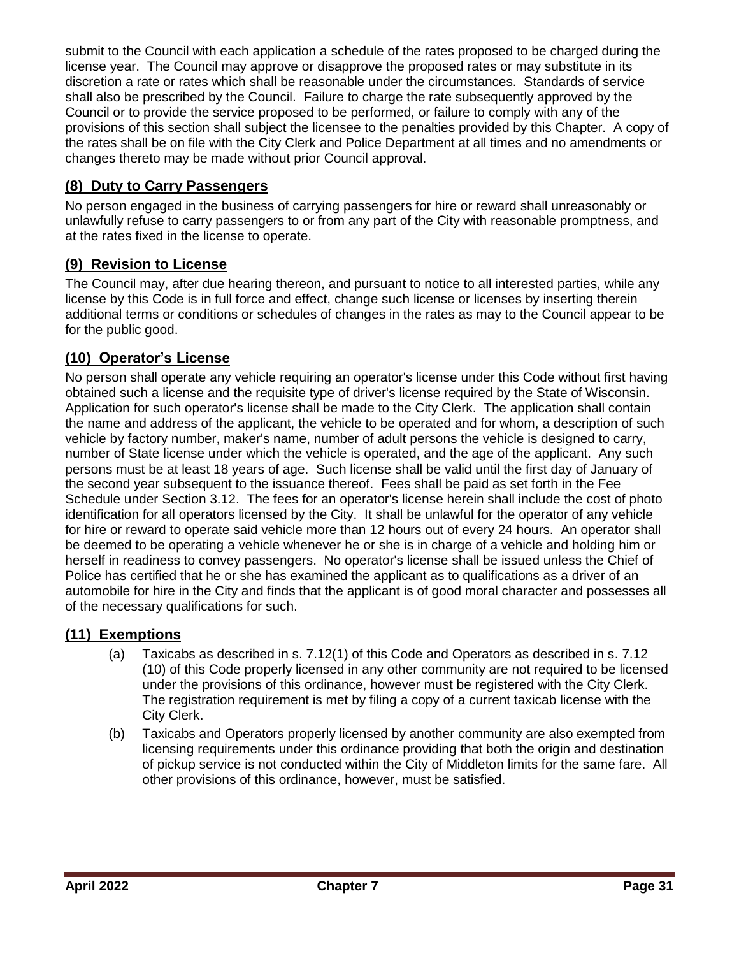submit to the Council with each application a schedule of the rates proposed to be charged during the license year. The Council may approve or disapprove the proposed rates or may substitute in its discretion a rate or rates which shall be reasonable under the circumstances. Standards of service shall also be prescribed by the Council. Failure to charge the rate subsequently approved by the Council or to provide the service proposed to be performed, or failure to comply with any of the provisions of this section shall subject the licensee to the penalties provided by this Chapter. A copy of the rates shall be on file with the City Clerk and Police Department at all times and no amendments or changes thereto may be made without prior Council approval.

## <span id="page-30-0"></span>**(8) Duty to Carry Passengers**

No person engaged in the business of carrying passengers for hire or reward shall unreasonably or unlawfully refuse to carry passengers to or from any part of the City with reasonable promptness, and at the rates fixed in the license to operate.

## <span id="page-30-1"></span>**(9) Revision to License**

The Council may, after due hearing thereon, and pursuant to notice to all interested parties, while any license by this Code is in full force and effect, change such license or licenses by inserting therein additional terms or conditions or schedules of changes in the rates as may to the Council appear to be for the public good.

## <span id="page-30-2"></span>**(10) Operator's License**

No person shall operate any vehicle requiring an operator's license under this Code without first having obtained such a license and the requisite type of driver's license required by the State of Wisconsin. Application for such operator's license shall be made to the City Clerk. The application shall contain the name and address of the applicant, the vehicle to be operated and for whom, a description of such vehicle by factory number, maker's name, number of adult persons the vehicle is designed to carry, number of State license under which the vehicle is operated, and the age of the applicant. Any such persons must be at least 18 years of age. Such license shall be valid until the first day of January of the second year subsequent to the issuance thereof. Fees shall be paid as set forth in the Fee Schedule under Section 3.12. The fees for an operator's license herein shall include the cost of photo identification for all operators licensed by the City. It shall be unlawful for the operator of any vehicle for hire or reward to operate said vehicle more than 12 hours out of every 24 hours. An operator shall be deemed to be operating a vehicle whenever he or she is in charge of a vehicle and holding him or herself in readiness to convey passengers. No operator's license shall be issued unless the Chief of Police has certified that he or she has examined the applicant as to qualifications as a driver of an automobile for hire in the City and finds that the applicant is of good moral character and possesses all of the necessary qualifications for such.

## <span id="page-30-3"></span>**(11) Exemptions**

- (a) Taxicabs as described in s. 7.12(1) of this Code and Operators as described in s. 7.12 (10) of this Code properly licensed in any other community are not required to be licensed under the provisions of this ordinance, however must be registered with the City Clerk. The registration requirement is met by filing a copy of a current taxicab license with the City Clerk.
- (b) Taxicabs and Operators properly licensed by another community are also exempted from licensing requirements under this ordinance providing that both the origin and destination of pickup service is not conducted within the City of Middleton limits for the same fare. All other provisions of this ordinance, however, must be satisfied.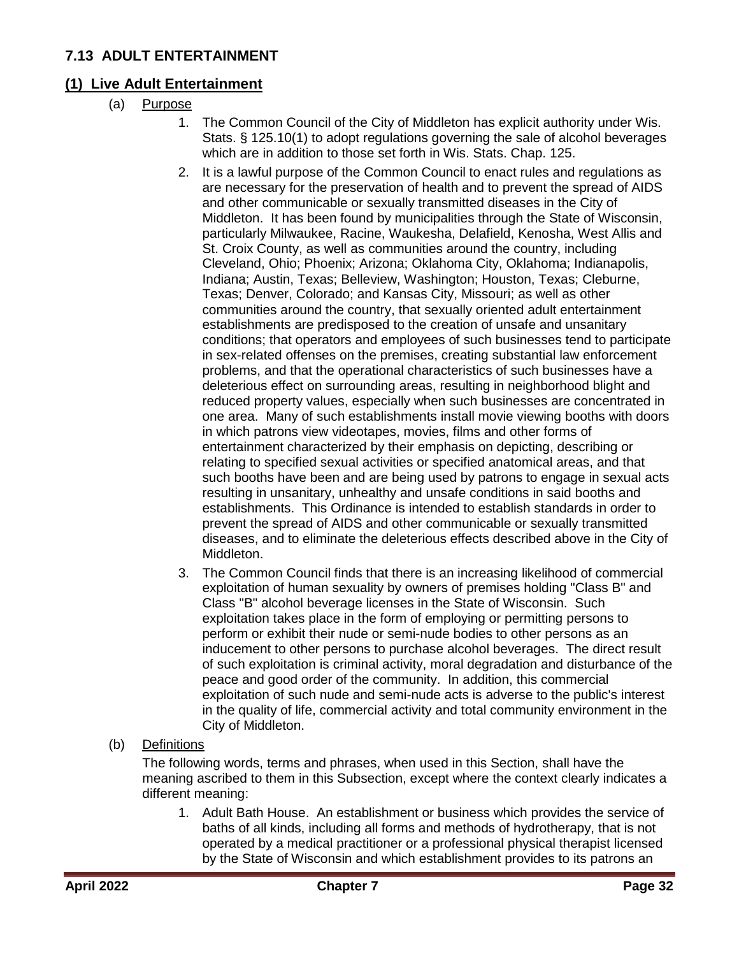## <span id="page-31-0"></span>**7.13 ADULT ENTERTAINMENT**

## <span id="page-31-1"></span>**(1) Live Adult Entertainment**

- (a) Purpose
	- 1. The Common Council of the City of Middleton has explicit authority under Wis. Stats. § 125.10(1) to adopt regulations governing the sale of alcohol beverages which are in addition to those set forth in Wis. Stats. Chap. 125.
	- 2. It is a lawful purpose of the Common Council to enact rules and regulations as are necessary for the preservation of health and to prevent the spread of AIDS and other communicable or sexually transmitted diseases in the City of Middleton. It has been found by municipalities through the State of Wisconsin, particularly Milwaukee, Racine, Waukesha, Delafield, Kenosha, West Allis and St. Croix County, as well as communities around the country, including Cleveland, Ohio; Phoenix; Arizona; Oklahoma City, Oklahoma; Indianapolis, Indiana; Austin, Texas; Belleview, Washington; Houston, Texas; Cleburne, Texas; Denver, Colorado; and Kansas City, Missouri; as well as other communities around the country, that sexually oriented adult entertainment establishments are predisposed to the creation of unsafe and unsanitary conditions; that operators and employees of such businesses tend to participate in sex-related offenses on the premises, creating substantial law enforcement problems, and that the operational characteristics of such businesses have a deleterious effect on surrounding areas, resulting in neighborhood blight and reduced property values, especially when such businesses are concentrated in one area. Many of such establishments install movie viewing booths with doors in which patrons view videotapes, movies, films and other forms of entertainment characterized by their emphasis on depicting, describing or relating to specified sexual activities or specified anatomical areas, and that such booths have been and are being used by patrons to engage in sexual acts resulting in unsanitary, unhealthy and unsafe conditions in said booths and establishments. This Ordinance is intended to establish standards in order to prevent the spread of AIDS and other communicable or sexually transmitted diseases, and to eliminate the deleterious effects described above in the City of Middleton.
	- 3. The Common Council finds that there is an increasing likelihood of commercial exploitation of human sexuality by owners of premises holding "Class B" and Class "B" alcohol beverage licenses in the State of Wisconsin. Such exploitation takes place in the form of employing or permitting persons to perform or exhibit their nude or semi-nude bodies to other persons as an inducement to other persons to purchase alcohol beverages. The direct result of such exploitation is criminal activity, moral degradation and disturbance of the peace and good order of the community. In addition, this commercial exploitation of such nude and semi-nude acts is adverse to the public's interest in the quality of life, commercial activity and total community environment in the City of Middleton.

## (b) Definitions

The following words, terms and phrases, when used in this Section, shall have the meaning ascribed to them in this Subsection, except where the context clearly indicates a different meaning:

1. Adult Bath House. An establishment or business which provides the service of baths of all kinds, including all forms and methods of hydrotherapy, that is not operated by a medical practitioner or a professional physical therapist licensed by the State of Wisconsin and which establishment provides to its patrons an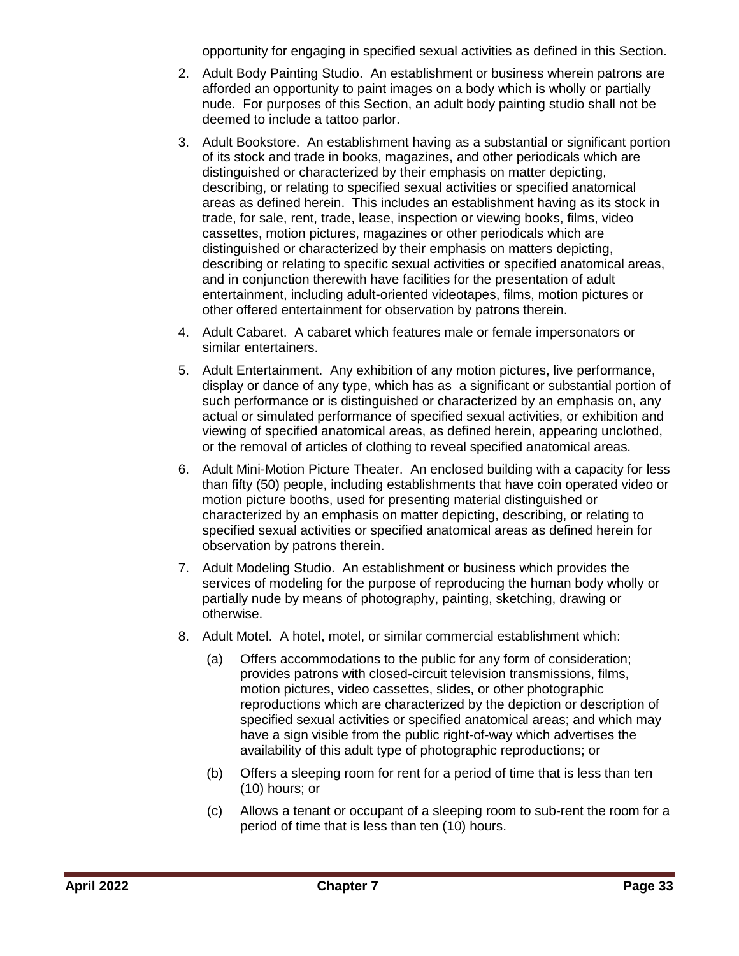opportunity for engaging in specified sexual activities as defined in this Section.

- 2. Adult Body Painting Studio. An establishment or business wherein patrons are afforded an opportunity to paint images on a body which is wholly or partially nude. For purposes of this Section, an adult body painting studio shall not be deemed to include a tattoo parlor.
- 3. Adult Bookstore. An establishment having as a substantial or significant portion of its stock and trade in books, magazines, and other periodicals which are distinguished or characterized by their emphasis on matter depicting, describing, or relating to specified sexual activities or specified anatomical areas as defined herein. This includes an establishment having as its stock in trade, for sale, rent, trade, lease, inspection or viewing books, films, video cassettes, motion pictures, magazines or other periodicals which are distinguished or characterized by their emphasis on matters depicting, describing or relating to specific sexual activities or specified anatomical areas, and in conjunction therewith have facilities for the presentation of adult entertainment, including adult-oriented videotapes, films, motion pictures or other offered entertainment for observation by patrons therein.
- 4. Adult Cabaret. A cabaret which features male or female impersonators or similar entertainers.
- 5. Adult Entertainment. Any exhibition of any motion pictures, live performance, display or dance of any type, which has as a significant or substantial portion of such performance or is distinguished or characterized by an emphasis on, any actual or simulated performance of specified sexual activities, or exhibition and viewing of specified anatomical areas, as defined herein, appearing unclothed, or the removal of articles of clothing to reveal specified anatomical areas.
- 6. Adult Mini-Motion Picture Theater. An enclosed building with a capacity for less than fifty (50) people, including establishments that have coin operated video or motion picture booths, used for presenting material distinguished or characterized by an emphasis on matter depicting, describing, or relating to specified sexual activities or specified anatomical areas as defined herein for observation by patrons therein.
- 7. Adult Modeling Studio. An establishment or business which provides the services of modeling for the purpose of reproducing the human body wholly or partially nude by means of photography, painting, sketching, drawing or otherwise.
- 8. Adult Motel. A hotel, motel, or similar commercial establishment which:
	- (a) Offers accommodations to the public for any form of consideration; provides patrons with closed-circuit television transmissions, films, motion pictures, video cassettes, slides, or other photographic reproductions which are characterized by the depiction or description of specified sexual activities or specified anatomical areas; and which may have a sign visible from the public right-of-way which advertises the availability of this adult type of photographic reproductions; or
	- (b) Offers a sleeping room for rent for a period of time that is less than ten (10) hours; or
	- (c) Allows a tenant or occupant of a sleeping room to sub-rent the room for a period of time that is less than ten (10) hours.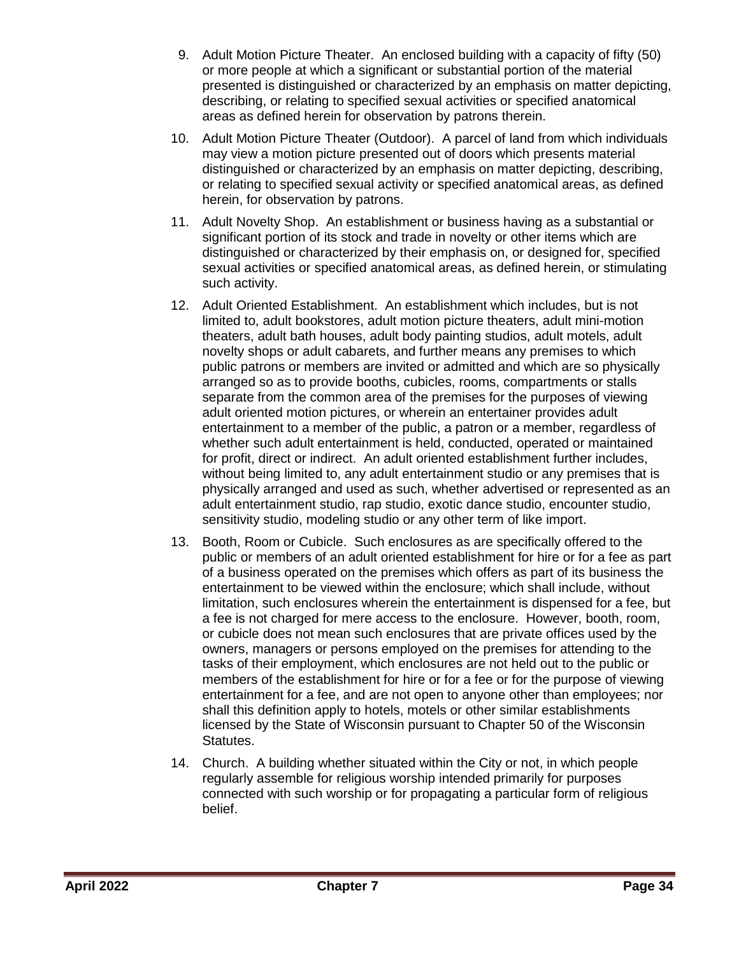- 9. Adult Motion Picture Theater. An enclosed building with a capacity of fifty (50) or more people at which a significant or substantial portion of the material presented is distinguished or characterized by an emphasis on matter depicting, describing, or relating to specified sexual activities or specified anatomical areas as defined herein for observation by patrons therein.
- 10. Adult Motion Picture Theater (Outdoor). A parcel of land from which individuals may view a motion picture presented out of doors which presents material distinguished or characterized by an emphasis on matter depicting, describing, or relating to specified sexual activity or specified anatomical areas, as defined herein, for observation by patrons.
- 11. Adult Novelty Shop. An establishment or business having as a substantial or significant portion of its stock and trade in novelty or other items which are distinguished or characterized by their emphasis on, or designed for, specified sexual activities or specified anatomical areas, as defined herein, or stimulating such activity.
- 12. Adult Oriented Establishment. An establishment which includes, but is not limited to, adult bookstores, adult motion picture theaters, adult mini-motion theaters, adult bath houses, adult body painting studios, adult motels, adult novelty shops or adult cabarets, and further means any premises to which public patrons or members are invited or admitted and which are so physically arranged so as to provide booths, cubicles, rooms, compartments or stalls separate from the common area of the premises for the purposes of viewing adult oriented motion pictures, or wherein an entertainer provides adult entertainment to a member of the public, a patron or a member, regardless of whether such adult entertainment is held, conducted, operated or maintained for profit, direct or indirect. An adult oriented establishment further includes, without being limited to, any adult entertainment studio or any premises that is physically arranged and used as such, whether advertised or represented as an adult entertainment studio, rap studio, exotic dance studio, encounter studio, sensitivity studio, modeling studio or any other term of like import.
- 13. Booth, Room or Cubicle. Such enclosures as are specifically offered to the public or members of an adult oriented establishment for hire or for a fee as part of a business operated on the premises which offers as part of its business the entertainment to be viewed within the enclosure; which shall include, without limitation, such enclosures wherein the entertainment is dispensed for a fee, but a fee is not charged for mere access to the enclosure. However, booth, room, or cubicle does not mean such enclosures that are private offices used by the owners, managers or persons employed on the premises for attending to the tasks of their employment, which enclosures are not held out to the public or members of the establishment for hire or for a fee or for the purpose of viewing entertainment for a fee, and are not open to anyone other than employees; nor shall this definition apply to hotels, motels or other similar establishments licensed by the State of Wisconsin pursuant to Chapter 50 of the Wisconsin Statutes.
- 14. Church. A building whether situated within the City or not, in which people regularly assemble for religious worship intended primarily for purposes connected with such worship or for propagating a particular form of religious belief.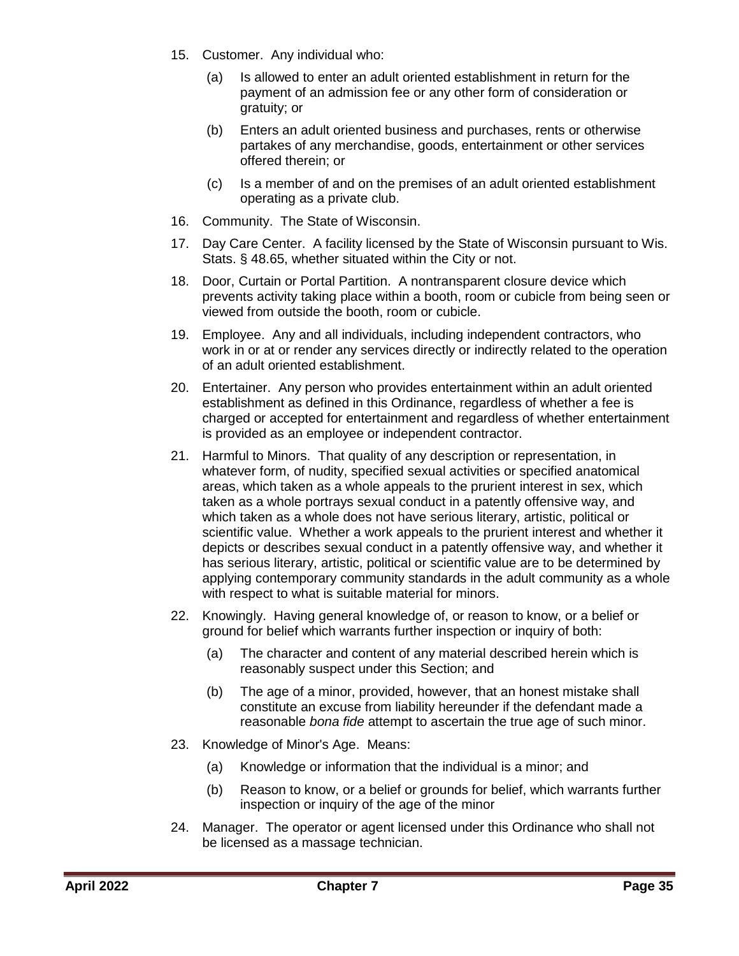- 15. Customer. Any individual who:
	- (a) Is allowed to enter an adult oriented establishment in return for the payment of an admission fee or any other form of consideration or gratuity; or
	- (b) Enters an adult oriented business and purchases, rents or otherwise partakes of any merchandise, goods, entertainment or other services offered therein; or
	- (c) Is a member of and on the premises of an adult oriented establishment operating as a private club.
- 16. Community. The State of Wisconsin.
- 17. Day Care Center. A facility licensed by the State of Wisconsin pursuant to Wis. Stats. § 48.65, whether situated within the City or not.
- 18. Door, Curtain or Portal Partition. A nontransparent closure device which prevents activity taking place within a booth, room or cubicle from being seen or viewed from outside the booth, room or cubicle.
- 19. Employee. Any and all individuals, including independent contractors, who work in or at or render any services directly or indirectly related to the operation of an adult oriented establishment.
- 20. Entertainer. Any person who provides entertainment within an adult oriented establishment as defined in this Ordinance, regardless of whether a fee is charged or accepted for entertainment and regardless of whether entertainment is provided as an employee or independent contractor.
- 21. Harmful to Minors. That quality of any description or representation, in whatever form, of nudity, specified sexual activities or specified anatomical areas, which taken as a whole appeals to the prurient interest in sex, which taken as a whole portrays sexual conduct in a patently offensive way, and which taken as a whole does not have serious literary, artistic, political or scientific value. Whether a work appeals to the prurient interest and whether it depicts or describes sexual conduct in a patently offensive way, and whether it has serious literary, artistic, political or scientific value are to be determined by applying contemporary community standards in the adult community as a whole with respect to what is suitable material for minors.
- 22. Knowingly. Having general knowledge of, or reason to know, or a belief or ground for belief which warrants further inspection or inquiry of both:
	- (a) The character and content of any material described herein which is reasonably suspect under this Section; and
	- (b) The age of a minor, provided, however, that an honest mistake shall constitute an excuse from liability hereunder if the defendant made a reasonable *bona fide* attempt to ascertain the true age of such minor.
- 23. Knowledge of Minor's Age. Means:
	- (a) Knowledge or information that the individual is a minor; and
	- (b) Reason to know, or a belief or grounds for belief, which warrants further inspection or inquiry of the age of the minor
- 24. Manager. The operator or agent licensed under this Ordinance who shall not be licensed as a massage technician.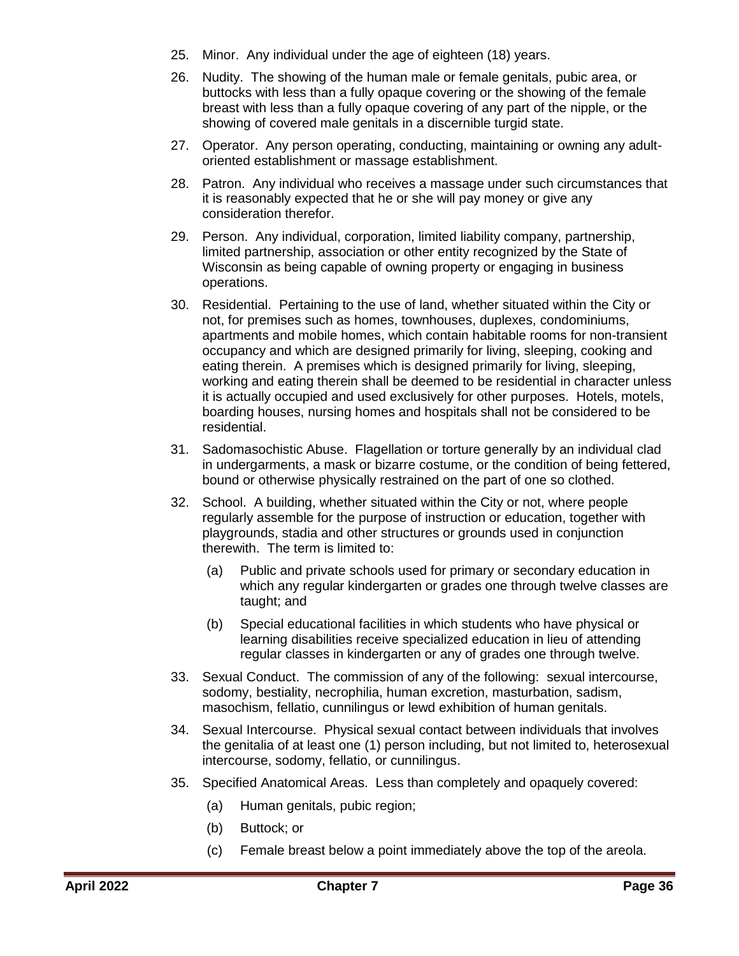- 25. Minor. Any individual under the age of eighteen (18) years.
- 26. Nudity. The showing of the human male or female genitals, pubic area, or buttocks with less than a fully opaque covering or the showing of the female breast with less than a fully opaque covering of any part of the nipple, or the showing of covered male genitals in a discernible turgid state.
- 27. Operator. Any person operating, conducting, maintaining or owning any adultoriented establishment or massage establishment.
- 28. Patron. Any individual who receives a massage under such circumstances that it is reasonably expected that he or she will pay money or give any consideration therefor.
- 29. Person. Any individual, corporation, limited liability company, partnership, limited partnership, association or other entity recognized by the State of Wisconsin as being capable of owning property or engaging in business operations.
- 30. Residential. Pertaining to the use of land, whether situated within the City or not, for premises such as homes, townhouses, duplexes, condominiums, apartments and mobile homes, which contain habitable rooms for non-transient occupancy and which are designed primarily for living, sleeping, cooking and eating therein. A premises which is designed primarily for living, sleeping, working and eating therein shall be deemed to be residential in character unless it is actually occupied and used exclusively for other purposes. Hotels, motels, boarding houses, nursing homes and hospitals shall not be considered to be residential.
- 31. Sadomasochistic Abuse. Flagellation or torture generally by an individual clad in undergarments, a mask or bizarre costume, or the condition of being fettered, bound or otherwise physically restrained on the part of one so clothed.
- 32. School. A building, whether situated within the City or not, where people regularly assemble for the purpose of instruction or education, together with playgrounds, stadia and other structures or grounds used in conjunction therewith. The term is limited to:
	- (a) Public and private schools used for primary or secondary education in which any regular kindergarten or grades one through twelve classes are taught; and
	- (b) Special educational facilities in which students who have physical or learning disabilities receive specialized education in lieu of attending regular classes in kindergarten or any of grades one through twelve.
- 33. Sexual Conduct. The commission of any of the following: sexual intercourse, sodomy, bestiality, necrophilia, human excretion, masturbation, sadism, masochism, fellatio, cunnilingus or lewd exhibition of human genitals.
- 34. Sexual Intercourse. Physical sexual contact between individuals that involves the genitalia of at least one (1) person including, but not limited to, heterosexual intercourse, sodomy, fellatio, or cunnilingus.
- 35. Specified Anatomical Areas. Less than completely and opaquely covered:
	- (a) Human genitals, pubic region;
	- (b) Buttock; or
	- (c) Female breast below a point immediately above the top of the areola.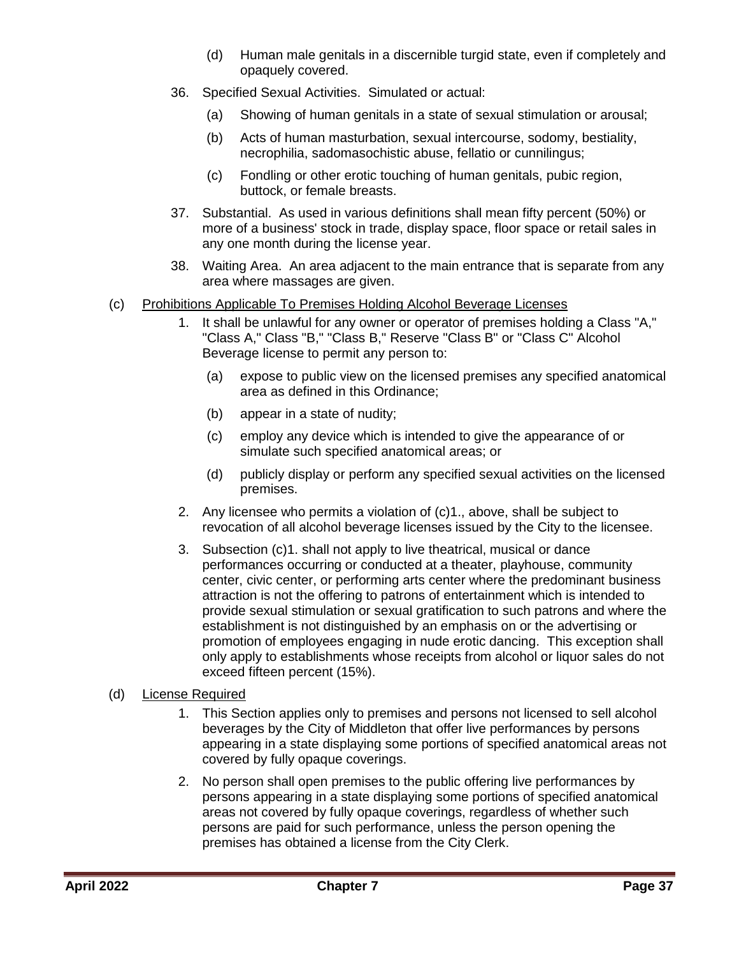- (d) Human male genitals in a discernible turgid state, even if completely and opaquely covered.
- 36. Specified Sexual Activities. Simulated or actual:
	- (a) Showing of human genitals in a state of sexual stimulation or arousal;
	- (b) Acts of human masturbation, sexual intercourse, sodomy, bestiality, necrophilia, sadomasochistic abuse, fellatio or cunnilingus;
	- (c) Fondling or other erotic touching of human genitals, pubic region, buttock, or female breasts.
- 37. Substantial. As used in various definitions shall mean fifty percent (50%) or more of a business' stock in trade, display space, floor space or retail sales in any one month during the license year.
- 38. Waiting Area. An area adjacent to the main entrance that is separate from any area where massages are given.
- (c) Prohibitions Applicable To Premises Holding Alcohol Beverage Licenses
	- 1. It shall be unlawful for any owner or operator of premises holding a Class "A," "Class A," Class "B," "Class B," Reserve "Class B" or "Class C" Alcohol Beverage license to permit any person to:
		- (a) expose to public view on the licensed premises any specified anatomical area as defined in this Ordinance;
		- (b) appear in a state of nudity;
		- (c) employ any device which is intended to give the appearance of or simulate such specified anatomical areas; or
		- (d) publicly display or perform any specified sexual activities on the licensed premises.
	- 2. Any licensee who permits a violation of (c)1., above, shall be subject to revocation of all alcohol beverage licenses issued by the City to the licensee.
	- 3. Subsection (c)1. shall not apply to live theatrical, musical or dance performances occurring or conducted at a theater, playhouse, community center, civic center, or performing arts center where the predominant business attraction is not the offering to patrons of entertainment which is intended to provide sexual stimulation or sexual gratification to such patrons and where the establishment is not distinguished by an emphasis on or the advertising or promotion of employees engaging in nude erotic dancing. This exception shall only apply to establishments whose receipts from alcohol or liquor sales do not exceed fifteen percent (15%).

#### (d) License Required

- 1. This Section applies only to premises and persons not licensed to sell alcohol beverages by the City of Middleton that offer live performances by persons appearing in a state displaying some portions of specified anatomical areas not covered by fully opaque coverings.
- 2. No person shall open premises to the public offering live performances by persons appearing in a state displaying some portions of specified anatomical areas not covered by fully opaque coverings, regardless of whether such persons are paid for such performance, unless the person opening the premises has obtained a license from the City Clerk.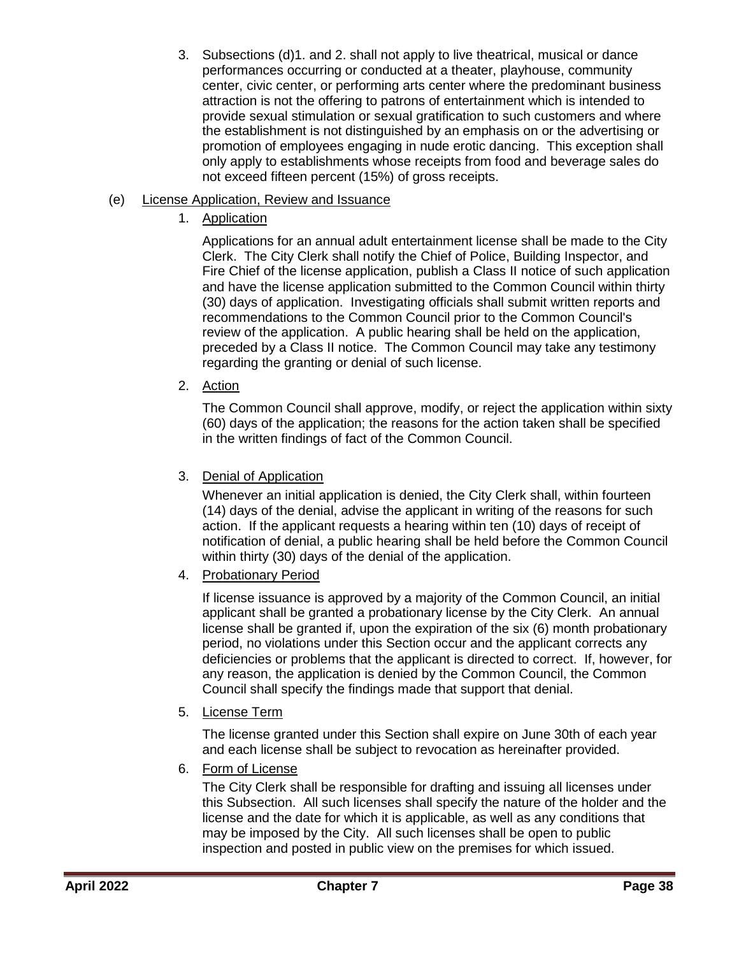3. Subsections (d)1. and 2. shall not apply to live theatrical, musical or dance performances occurring or conducted at a theater, playhouse, community center, civic center, or performing arts center where the predominant business attraction is not the offering to patrons of entertainment which is intended to provide sexual stimulation or sexual gratification to such customers and where the establishment is not distinguished by an emphasis on or the advertising or promotion of employees engaging in nude erotic dancing. This exception shall only apply to establishments whose receipts from food and beverage sales do not exceed fifteen percent (15%) of gross receipts.

### (e) License Application, Review and Issuance

1. Application

Applications for an annual adult entertainment license shall be made to the City Clerk. The City Clerk shall notify the Chief of Police, Building Inspector, and Fire Chief of the license application, publish a Class II notice of such application and have the license application submitted to the Common Council within thirty (30) days of application. Investigating officials shall submit written reports and recommendations to the Common Council prior to the Common Council's review of the application. A public hearing shall be held on the application, preceded by a Class II notice. The Common Council may take any testimony regarding the granting or denial of such license.

2. Action

The Common Council shall approve, modify, or reject the application within sixty (60) days of the application; the reasons for the action taken shall be specified in the written findings of fact of the Common Council.

### 3. Denial of Application

Whenever an initial application is denied, the City Clerk shall, within fourteen (14) days of the denial, advise the applicant in writing of the reasons for such action. If the applicant requests a hearing within ten (10) days of receipt of notification of denial, a public hearing shall be held before the Common Council within thirty (30) days of the denial of the application.

4. Probationary Period

If license issuance is approved by a majority of the Common Council, an initial applicant shall be granted a probationary license by the City Clerk. An annual license shall be granted if, upon the expiration of the six (6) month probationary period, no violations under this Section occur and the applicant corrects any deficiencies or problems that the applicant is directed to correct. If, however, for any reason, the application is denied by the Common Council, the Common Council shall specify the findings made that support that denial.

5. License Term

The license granted under this Section shall expire on June 30th of each year and each license shall be subject to revocation as hereinafter provided.

6. Form of License

The City Clerk shall be responsible for drafting and issuing all licenses under this Subsection. All such licenses shall specify the nature of the holder and the license and the date for which it is applicable, as well as any conditions that may be imposed by the City. All such licenses shall be open to public inspection and posted in public view on the premises for which issued.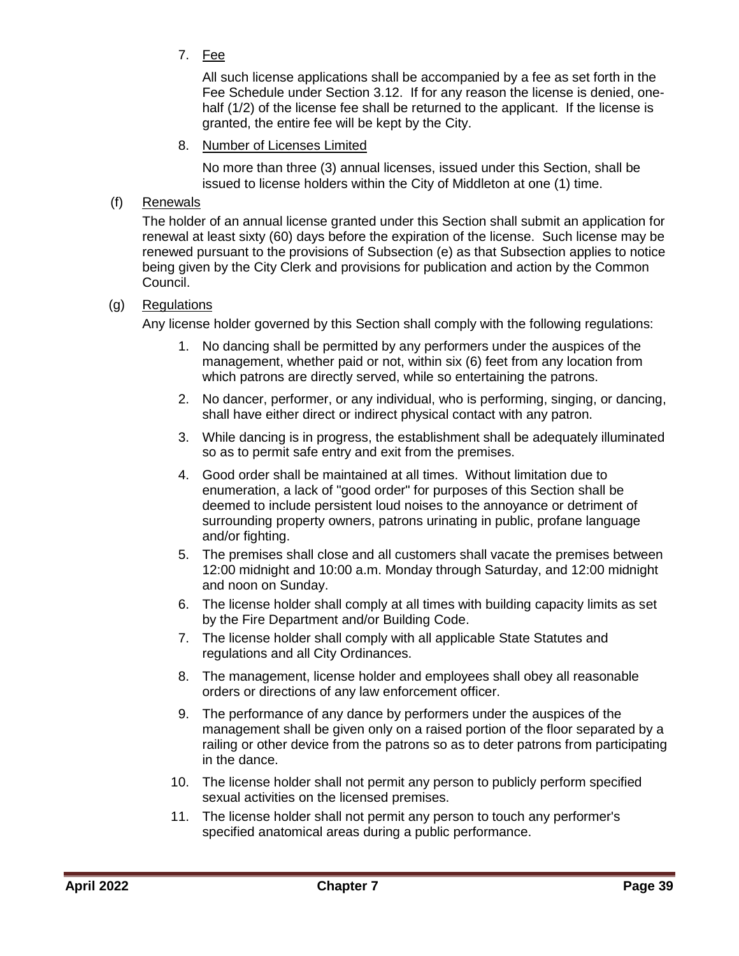7. Fee

All such license applications shall be accompanied by a fee as set forth in the Fee Schedule under Section 3.12. If for any reason the license is denied, onehalf (1/2) of the license fee shall be returned to the applicant. If the license is granted, the entire fee will be kept by the City.

8. Number of Licenses Limited

No more than three (3) annual licenses, issued under this Section, shall be issued to license holders within the City of Middleton at one (1) time.

### (f) Renewals

The holder of an annual license granted under this Section shall submit an application for renewal at least sixty (60) days before the expiration of the license. Such license may be renewed pursuant to the provisions of Subsection (e) as that Subsection applies to notice being given by the City Clerk and provisions for publication and action by the Common Council.

### (g) Regulations

Any license holder governed by this Section shall comply with the following regulations:

- 1. No dancing shall be permitted by any performers under the auspices of the management, whether paid or not, within six (6) feet from any location from which patrons are directly served, while so entertaining the patrons.
- 2. No dancer, performer, or any individual, who is performing, singing, or dancing, shall have either direct or indirect physical contact with any patron.
- 3. While dancing is in progress, the establishment shall be adequately illuminated so as to permit safe entry and exit from the premises.
- 4. Good order shall be maintained at all times. Without limitation due to enumeration, a lack of "good order" for purposes of this Section shall be deemed to include persistent loud noises to the annoyance or detriment of surrounding property owners, patrons urinating in public, profane language and/or fighting.
- 5. The premises shall close and all customers shall vacate the premises between 12:00 midnight and 10:00 a.m. Monday through Saturday, and 12:00 midnight and noon on Sunday.
- 6. The license holder shall comply at all times with building capacity limits as set by the Fire Department and/or Building Code.
- 7. The license holder shall comply with all applicable State Statutes and regulations and all City Ordinances.
- 8. The management, license holder and employees shall obey all reasonable orders or directions of any law enforcement officer.
- 9. The performance of any dance by performers under the auspices of the management shall be given only on a raised portion of the floor separated by a railing or other device from the patrons so as to deter patrons from participating in the dance.
- 10. The license holder shall not permit any person to publicly perform specified sexual activities on the licensed premises.
- 11. The license holder shall not permit any person to touch any performer's specified anatomical areas during a public performance.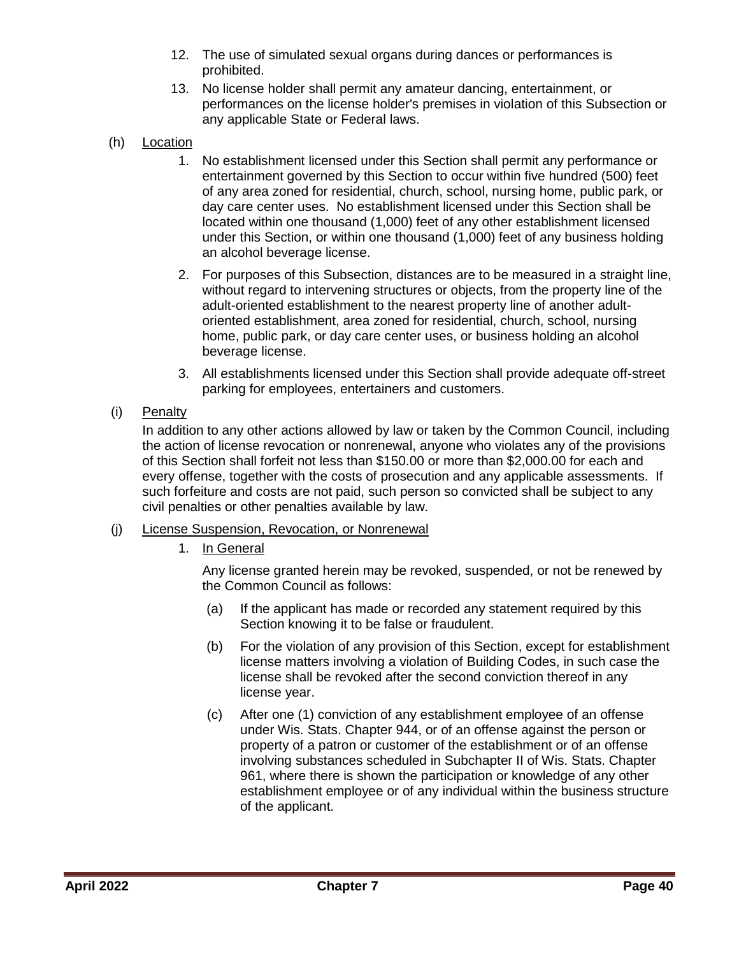- 12. The use of simulated sexual organs during dances or performances is prohibited.
- 13. No license holder shall permit any amateur dancing, entertainment, or performances on the license holder's premises in violation of this Subsection or any applicable State or Federal laws.
- (h) Location
	- 1. No establishment licensed under this Section shall permit any performance or entertainment governed by this Section to occur within five hundred (500) feet of any area zoned for residential, church, school, nursing home, public park, or day care center uses. No establishment licensed under this Section shall be located within one thousand (1,000) feet of any other establishment licensed under this Section, or within one thousand (1,000) feet of any business holding an alcohol beverage license.
	- 2. For purposes of this Subsection, distances are to be measured in a straight line, without regard to intervening structures or objects, from the property line of the adult-oriented establishment to the nearest property line of another adultoriented establishment, area zoned for residential, church, school, nursing home, public park, or day care center uses, or business holding an alcohol beverage license.
	- 3. All establishments licensed under this Section shall provide adequate off-street parking for employees, entertainers and customers.
- (i) Penalty

In addition to any other actions allowed by law or taken by the Common Council, including the action of license revocation or nonrenewal, anyone who violates any of the provisions of this Section shall forfeit not less than \$150.00 or more than \$2,000.00 for each and every offense, together with the costs of prosecution and any applicable assessments. If such forfeiture and costs are not paid, such person so convicted shall be subject to any civil penalties or other penalties available by law.

- (j) License Suspension, Revocation, or Nonrenewal
	- 1. In General

Any license granted herein may be revoked, suspended, or not be renewed by the Common Council as follows:

- (a) If the applicant has made or recorded any statement required by this Section knowing it to be false or fraudulent.
- (b) For the violation of any provision of this Section, except for establishment license matters involving a violation of Building Codes, in such case the license shall be revoked after the second conviction thereof in any license year.
- (c) After one (1) conviction of any establishment employee of an offense under Wis. Stats. Chapter 944, or of an offense against the person or property of a patron or customer of the establishment or of an offense involving substances scheduled in Subchapter II of Wis. Stats. Chapter 961, where there is shown the participation or knowledge of any other establishment employee or of any individual within the business structure of the applicant.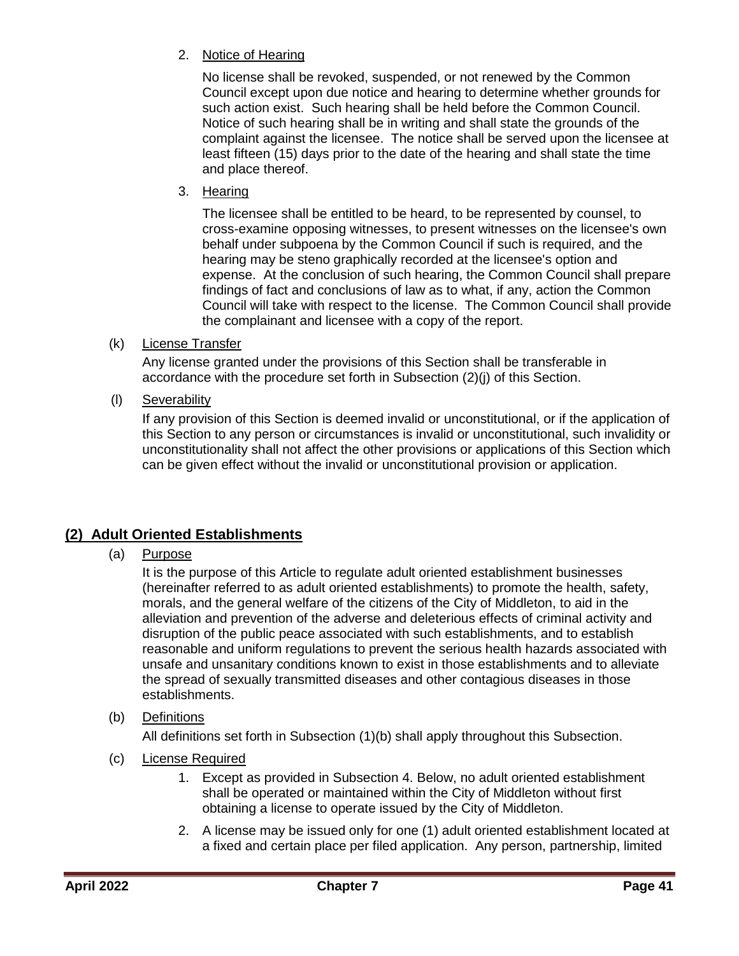2. Notice of Hearing

No license shall be revoked, suspended, or not renewed by the Common Council except upon due notice and hearing to determine whether grounds for such action exist. Such hearing shall be held before the Common Council. Notice of such hearing shall be in writing and shall state the grounds of the complaint against the licensee. The notice shall be served upon the licensee at least fifteen (15) days prior to the date of the hearing and shall state the time and place thereof.

3. Hearing

The licensee shall be entitled to be heard, to be represented by counsel, to cross-examine opposing witnesses, to present witnesses on the licensee's own behalf under subpoena by the Common Council if such is required, and the hearing may be steno graphically recorded at the licensee's option and expense. At the conclusion of such hearing, the Common Council shall prepare findings of fact and conclusions of law as to what, if any, action the Common Council will take with respect to the license. The Common Council shall provide the complainant and licensee with a copy of the report.

(k) License Transfer

Any license granted under the provisions of this Section shall be transferable in accordance with the procedure set forth in Subsection (2)(j) of this Section.

(l) Severability

If any provision of this Section is deemed invalid or unconstitutional, or if the application of this Section to any person or circumstances is invalid or unconstitutional, such invalidity or unconstitutionality shall not affect the other provisions or applications of this Section which can be given effect without the invalid or unconstitutional provision or application.

### <span id="page-40-0"></span>**(2) Adult Oriented Establishments**

(a) Purpose

It is the purpose of this Article to regulate adult oriented establishment businesses (hereinafter referred to as adult oriented establishments) to promote the health, safety, morals, and the general welfare of the citizens of the City of Middleton, to aid in the alleviation and prevention of the adverse and deleterious effects of criminal activity and disruption of the public peace associated with such establishments, and to establish reasonable and uniform regulations to prevent the serious health hazards associated with unsafe and unsanitary conditions known to exist in those establishments and to alleviate the spread of sexually transmitted diseases and other contagious diseases in those establishments.

(b) Definitions

All definitions set forth in Subsection (1)(b) shall apply throughout this Subsection.

- (c) License Required
	- 1. Except as provided in Subsection 4. Below, no adult oriented establishment shall be operated or maintained within the City of Middleton without first obtaining a license to operate issued by the City of Middleton.
	- 2. A license may be issued only for one (1) adult oriented establishment located at a fixed and certain place per filed application. Any person, partnership, limited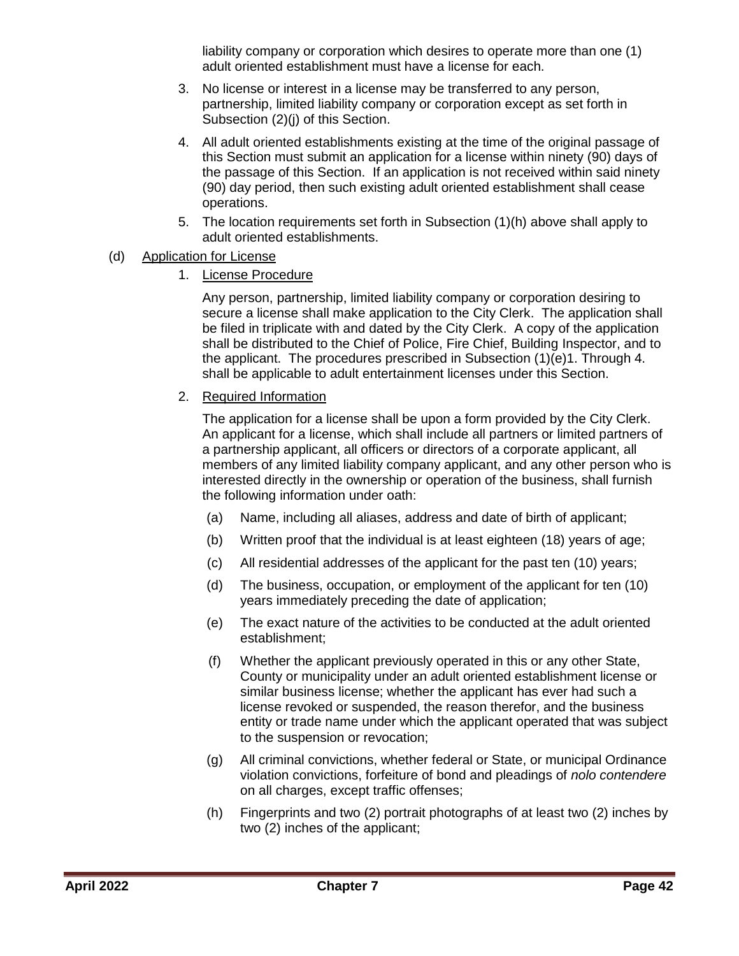liability company or corporation which desires to operate more than one (1) adult oriented establishment must have a license for each.

- 3. No license or interest in a license may be transferred to any person, partnership, limited liability company or corporation except as set forth in Subsection (2)(j) of this Section.
- 4. All adult oriented establishments existing at the time of the original passage of this Section must submit an application for a license within ninety (90) days of the passage of this Section. If an application is not received within said ninety (90) day period, then such existing adult oriented establishment shall cease operations.
- 5. The location requirements set forth in Subsection (1)(h) above shall apply to adult oriented establishments.
- (d) Application for License
	- 1. License Procedure

Any person, partnership, limited liability company or corporation desiring to secure a license shall make application to the City Clerk. The application shall be filed in triplicate with and dated by the City Clerk. A copy of the application shall be distributed to the Chief of Police, Fire Chief, Building Inspector, and to the applicant. The procedures prescribed in Subsection (1)(e)1. Through 4. shall be applicable to adult entertainment licenses under this Section.

2. Required Information

The application for a license shall be upon a form provided by the City Clerk. An applicant for a license, which shall include all partners or limited partners of a partnership applicant, all officers or directors of a corporate applicant, all members of any limited liability company applicant, and any other person who is interested directly in the ownership or operation of the business, shall furnish the following information under oath:

- (a) Name, including all aliases, address and date of birth of applicant;
- (b) Written proof that the individual is at least eighteen (18) years of age;
- (c) All residential addresses of the applicant for the past ten (10) years;
- (d) The business, occupation, or employment of the applicant for ten (10) years immediately preceding the date of application;
- (e) The exact nature of the activities to be conducted at the adult oriented establishment;
- (f) Whether the applicant previously operated in this or any other State, County or municipality under an adult oriented establishment license or similar business license; whether the applicant has ever had such a license revoked or suspended, the reason therefor, and the business entity or trade name under which the applicant operated that was subject to the suspension or revocation;
- (g) All criminal convictions, whether federal or State, or municipal Ordinance violation convictions, forfeiture of bond and pleadings of *nolo contendere* on all charges, except traffic offenses;
- (h) Fingerprints and two (2) portrait photographs of at least two (2) inches by two (2) inches of the applicant;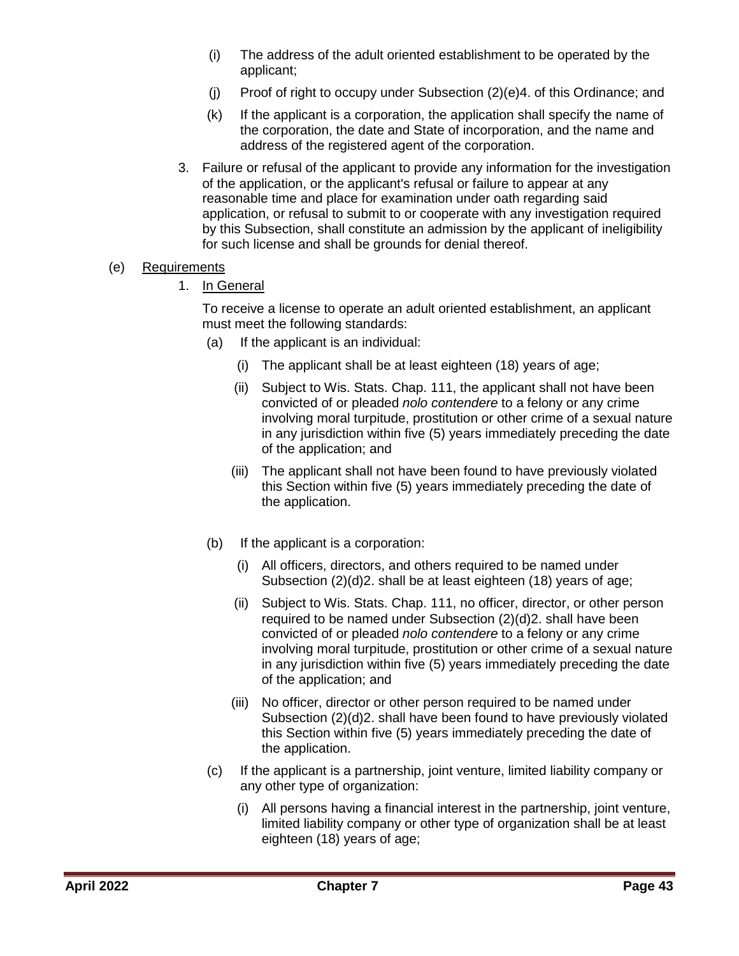- (i) The address of the adult oriented establishment to be operated by the applicant;
- (j) Proof of right to occupy under Subsection (2)(e)4. of this Ordinance; and
- (k) If the applicant is a corporation, the application shall specify the name of the corporation, the date and State of incorporation, and the name and address of the registered agent of the corporation.
- 3. Failure or refusal of the applicant to provide any information for the investigation of the application, or the applicant's refusal or failure to appear at any reasonable time and place for examination under oath regarding said application, or refusal to submit to or cooperate with any investigation required by this Subsection, shall constitute an admission by the applicant of ineligibility for such license and shall be grounds for denial thereof.
- (e) Requirements
	- 1. In General

To receive a license to operate an adult oriented establishment, an applicant must meet the following standards:

- (a) If the applicant is an individual:
	- (i) The applicant shall be at least eighteen (18) years of age;
	- (ii) Subject to Wis. Stats. Chap. 111, the applicant shall not have been convicted of or pleaded *nolo contendere* to a felony or any crime involving moral turpitude, prostitution or other crime of a sexual nature in any jurisdiction within five (5) years immediately preceding the date of the application; and
	- (iii) The applicant shall not have been found to have previously violated this Section within five (5) years immediately preceding the date of the application.
- (b) If the applicant is a corporation:
	- (i) All officers, directors, and others required to be named under Subsection (2)(d)2. shall be at least eighteen (18) years of age;
	- (ii) Subject to Wis. Stats. Chap. 111, no officer, director, or other person required to be named under Subsection (2)(d)2. shall have been convicted of or pleaded *nolo contendere* to a felony or any crime involving moral turpitude, prostitution or other crime of a sexual nature in any jurisdiction within five (5) years immediately preceding the date of the application; and
	- (iii) No officer, director or other person required to be named under Subsection (2)(d)2. shall have been found to have previously violated this Section within five (5) years immediately preceding the date of the application.
- (c) If the applicant is a partnership, joint venture, limited liability company or any other type of organization:
	- (i) All persons having a financial interest in the partnership, joint venture, limited liability company or other type of organization shall be at least eighteen (18) years of age;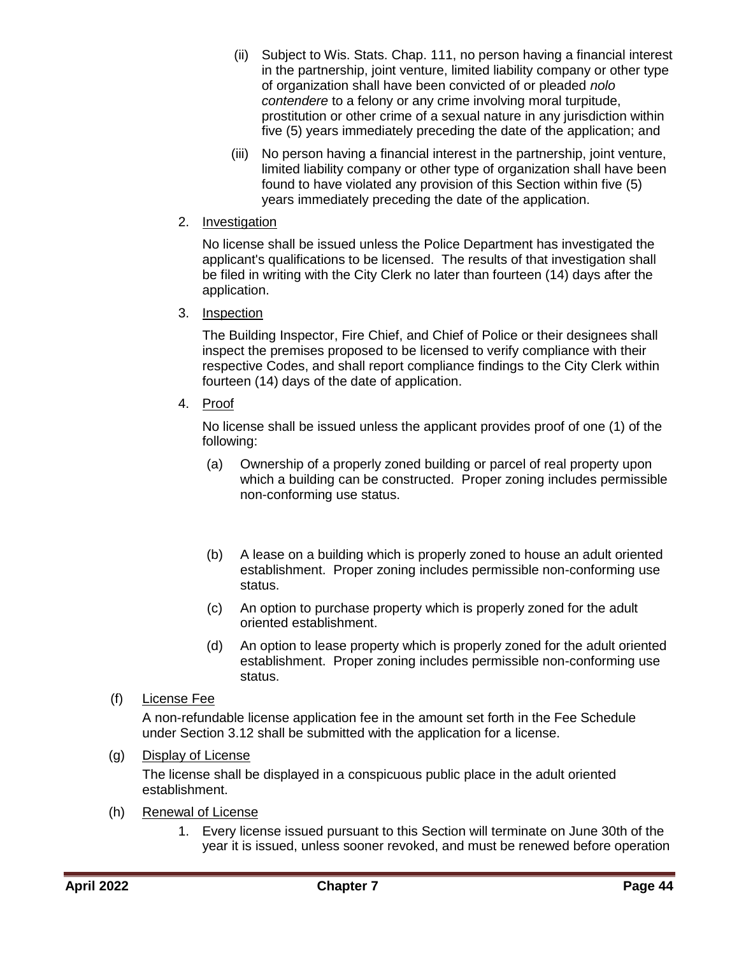- (ii) Subject to Wis. Stats. Chap. 111, no person having a financial interest in the partnership, joint venture, limited liability company or other type of organization shall have been convicted of or pleaded *nolo contendere* to a felony or any crime involving moral turpitude, prostitution or other crime of a sexual nature in any jurisdiction within five (5) years immediately preceding the date of the application; and
- (iii) No person having a financial interest in the partnership, joint venture, limited liability company or other type of organization shall have been found to have violated any provision of this Section within five (5) years immediately preceding the date of the application.
- 2. Investigation

No license shall be issued unless the Police Department has investigated the applicant's qualifications to be licensed. The results of that investigation shall be filed in writing with the City Clerk no later than fourteen (14) days after the application.

3. Inspection

The Building Inspector, Fire Chief, and Chief of Police or their designees shall inspect the premises proposed to be licensed to verify compliance with their respective Codes, and shall report compliance findings to the City Clerk within fourteen (14) days of the date of application.

4. Proof

No license shall be issued unless the applicant provides proof of one (1) of the following:

- (a) Ownership of a properly zoned building or parcel of real property upon which a building can be constructed. Proper zoning includes permissible non-conforming use status.
- (b) A lease on a building which is properly zoned to house an adult oriented establishment. Proper zoning includes permissible non-conforming use status.
- (c) An option to purchase property which is properly zoned for the adult oriented establishment.
- (d) An option to lease property which is properly zoned for the adult oriented establishment. Proper zoning includes permissible non-conforming use status.
- (f) License Fee

A non-refundable license application fee in the amount set forth in the Fee Schedule under Section 3.12 shall be submitted with the application for a license.

(g) Display of License

The license shall be displayed in a conspicuous public place in the adult oriented establishment.

- (h) Renewal of License
	- 1. Every license issued pursuant to this Section will terminate on June 30th of the year it is issued, unless sooner revoked, and must be renewed before operation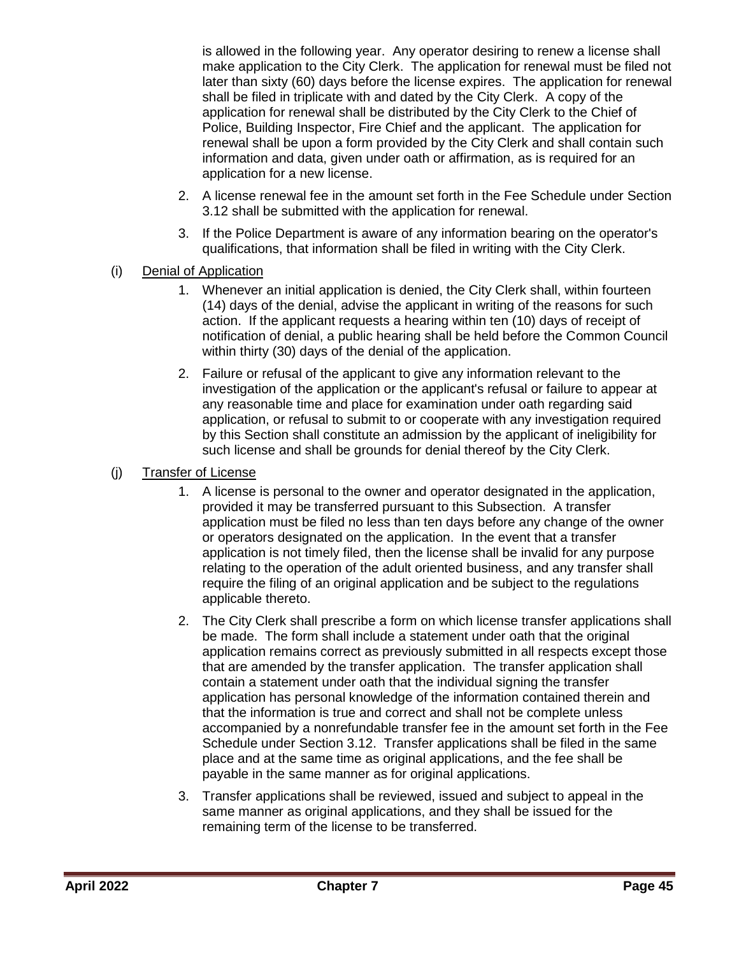is allowed in the following year. Any operator desiring to renew a license shall make application to the City Clerk. The application for renewal must be filed not later than sixty (60) days before the license expires. The application for renewal shall be filed in triplicate with and dated by the City Clerk. A copy of the application for renewal shall be distributed by the City Clerk to the Chief of Police, Building Inspector, Fire Chief and the applicant. The application for renewal shall be upon a form provided by the City Clerk and shall contain such information and data, given under oath or affirmation, as is required for an application for a new license.

- 2. A license renewal fee in the amount set forth in the Fee Schedule under Section 3.12 shall be submitted with the application for renewal.
- 3. If the Police Department is aware of any information bearing on the operator's qualifications, that information shall be filed in writing with the City Clerk.
- (i) Denial of Application
	- 1. Whenever an initial application is denied, the City Clerk shall, within fourteen (14) days of the denial, advise the applicant in writing of the reasons for such action. If the applicant requests a hearing within ten (10) days of receipt of notification of denial, a public hearing shall be held before the Common Council within thirty (30) days of the denial of the application.
	- 2. Failure or refusal of the applicant to give any information relevant to the investigation of the application or the applicant's refusal or failure to appear at any reasonable time and place for examination under oath regarding said application, or refusal to submit to or cooperate with any investigation required by this Section shall constitute an admission by the applicant of ineligibility for such license and shall be grounds for denial thereof by the City Clerk.

### (j) Transfer of License

- 1. A license is personal to the owner and operator designated in the application, provided it may be transferred pursuant to this Subsection. A transfer application must be filed no less than ten days before any change of the owner or operators designated on the application. In the event that a transfer application is not timely filed, then the license shall be invalid for any purpose relating to the operation of the adult oriented business, and any transfer shall require the filing of an original application and be subject to the regulations applicable thereto.
- 2. The City Clerk shall prescribe a form on which license transfer applications shall be made. The form shall include a statement under oath that the original application remains correct as previously submitted in all respects except those that are amended by the transfer application. The transfer application shall contain a statement under oath that the individual signing the transfer application has personal knowledge of the information contained therein and that the information is true and correct and shall not be complete unless accompanied by a nonrefundable transfer fee in the amount set forth in the Fee Schedule under Section 3.12. Transfer applications shall be filed in the same place and at the same time as original applications, and the fee shall be payable in the same manner as for original applications.
- 3. Transfer applications shall be reviewed, issued and subject to appeal in the same manner as original applications, and they shall be issued for the remaining term of the license to be transferred.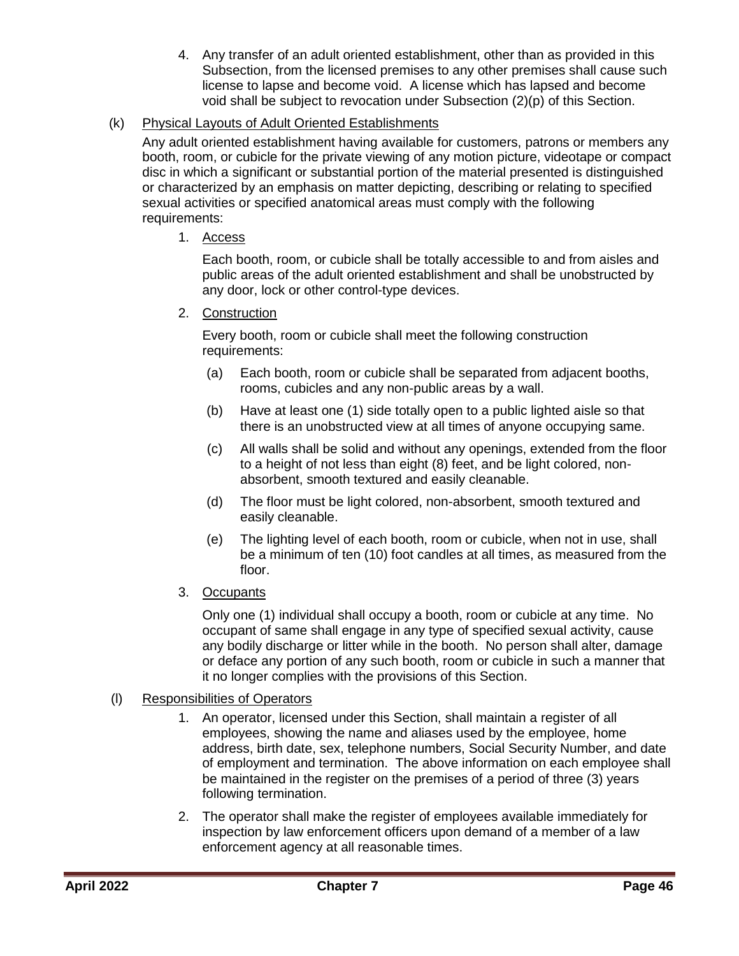4. Any transfer of an adult oriented establishment, other than as provided in this Subsection, from the licensed premises to any other premises shall cause such license to lapse and become void. A license which has lapsed and become void shall be subject to revocation under Subsection (2)(p) of this Section.

### (k) Physical Layouts of Adult Oriented Establishments

Any adult oriented establishment having available for customers, patrons or members any booth, room, or cubicle for the private viewing of any motion picture, videotape or compact disc in which a significant or substantial portion of the material presented is distinguished or characterized by an emphasis on matter depicting, describing or relating to specified sexual activities or specified anatomical areas must comply with the following requirements:

### 1. Access

Each booth, room, or cubicle shall be totally accessible to and from aisles and public areas of the adult oriented establishment and shall be unobstructed by any door, lock or other control-type devices.

### 2. Construction

Every booth, room or cubicle shall meet the following construction requirements:

- (a) Each booth, room or cubicle shall be separated from adjacent booths, rooms, cubicles and any non-public areas by a wall.
- (b) Have at least one (1) side totally open to a public lighted aisle so that there is an unobstructed view at all times of anyone occupying same.
- (c) All walls shall be solid and without any openings, extended from the floor to a height of not less than eight (8) feet, and be light colored, nonabsorbent, smooth textured and easily cleanable.
- (d) The floor must be light colored, non-absorbent, smooth textured and easily cleanable.
- (e) The lighting level of each booth, room or cubicle, when not in use, shall be a minimum of ten (10) foot candles at all times, as measured from the floor.
- 3. Occupants

Only one (1) individual shall occupy a booth, room or cubicle at any time. No occupant of same shall engage in any type of specified sexual activity, cause any bodily discharge or litter while in the booth. No person shall alter, damage or deface any portion of any such booth, room or cubicle in such a manner that it no longer complies with the provisions of this Section.

### (l) Responsibilities of Operators

- 1. An operator, licensed under this Section, shall maintain a register of all employees, showing the name and aliases used by the employee, home address, birth date, sex, telephone numbers, Social Security Number, and date of employment and termination. The above information on each employee shall be maintained in the register on the premises of a period of three (3) years following termination.
- 2. The operator shall make the register of employees available immediately for inspection by law enforcement officers upon demand of a member of a law enforcement agency at all reasonable times.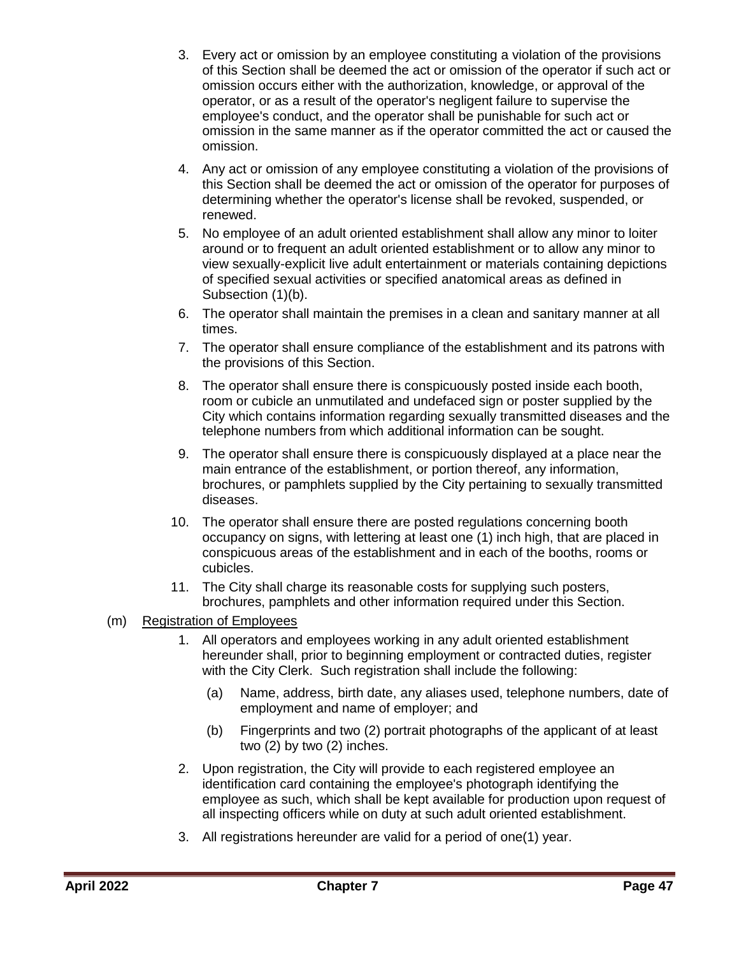- 3. Every act or omission by an employee constituting a violation of the provisions of this Section shall be deemed the act or omission of the operator if such act or omission occurs either with the authorization, knowledge, or approval of the operator, or as a result of the operator's negligent failure to supervise the employee's conduct, and the operator shall be punishable for such act or omission in the same manner as if the operator committed the act or caused the omission.
- 4. Any act or omission of any employee constituting a violation of the provisions of this Section shall be deemed the act or omission of the operator for purposes of determining whether the operator's license shall be revoked, suspended, or renewed.
- 5. No employee of an adult oriented establishment shall allow any minor to loiter around or to frequent an adult oriented establishment or to allow any minor to view sexually-explicit live adult entertainment or materials containing depictions of specified sexual activities or specified anatomical areas as defined in Subsection (1)(b).
- 6. The operator shall maintain the premises in a clean and sanitary manner at all times.
- 7. The operator shall ensure compliance of the establishment and its patrons with the provisions of this Section.
- 8. The operator shall ensure there is conspicuously posted inside each booth, room or cubicle an unmutilated and undefaced sign or poster supplied by the City which contains information regarding sexually transmitted diseases and the telephone numbers from which additional information can be sought.
- 9. The operator shall ensure there is conspicuously displayed at a place near the main entrance of the establishment, or portion thereof, any information, brochures, or pamphlets supplied by the City pertaining to sexually transmitted diseases.
- 10. The operator shall ensure there are posted regulations concerning booth occupancy on signs, with lettering at least one (1) inch high, that are placed in conspicuous areas of the establishment and in each of the booths, rooms or cubicles.
- 11. The City shall charge its reasonable costs for supplying such posters, brochures, pamphlets and other information required under this Section.
- (m) Registration of Employees
	- 1. All operators and employees working in any adult oriented establishment hereunder shall, prior to beginning employment or contracted duties, register with the City Clerk. Such registration shall include the following:
		- (a) Name, address, birth date, any aliases used, telephone numbers, date of employment and name of employer; and
		- (b) Fingerprints and two (2) portrait photographs of the applicant of at least two (2) by two (2) inches.
	- 2. Upon registration, the City will provide to each registered employee an identification card containing the employee's photograph identifying the employee as such, which shall be kept available for production upon request of all inspecting officers while on duty at such adult oriented establishment.
	- 3. All registrations hereunder are valid for a period of one(1) year.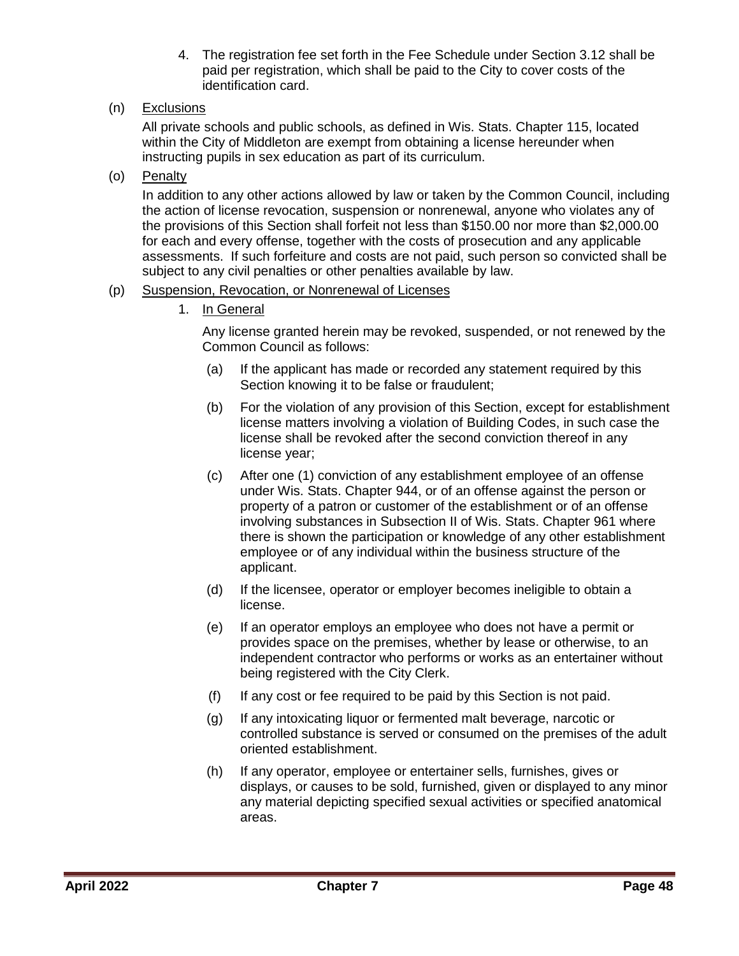- 4. The registration fee set forth in the Fee Schedule under Section 3.12 shall be paid per registration, which shall be paid to the City to cover costs of the identification card.
- (n) Exclusions

All private schools and public schools, as defined in Wis. Stats. Chapter 115, located within the City of Middleton are exempt from obtaining a license hereunder when instructing pupils in sex education as part of its curriculum.

(o) Penalty

In addition to any other actions allowed by law or taken by the Common Council, including the action of license revocation, suspension or nonrenewal, anyone who violates any of the provisions of this Section shall forfeit not less than \$150.00 nor more than \$2,000.00 for each and every offense, together with the costs of prosecution and any applicable assessments. If such forfeiture and costs are not paid, such person so convicted shall be subject to any civil penalties or other penalties available by law.

#### (p) Suspension, Revocation, or Nonrenewal of Licenses

1. In General

Any license granted herein may be revoked, suspended, or not renewed by the Common Council as follows:

- (a) If the applicant has made or recorded any statement required by this Section knowing it to be false or fraudulent;
- (b) For the violation of any provision of this Section, except for establishment license matters involving a violation of Building Codes, in such case the license shall be revoked after the second conviction thereof in any license year;
- (c) After one (1) conviction of any establishment employee of an offense under Wis. Stats. Chapter 944, or of an offense against the person or property of a patron or customer of the establishment or of an offense involving substances in Subsection II of Wis. Stats. Chapter 961 where there is shown the participation or knowledge of any other establishment employee or of any individual within the business structure of the applicant.
- (d) If the licensee, operator or employer becomes ineligible to obtain a license.
- (e) If an operator employs an employee who does not have a permit or provides space on the premises, whether by lease or otherwise, to an independent contractor who performs or works as an entertainer without being registered with the City Clerk.
- (f) If any cost or fee required to be paid by this Section is not paid.
- (g) If any intoxicating liquor or fermented malt beverage, narcotic or controlled substance is served or consumed on the premises of the adult oriented establishment.
- (h) If any operator, employee or entertainer sells, furnishes, gives or displays, or causes to be sold, furnished, given or displayed to any minor any material depicting specified sexual activities or specified anatomical areas.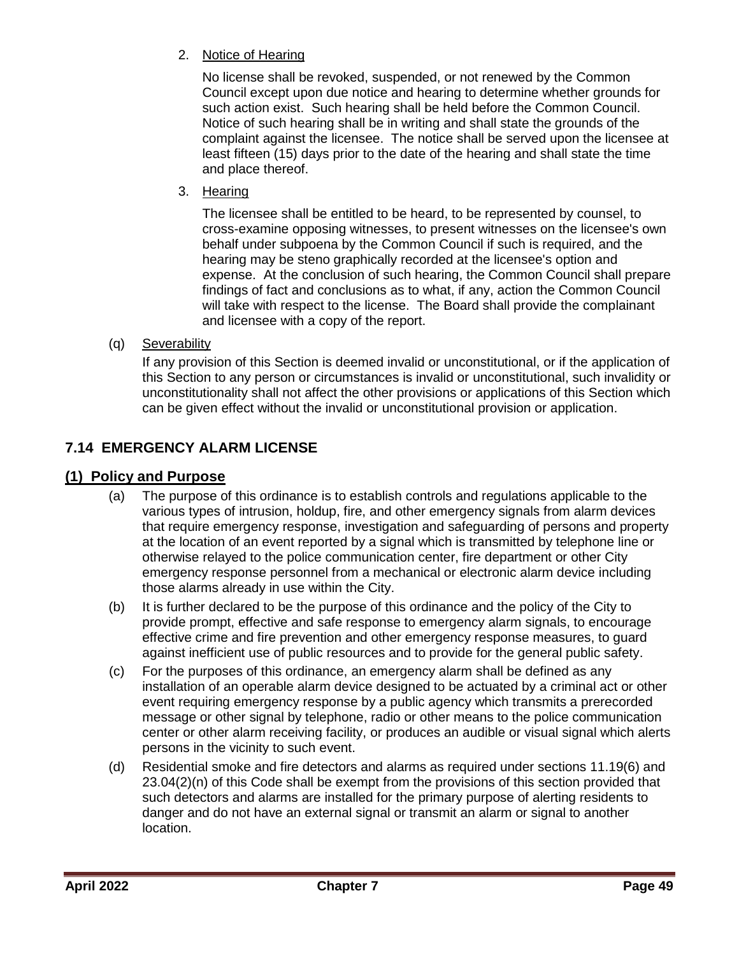2. Notice of Hearing

No license shall be revoked, suspended, or not renewed by the Common Council except upon due notice and hearing to determine whether grounds for such action exist. Such hearing shall be held before the Common Council. Notice of such hearing shall be in writing and shall state the grounds of the complaint against the licensee. The notice shall be served upon the licensee at least fifteen (15) days prior to the date of the hearing and shall state the time and place thereof.

3. Hearing

The licensee shall be entitled to be heard, to be represented by counsel, to cross-examine opposing witnesses, to present witnesses on the licensee's own behalf under subpoena by the Common Council if such is required, and the hearing may be steno graphically recorded at the licensee's option and expense. At the conclusion of such hearing, the Common Council shall prepare findings of fact and conclusions as to what, if any, action the Common Council will take with respect to the license. The Board shall provide the complainant and licensee with a copy of the report.

(q) Severability

If any provision of this Section is deemed invalid or unconstitutional, or if the application of this Section to any person or circumstances is invalid or unconstitutional, such invalidity or unconstitutionality shall not affect the other provisions or applications of this Section which can be given effect without the invalid or unconstitutional provision or application.

## <span id="page-48-0"></span>**7.14 EMERGENCY ALARM LICENSE**

## <span id="page-48-1"></span>**(1) Policy and Purpose**

- (a) The purpose of this ordinance is to establish controls and regulations applicable to the various types of intrusion, holdup, fire, and other emergency signals from alarm devices that require emergency response, investigation and safeguarding of persons and property at the location of an event reported by a signal which is transmitted by telephone line or otherwise relayed to the police communication center, fire department or other City emergency response personnel from a mechanical or electronic alarm device including those alarms already in use within the City.
- (b) It is further declared to be the purpose of this ordinance and the policy of the City to provide prompt, effective and safe response to emergency alarm signals, to encourage effective crime and fire prevention and other emergency response measures, to guard against inefficient use of public resources and to provide for the general public safety.
- (c) For the purposes of this ordinance, an emergency alarm shall be defined as any installation of an operable alarm device designed to be actuated by a criminal act or other event requiring emergency response by a public agency which transmits a prerecorded message or other signal by telephone, radio or other means to the police communication center or other alarm receiving facility, or produces an audible or visual signal which alerts persons in the vicinity to such event.
- (d) Residential smoke and fire detectors and alarms as required under sections 11.19(6) and 23.04(2)(n) of this Code shall be exempt from the provisions of this section provided that such detectors and alarms are installed for the primary purpose of alerting residents to danger and do not have an external signal or transmit an alarm or signal to another location.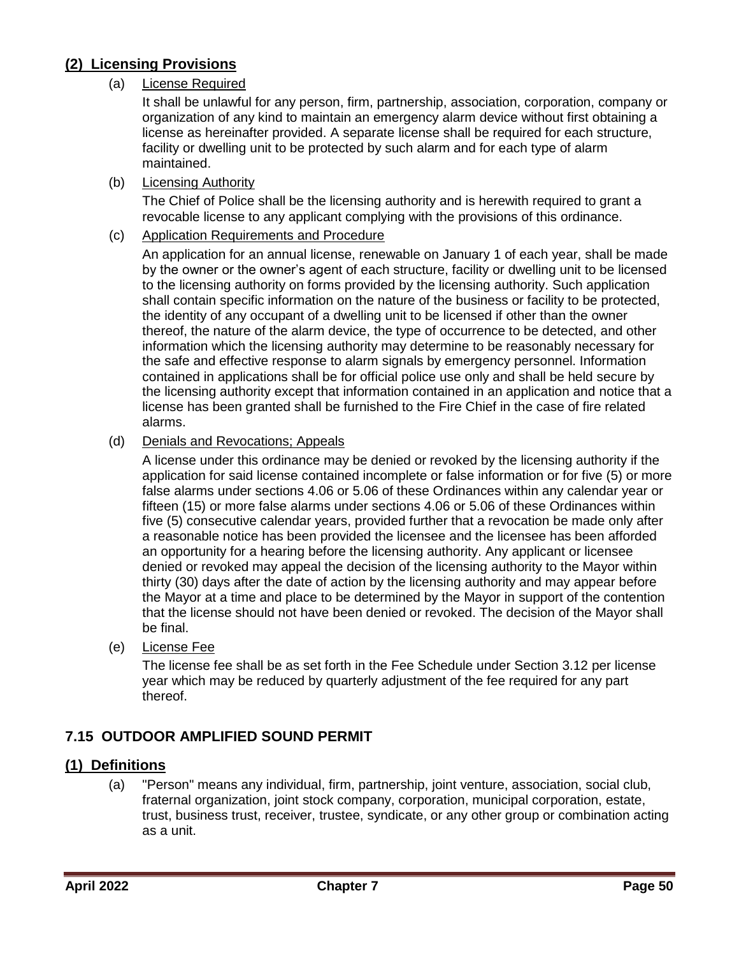## <span id="page-49-0"></span>**(2) Licensing Provisions**

### (a) License Required

It shall be unlawful for any person, firm, partnership, association, corporation, company or organization of any kind to maintain an emergency alarm device without first obtaining a license as hereinafter provided. A separate license shall be required for each structure, facility or dwelling unit to be protected by such alarm and for each type of alarm maintained.

### (b) Licensing Authority

The Chief of Police shall be the licensing authority and is herewith required to grant a revocable license to any applicant complying with the provisions of this ordinance.

### (c) Application Requirements and Procedure

An application for an annual license, renewable on January 1 of each year, shall be made by the owner or the owner's agent of each structure, facility or dwelling unit to be licensed to the licensing authority on forms provided by the licensing authority. Such application shall contain specific information on the nature of the business or facility to be protected, the identity of any occupant of a dwelling unit to be licensed if other than the owner thereof, the nature of the alarm device, the type of occurrence to be detected, and other information which the licensing authority may determine to be reasonably necessary for the safe and effective response to alarm signals by emergency personnel. Information contained in applications shall be for official police use only and shall be held secure by the licensing authority except that information contained in an application and notice that a license has been granted shall be furnished to the Fire Chief in the case of fire related alarms.

### (d) Denials and Revocations; Appeals

A license under this ordinance may be denied or revoked by the licensing authority if the application for said license contained incomplete or false information or for five (5) or more false alarms under sections 4.06 or 5.06 of these Ordinances within any calendar year or fifteen (15) or more false alarms under sections 4.06 or 5.06 of these Ordinances within five (5) consecutive calendar years, provided further that a revocation be made only after a reasonable notice has been provided the licensee and the licensee has been afforded an opportunity for a hearing before the licensing authority. Any applicant or licensee denied or revoked may appeal the decision of the licensing authority to the Mayor within thirty (30) days after the date of action by the licensing authority and may appear before the Mayor at a time and place to be determined by the Mayor in support of the contention that the license should not have been denied or revoked. The decision of the Mayor shall be final.

(e) License Fee

The license fee shall be as set forth in the Fee Schedule under Section 3.12 per license year which may be reduced by quarterly adjustment of the fee required for any part thereof.

## <span id="page-49-1"></span>**7.15 OUTDOOR AMPLIFIED SOUND PERMIT**

## <span id="page-49-2"></span>**(1) Definitions**

(a) "Person" means any individual, firm, partnership, joint venture, association, social club, fraternal organization, joint stock company, corporation, municipal corporation, estate, trust, business trust, receiver, trustee, syndicate, or any other group or combination acting as a unit.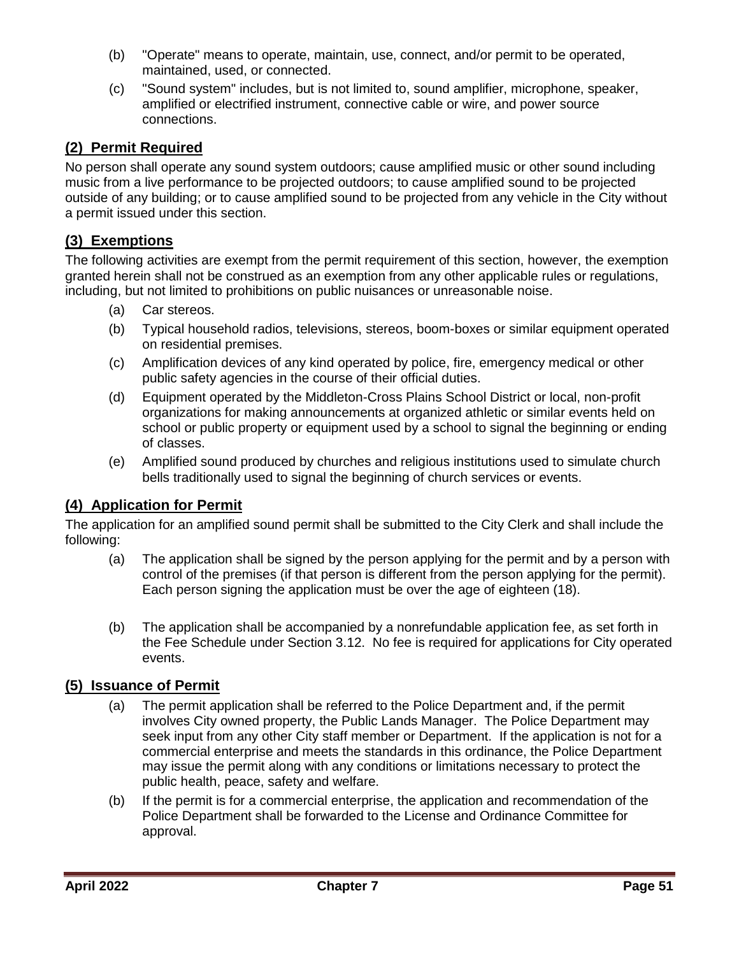- (b) "Operate" means to operate, maintain, use, connect, and/or permit to be operated, maintained, used, or connected.
- (c) "Sound system" includes, but is not limited to, sound amplifier, microphone, speaker, amplified or electrified instrument, connective cable or wire, and power source connections.

## <span id="page-50-0"></span>**(2) Permit Required**

No person shall operate any sound system outdoors; cause amplified music or other sound including music from a live performance to be projected outdoors; to cause amplified sound to be projected outside of any building; or to cause amplified sound to be projected from any vehicle in the City without a permit issued under this section.

## <span id="page-50-1"></span>**(3) Exemptions**

The following activities are exempt from the permit requirement of this section, however, the exemption granted herein shall not be construed as an exemption from any other applicable rules or regulations, including, but not limited to prohibitions on public nuisances or unreasonable noise.

- (a) Car stereos.
- (b) Typical household radios, televisions, stereos, boom-boxes or similar equipment operated on residential premises.
- (c) Amplification devices of any kind operated by police, fire, emergency medical or other public safety agencies in the course of their official duties.
- (d) Equipment operated by the Middleton-Cross Plains School District or local, non-profit organizations for making announcements at organized athletic or similar events held on school or public property or equipment used by a school to signal the beginning or ending of classes.
- (e) Amplified sound produced by churches and religious institutions used to simulate church bells traditionally used to signal the beginning of church services or events.

## <span id="page-50-2"></span>**(4) Application for Permit**

The application for an amplified sound permit shall be submitted to the City Clerk and shall include the following:

- (a) The application shall be signed by the person applying for the permit and by a person with control of the premises (if that person is different from the person applying for the permit). Each person signing the application must be over the age of eighteen (18).
- (b) The application shall be accompanied by a nonrefundable application fee, as set forth in the Fee Schedule under Section 3.12. No fee is required for applications for City operated events.

## <span id="page-50-3"></span>**(5) Issuance of Permit**

- (a) The permit application shall be referred to the Police Department and, if the permit involves City owned property, the Public Lands Manager. The Police Department may seek input from any other City staff member or Department. If the application is not for a commercial enterprise and meets the standards in this ordinance, the Police Department may issue the permit along with any conditions or limitations necessary to protect the public health, peace, safety and welfare.
- (b) If the permit is for a commercial enterprise, the application and recommendation of the Police Department shall be forwarded to the License and Ordinance Committee for approval.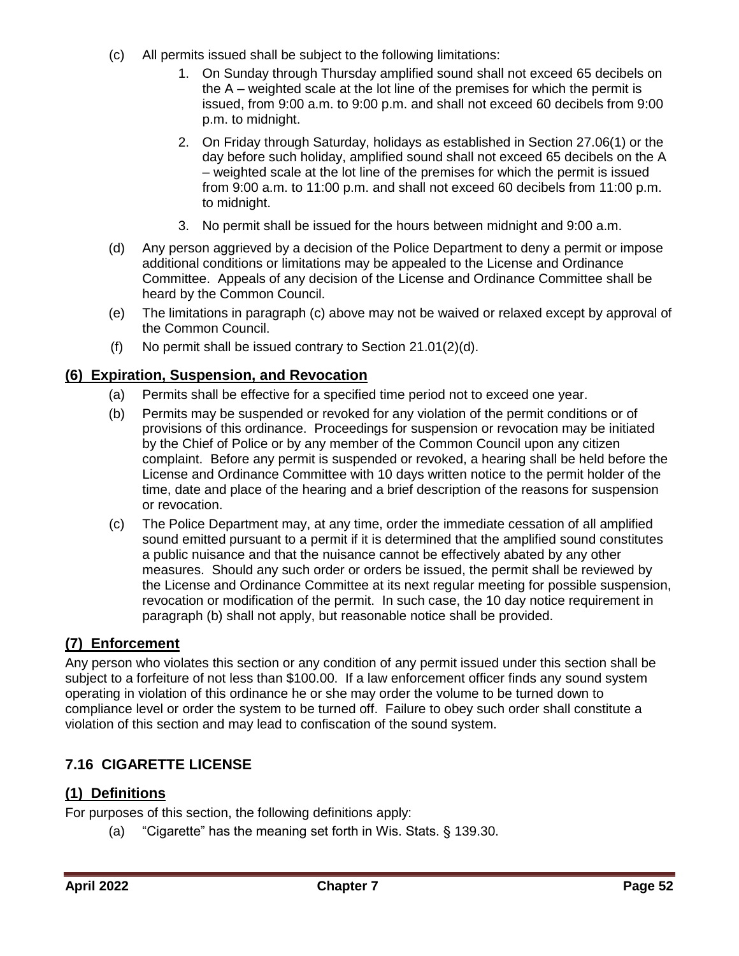- (c) All permits issued shall be subject to the following limitations:
	- 1. On Sunday through Thursday amplified sound shall not exceed 65 decibels on the A – weighted scale at the lot line of the premises for which the permit is issued, from 9:00 a.m. to 9:00 p.m. and shall not exceed 60 decibels from 9:00 p.m. to midnight.
	- 2. On Friday through Saturday, holidays as established in Section 27.06(1) or the day before such holiday, amplified sound shall not exceed 65 decibels on the A – weighted scale at the lot line of the premises for which the permit is issued from 9:00 a.m. to 11:00 p.m. and shall not exceed 60 decibels from 11:00 p.m. to midnight.
	- 3. No permit shall be issued for the hours between midnight and 9:00 a.m.
- (d) Any person aggrieved by a decision of the Police Department to deny a permit or impose additional conditions or limitations may be appealed to the License and Ordinance Committee. Appeals of any decision of the License and Ordinance Committee shall be heard by the Common Council.
- (e) The limitations in paragraph (c) above may not be waived or relaxed except by approval of the Common Council.
- (f) No permit shall be issued contrary to Section 21.01(2)(d).

### <span id="page-51-0"></span>**(6) Expiration, Suspension, and Revocation**

- (a) Permits shall be effective for a specified time period not to exceed one year.
- (b) Permits may be suspended or revoked for any violation of the permit conditions or of provisions of this ordinance. Proceedings for suspension or revocation may be initiated by the Chief of Police or by any member of the Common Council upon any citizen complaint. Before any permit is suspended or revoked, a hearing shall be held before the License and Ordinance Committee with 10 days written notice to the permit holder of the time, date and place of the hearing and a brief description of the reasons for suspension or revocation.
- (c) The Police Department may, at any time, order the immediate cessation of all amplified sound emitted pursuant to a permit if it is determined that the amplified sound constitutes a public nuisance and that the nuisance cannot be effectively abated by any other measures. Should any such order or orders be issued, the permit shall be reviewed by the License and Ordinance Committee at its next regular meeting for possible suspension, revocation or modification of the permit. In such case, the 10 day notice requirement in paragraph (b) shall not apply, but reasonable notice shall be provided.

### <span id="page-51-1"></span>**(7) Enforcement**

Any person who violates this section or any condition of any permit issued under this section shall be subject to a forfeiture of not less than \$100.00. If a law enforcement officer finds any sound system operating in violation of this ordinance he or she may order the volume to be turned down to compliance level or order the system to be turned off. Failure to obey such order shall constitute a violation of this section and may lead to confiscation of the sound system.

## <span id="page-51-2"></span>**7.16 CIGARETTE LICENSE**

## <span id="page-51-3"></span>**(1) Definitions**

For purposes of this section, the following definitions apply:

(a) "Cigarette" has the meaning set forth in Wis. Stats. § 139.30.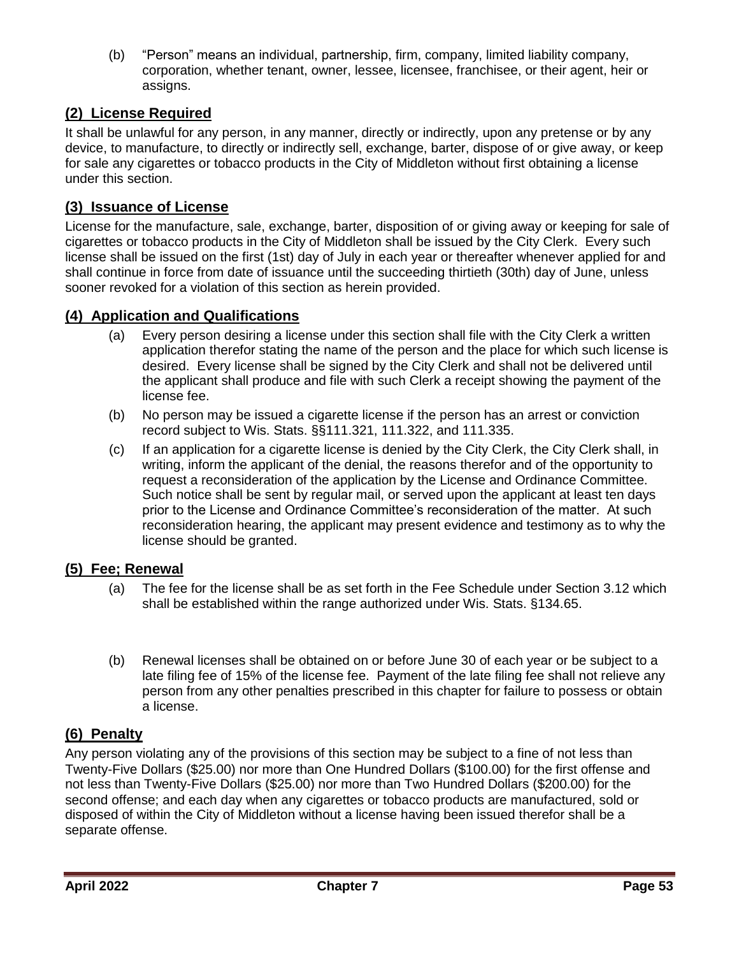(b) "Person" means an individual, partnership, firm, company, limited liability company, corporation, whether tenant, owner, lessee, licensee, franchisee, or their agent, heir or assigns.

## <span id="page-52-0"></span>**(2) License Required**

It shall be unlawful for any person, in any manner, directly or indirectly, upon any pretense or by any device, to manufacture, to directly or indirectly sell, exchange, barter, dispose of or give away, or keep for sale any cigarettes or tobacco products in the City of Middleton without first obtaining a license under this section.

### <span id="page-52-1"></span>**(3) Issuance of License**

License for the manufacture, sale, exchange, barter, disposition of or giving away or keeping for sale of cigarettes or tobacco products in the City of Middleton shall be issued by the City Clerk. Every such license shall be issued on the first (1st) day of July in each year or thereafter whenever applied for and shall continue in force from date of issuance until the succeeding thirtieth (30th) day of June, unless sooner revoked for a violation of this section as herein provided.

### <span id="page-52-2"></span>**(4) Application and Qualifications**

- (a) Every person desiring a license under this section shall file with the City Clerk a written application therefor stating the name of the person and the place for which such license is desired. Every license shall be signed by the City Clerk and shall not be delivered until the applicant shall produce and file with such Clerk a receipt showing the payment of the license fee.
- (b) No person may be issued a cigarette license if the person has an arrest or conviction record subject to Wis. Stats. §§111.321, 111.322, and 111.335.
- (c) If an application for a cigarette license is denied by the City Clerk, the City Clerk shall, in writing, inform the applicant of the denial, the reasons therefor and of the opportunity to request a reconsideration of the application by the License and Ordinance Committee. Such notice shall be sent by regular mail, or served upon the applicant at least ten days prior to the License and Ordinance Committee's reconsideration of the matter. At such reconsideration hearing, the applicant may present evidence and testimony as to why the license should be granted.

### <span id="page-52-3"></span>**(5) Fee; Renewal**

- (a) The fee for the license shall be as set forth in the Fee Schedule under Section 3.12 which shall be established within the range authorized under Wis. Stats. §134.65.
- (b) Renewal licenses shall be obtained on or before June 30 of each year or be subject to a late filing fee of 15% of the license fee. Payment of the late filing fee shall not relieve any person from any other penalties prescribed in this chapter for failure to possess or obtain a license.

## <span id="page-52-4"></span>**(6) Penalty**

Any person violating any of the provisions of this section may be subject to a fine of not less than Twenty-Five Dollars (\$25.00) nor more than One Hundred Dollars (\$100.00) for the first offense and not less than Twenty-Five Dollars (\$25.00) nor more than Two Hundred Dollars (\$200.00) for the second offense; and each day when any cigarettes or tobacco products are manufactured, sold or disposed of within the City of Middleton without a license having been issued therefor shall be a separate offense.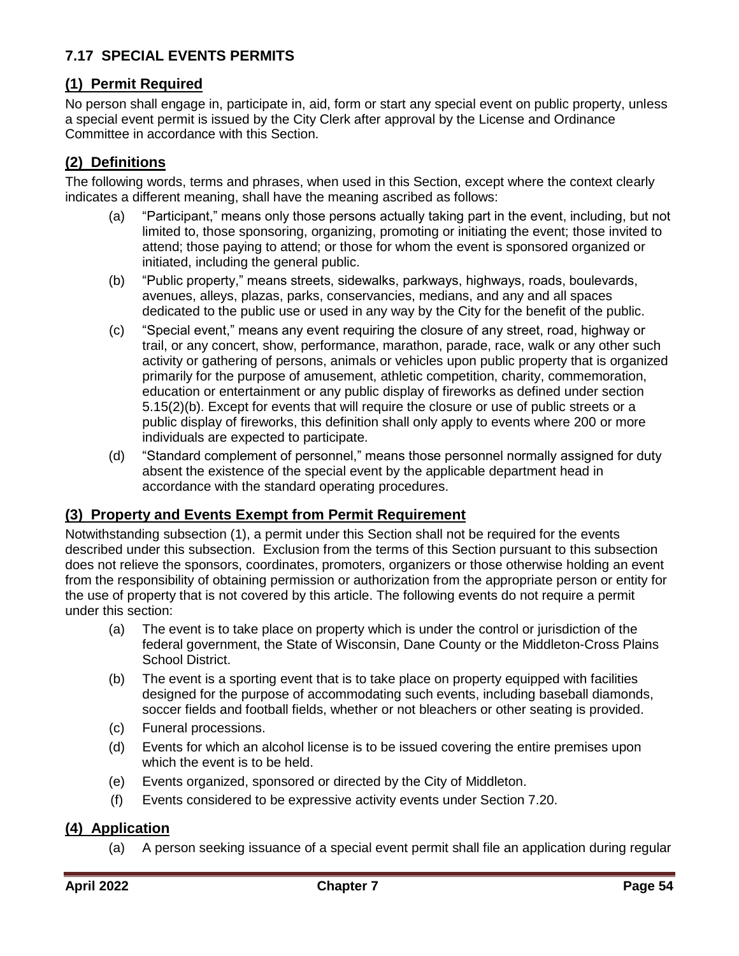## <span id="page-53-0"></span>**7.17 SPECIAL EVENTS PERMITS**

## <span id="page-53-1"></span>**(1) Permit Required**

No person shall engage in, participate in, aid, form or start any special event on public property, unless a special event permit is issued by the City Clerk after approval by the License and Ordinance Committee in accordance with this Section.

## <span id="page-53-2"></span>**(2) Definitions**

The following words, terms and phrases, when used in this Section, except where the context clearly indicates a different meaning, shall have the meaning ascribed as follows:

- (a) "Participant," means only those persons actually taking part in the event, including, but not limited to, those sponsoring, organizing, promoting or initiating the event; those invited to attend; those paying to attend; or those for whom the event is sponsored organized or initiated, including the general public.
- (b) "Public property," means streets, sidewalks, parkways, highways, roads, boulevards, avenues, alleys, plazas, parks, conservancies, medians, and any and all spaces dedicated to the public use or used in any way by the City for the benefit of the public.
- (c) "Special event," means any event requiring the closure of any street, road, highway or trail, or any concert, show, performance, marathon, parade, race, walk or any other such activity or gathering of persons, animals or vehicles upon public property that is organized primarily for the purpose of amusement, athletic competition, charity, commemoration, education or entertainment or any public display of fireworks as defined under section 5.15(2)(b). Except for events that will require the closure or use of public streets or a public display of fireworks, this definition shall only apply to events where 200 or more individuals are expected to participate.
- (d) "Standard complement of personnel," means those personnel normally assigned for duty absent the existence of the special event by the applicable department head in accordance with the standard operating procedures.

### <span id="page-53-3"></span>**(3) Property and Events Exempt from Permit Requirement**

Notwithstanding subsection (1), a permit under this Section shall not be required for the events described under this subsection. Exclusion from the terms of this Section pursuant to this subsection does not relieve the sponsors, coordinates, promoters, organizers or those otherwise holding an event from the responsibility of obtaining permission or authorization from the appropriate person or entity for the use of property that is not covered by this article. The following events do not require a permit under this section:

- (a) The event is to take place on property which is under the control or jurisdiction of the federal government, the State of Wisconsin, Dane County or the Middleton-Cross Plains School District.
- (b) The event is a sporting event that is to take place on property equipped with facilities designed for the purpose of accommodating such events, including baseball diamonds, soccer fields and football fields, whether or not bleachers or other seating is provided.
- (c) Funeral processions.
- (d) Events for which an alcohol license is to be issued covering the entire premises upon which the event is to be held.
- (e) Events organized, sponsored or directed by the City of Middleton.
- (f) Events considered to be expressive activity events under Section 7.20.

### <span id="page-53-4"></span>**(4) Application**

(a) A person seeking issuance of a special event permit shall file an application during regular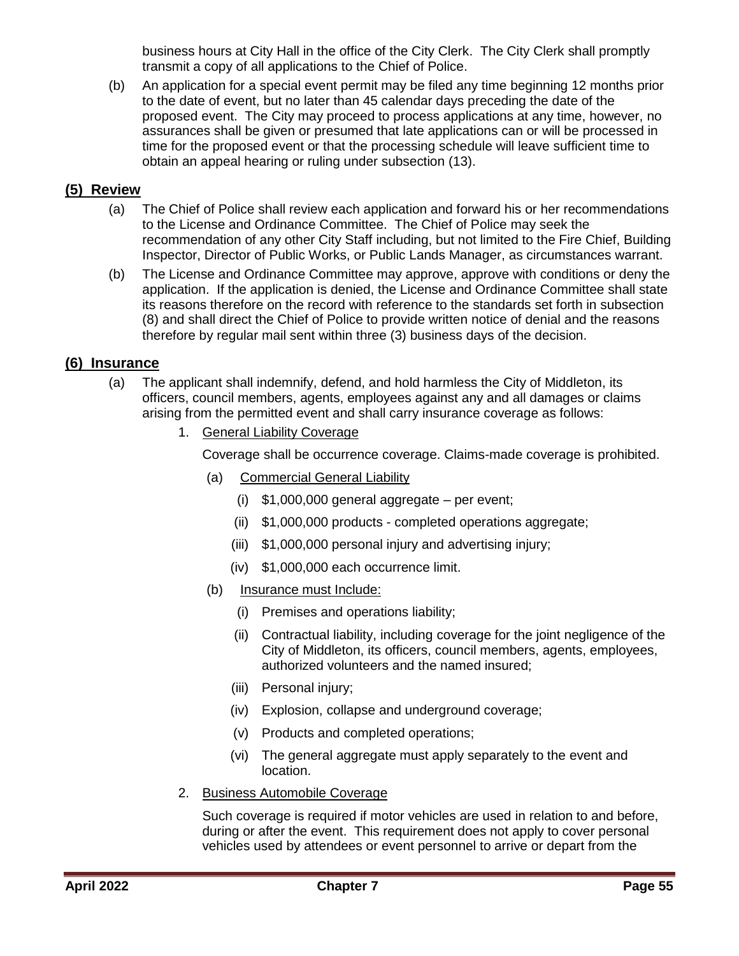business hours at City Hall in the office of the City Clerk. The City Clerk shall promptly transmit a copy of all applications to the Chief of Police.

(b) An application for a special event permit may be filed any time beginning 12 months prior to the date of event, but no later than 45 calendar days preceding the date of the proposed event. The City may proceed to process applications at any time, however, no assurances shall be given or presumed that late applications can or will be processed in time for the proposed event or that the processing schedule will leave sufficient time to obtain an appeal hearing or ruling under subsection (13).

## <span id="page-54-0"></span>**(5) Review**

- (a) The Chief of Police shall review each application and forward his or her recommendations to the License and Ordinance Committee. The Chief of Police may seek the recommendation of any other City Staff including, but not limited to the Fire Chief, Building Inspector, Director of Public Works, or Public Lands Manager, as circumstances warrant.
- (b) The License and Ordinance Committee may approve, approve with conditions or deny the application. If the application is denied, the License and Ordinance Committee shall state its reasons therefore on the record with reference to the standards set forth in subsection (8) and shall direct the Chief of Police to provide written notice of denial and the reasons therefore by regular mail sent within three (3) business days of the decision.

### <span id="page-54-1"></span>**(6) Insurance**

- (a) The applicant shall indemnify, defend, and hold harmless the City of Middleton, its officers, council members, agents, employees against any and all damages or claims arising from the permitted event and shall carry insurance coverage as follows:
	- 1. General Liability Coverage

Coverage shall be occurrence coverage. Claims-made coverage is prohibited.

- (a) Commercial General Liability
	- (i) \$1,000,000 general aggregate per event;
	- (ii) \$1,000,000 products completed operations aggregate;
	- (iii) \$1,000,000 personal injury and advertising injury;
	- (iv) \$1,000,000 each occurrence limit.
- (b) Insurance must Include:
	- (i) Premises and operations liability;
	- (ii) Contractual liability, including coverage for the joint negligence of the City of Middleton, its officers, council members, agents, employees, authorized volunteers and the named insured;
	- (iii) Personal injury;
	- (iv) Explosion, collapse and underground coverage;
	- (v) Products and completed operations;
	- (vi) The general aggregate must apply separately to the event and location.
- 2. Business Automobile Coverage

Such coverage is required if motor vehicles are used in relation to and before, during or after the event. This requirement does not apply to cover personal vehicles used by attendees or event personnel to arrive or depart from the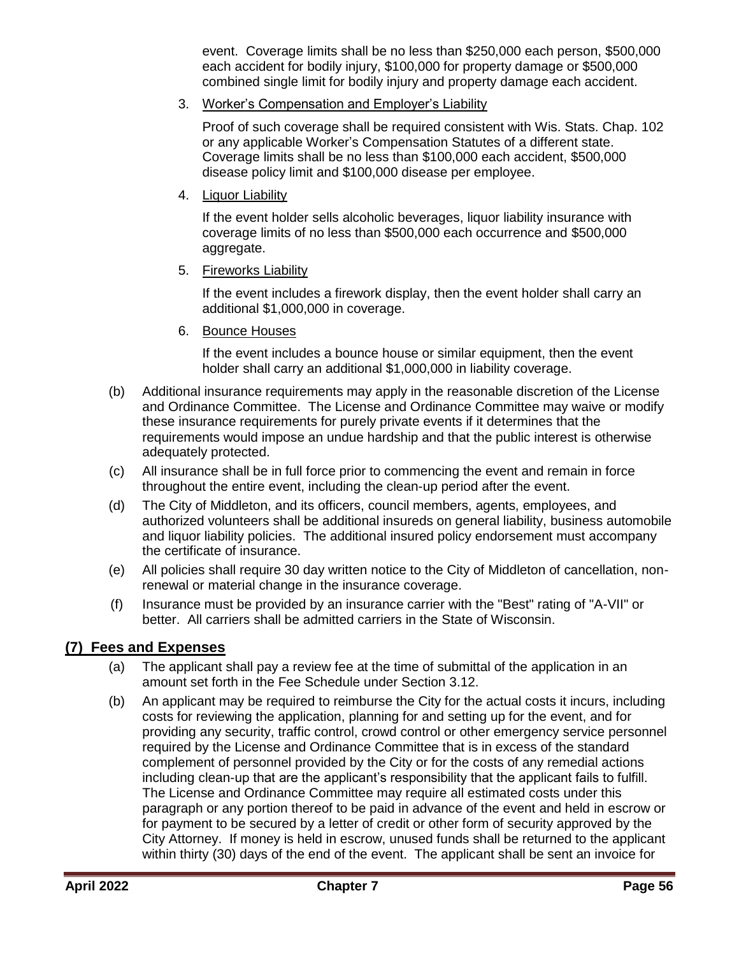event. Coverage limits shall be no less than \$250,000 each person, \$500,000 each accident for bodily injury, \$100,000 for property damage or \$500,000 combined single limit for bodily injury and property damage each accident.

3. Worker's Compensation and Employer's Liability

Proof of such coverage shall be required consistent with Wis. Stats. Chap. 102 or any applicable Worker's Compensation Statutes of a different state. Coverage limits shall be no less than \$100,000 each accident, \$500,000 disease policy limit and \$100,000 disease per employee.

4. Liquor Liability

If the event holder sells alcoholic beverages, liquor liability insurance with coverage limits of no less than \$500,000 each occurrence and \$500,000 aggregate.

5. Fireworks Liability

If the event includes a firework display, then the event holder shall carry an additional \$1,000,000 in coverage.

6. Bounce Houses

If the event includes a bounce house or similar equipment, then the event holder shall carry an additional \$1,000,000 in liability coverage.

- (b) Additional insurance requirements may apply in the reasonable discretion of the License and Ordinance Committee. The License and Ordinance Committee may waive or modify these insurance requirements for purely private events if it determines that the requirements would impose an undue hardship and that the public interest is otherwise adequately protected.
- (c) All insurance shall be in full force prior to commencing the event and remain in force throughout the entire event, including the clean-up period after the event.
- (d) The City of Middleton, and its officers, council members, agents, employees, and authorized volunteers shall be additional insureds on general liability, business automobile and liquor liability policies. The additional insured policy endorsement must accompany the certificate of insurance.
- (e) All policies shall require 30 day written notice to the City of Middleton of cancellation, nonrenewal or material change in the insurance coverage.
- (f) Insurance must be provided by an insurance carrier with the "Best" rating of "A-VII" or better. All carriers shall be admitted carriers in the State of Wisconsin.

### <span id="page-55-0"></span>**(7) Fees and Expenses**

- (a) The applicant shall pay a review fee at the time of submittal of the application in an amount set forth in the Fee Schedule under Section 3.12.
- (b) An applicant may be required to reimburse the City for the actual costs it incurs, including costs for reviewing the application, planning for and setting up for the event, and for providing any security, traffic control, crowd control or other emergency service personnel required by the License and Ordinance Committee that is in excess of the standard complement of personnel provided by the City or for the costs of any remedial actions including clean-up that are the applicant's responsibility that the applicant fails to fulfill. The License and Ordinance Committee may require all estimated costs under this paragraph or any portion thereof to be paid in advance of the event and held in escrow or for payment to be secured by a letter of credit or other form of security approved by the City Attorney. If money is held in escrow, unused funds shall be returned to the applicant within thirty (30) days of the end of the event. The applicant shall be sent an invoice for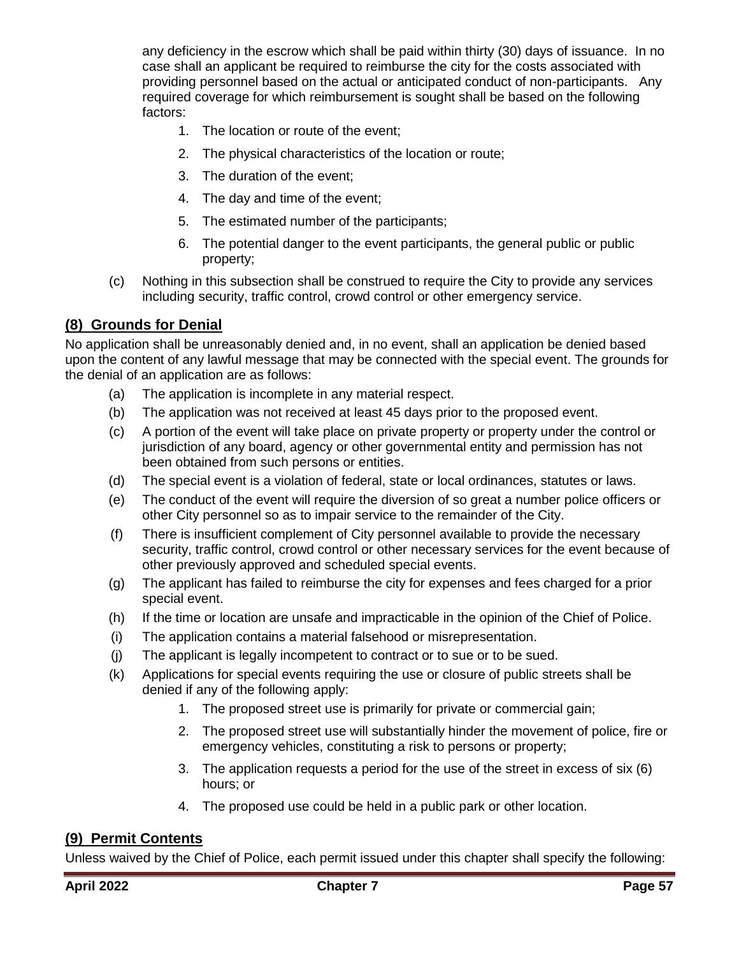any deficiency in the escrow which shall be paid within thirty (30) days of issuance. In no case shall an applicant be required to reimburse the city for the costs associated with providing personnel based on the actual or anticipated conduct of non-participants. Any required coverage for which reimbursement is sought shall be based on the following factors:

- 1. The location or route of the event;
- 2. The physical characteristics of the location or route;
- 3. The duration of the event;
- 4. The day and time of the event;
- 5. The estimated number of the participants;
- 6. The potential danger to the event participants, the general public or public property;
- (c) Nothing in this subsection shall be construed to require the City to provide any services including security, traffic control, crowd control or other emergency service.

## <span id="page-56-0"></span>**(8) Grounds for Denial**

No application shall be unreasonably denied and, in no event, shall an application be denied based upon the content of any lawful message that may be connected with the special event. The grounds for the denial of an application are as follows:

- (a) The application is incomplete in any material respect.
- (b) The application was not received at least 45 days prior to the proposed event.
- (c) A portion of the event will take place on private property or property under the control or jurisdiction of any board, agency or other governmental entity and permission has not been obtained from such persons or entities.
- (d) The special event is a violation of federal, state or local ordinances, statutes or laws.
- (e) The conduct of the event will require the diversion of so great a number police officers or other City personnel so as to impair service to the remainder of the City.
- (f) There is insufficient complement of City personnel available to provide the necessary security, traffic control, crowd control or other necessary services for the event because of other previously approved and scheduled special events.
- (g) The applicant has failed to reimburse the city for expenses and fees charged for a prior special event.
- (h) If the time or location are unsafe and impracticable in the opinion of the Chief of Police.
- (i) The application contains a material falsehood or misrepresentation.
- (j) The applicant is legally incompetent to contract or to sue or to be sued.
- (k) Applications for special events requiring the use or closure of public streets shall be denied if any of the following apply:
	- 1. The proposed street use is primarily for private or commercial gain;
	- 2. The proposed street use will substantially hinder the movement of police, fire or emergency vehicles, constituting a risk to persons or property;
	- 3. The application requests a period for the use of the street in excess of six (6) hours; or
	- 4. The proposed use could be held in a public park or other location.

## <span id="page-56-1"></span>**(9) Permit Contents**

Unless waived by the Chief of Police, each permit issued under this chapter shall specify the following: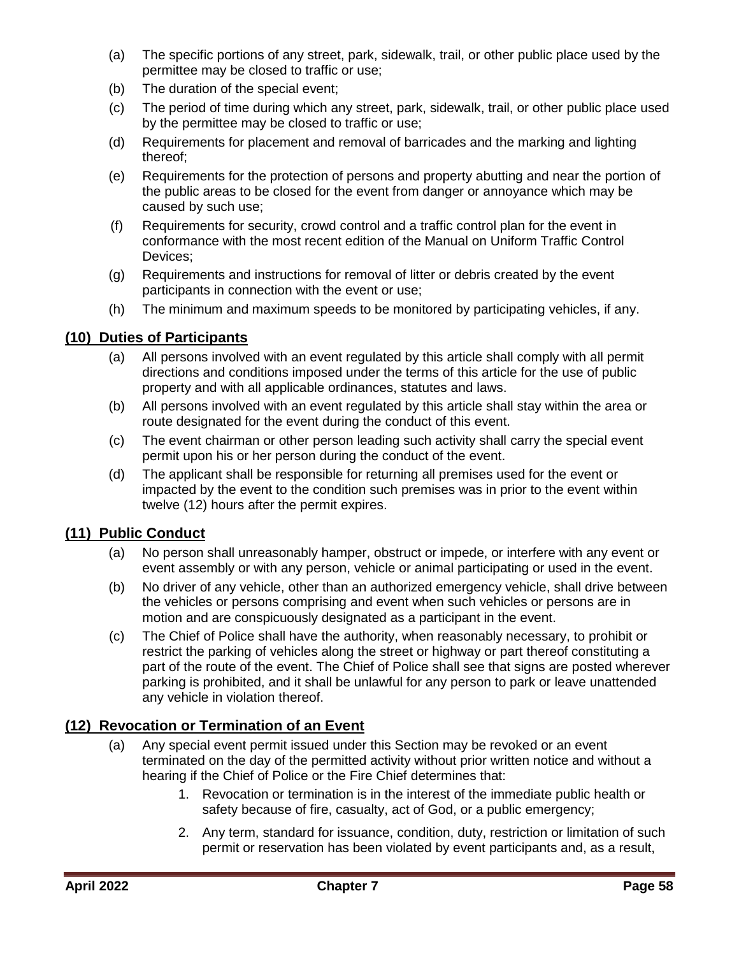- (a) The specific portions of any street, park, sidewalk, trail, or other public place used by the permittee may be closed to traffic or use;
- (b) The duration of the special event;
- (c) The period of time during which any street, park, sidewalk, trail, or other public place used by the permittee may be closed to traffic or use;
- (d) Requirements for placement and removal of barricades and the marking and lighting thereof;
- (e) Requirements for the protection of persons and property abutting and near the portion of the public areas to be closed for the event from danger or annoyance which may be caused by such use;
- (f) Requirements for security, crowd control and a traffic control plan for the event in conformance with the most recent edition of the Manual on Uniform Traffic Control Devices;
- (g) Requirements and instructions for removal of litter or debris created by the event participants in connection with the event or use;
- (h) The minimum and maximum speeds to be monitored by participating vehicles, if any.

### <span id="page-57-0"></span>**(10) Duties of Participants**

- (a) All persons involved with an event regulated by this article shall comply with all permit directions and conditions imposed under the terms of this article for the use of public property and with all applicable ordinances, statutes and laws.
- (b) All persons involved with an event regulated by this article shall stay within the area or route designated for the event during the conduct of this event.
- (c) The event chairman or other person leading such activity shall carry the special event permit upon his or her person during the conduct of the event.
- (d) The applicant shall be responsible for returning all premises used for the event or impacted by the event to the condition such premises was in prior to the event within twelve (12) hours after the permit expires.

### <span id="page-57-1"></span>**(11) Public Conduct**

- (a) No person shall unreasonably hamper, obstruct or impede, or interfere with any event or event assembly or with any person, vehicle or animal participating or used in the event.
- (b) No driver of any vehicle, other than an authorized emergency vehicle, shall drive between the vehicles or persons comprising and event when such vehicles or persons are in motion and are conspicuously designated as a participant in the event.
- (c) The Chief of Police shall have the authority, when reasonably necessary, to prohibit or restrict the parking of vehicles along the street or highway or part thereof constituting a part of the route of the event. The Chief of Police shall see that signs are posted wherever parking is prohibited, and it shall be unlawful for any person to park or leave unattended any vehicle in violation thereof.

### <span id="page-57-2"></span>**(12) Revocation or Termination of an Event**

- (a) Any special event permit issued under this Section may be revoked or an event terminated on the day of the permitted activity without prior written notice and without a hearing if the Chief of Police or the Fire Chief determines that:
	- 1. Revocation or termination is in the interest of the immediate public health or safety because of fire, casualty, act of God, or a public emergency;
	- 2. Any term, standard for issuance, condition, duty, restriction or limitation of such permit or reservation has been violated by event participants and, as a result,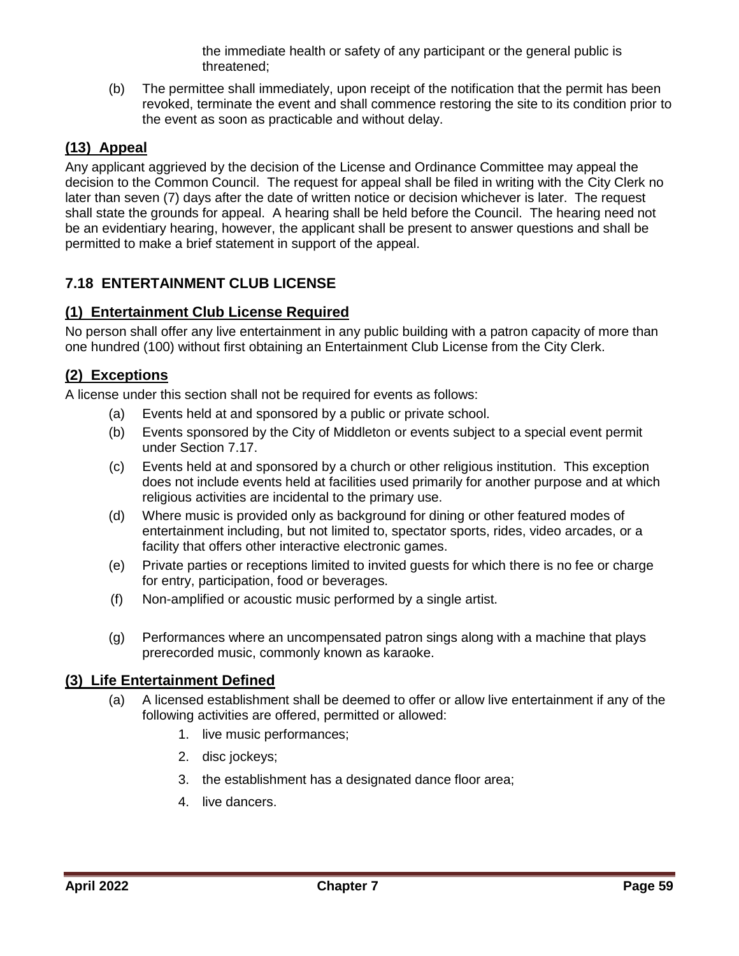the immediate health or safety of any participant or the general public is threatened;

(b) The permittee shall immediately, upon receipt of the notification that the permit has been revoked, terminate the event and shall commence restoring the site to its condition prior to the event as soon as practicable and without delay.

## <span id="page-58-0"></span>**(13) Appeal**

Any applicant aggrieved by the decision of the License and Ordinance Committee may appeal the decision to the Common Council. The request for appeal shall be filed in writing with the City Clerk no later than seven (7) days after the date of written notice or decision whichever is later. The request shall state the grounds for appeal. A hearing shall be held before the Council. The hearing need not be an evidentiary hearing, however, the applicant shall be present to answer questions and shall be permitted to make a brief statement in support of the appeal.

## <span id="page-58-1"></span>**7.18 ENTERTAINMENT CLUB LICENSE**

## <span id="page-58-2"></span>**(1) Entertainment Club License Required**

No person shall offer any live entertainment in any public building with a patron capacity of more than one hundred (100) without first obtaining an Entertainment Club License from the City Clerk.

## <span id="page-58-3"></span>**(2) Exceptions**

A license under this section shall not be required for events as follows:

- (a) Events held at and sponsored by a public or private school.
- (b) Events sponsored by the City of Middleton or events subject to a special event permit under Section 7.17.
- (c) Events held at and sponsored by a church or other religious institution. This exception does not include events held at facilities used primarily for another purpose and at which religious activities are incidental to the primary use.
- (d) Where music is provided only as background for dining or other featured modes of entertainment including, but not limited to, spectator sports, rides, video arcades, or a facility that offers other interactive electronic games.
- (e) Private parties or receptions limited to invited guests for which there is no fee or charge for entry, participation, food or beverages.
- (f) Non-amplified or acoustic music performed by a single artist.
- (g) Performances where an uncompensated patron sings along with a machine that plays prerecorded music, commonly known as karaoke.

## <span id="page-58-4"></span>**(3) Life Entertainment Defined**

- (a) A licensed establishment shall be deemed to offer or allow live entertainment if any of the following activities are offered, permitted or allowed:
	- 1. live music performances;
	- 2. disc jockeys;
	- 3. the establishment has a designated dance floor area;
	- 4. live dancers.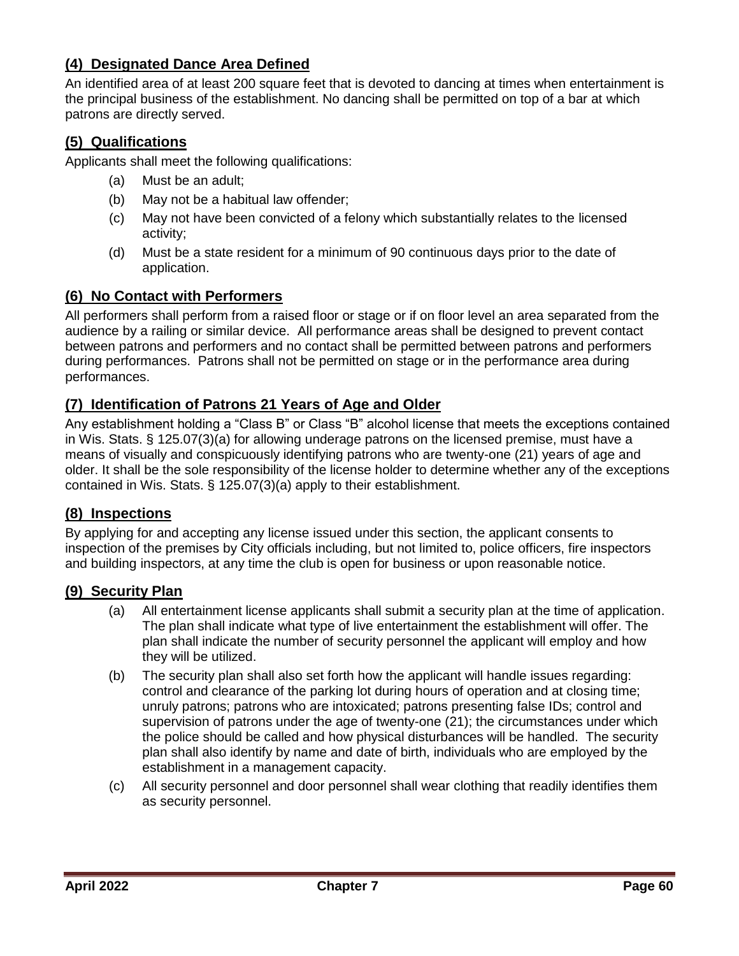## <span id="page-59-0"></span>**(4) Designated Dance Area Defined**

An identified area of at least 200 square feet that is devoted to dancing at times when entertainment is the principal business of the establishment. No dancing shall be permitted on top of a bar at which patrons are directly served.

### <span id="page-59-1"></span>**(5) Qualifications**

Applicants shall meet the following qualifications:

- (a) Must be an adult;
- (b) May not be a habitual law offender;
- (c) May not have been convicted of a felony which substantially relates to the licensed activity;
- (d) Must be a state resident for a minimum of 90 continuous days prior to the date of application.

### <span id="page-59-2"></span>**(6) No Contact with Performers**

All performers shall perform from a raised floor or stage or if on floor level an area separated from the audience by a railing or similar device. All performance areas shall be designed to prevent contact between patrons and performers and no contact shall be permitted between patrons and performers during performances. Patrons shall not be permitted on stage or in the performance area during performances.

### <span id="page-59-3"></span>**(7) Identification of Patrons 21 Years of Age and Older**

Any establishment holding a "Class B" or Class "B" alcohol license that meets the exceptions contained in Wis. Stats. § 125.07(3)(a) for allowing underage patrons on the licensed premise, must have a means of visually and conspicuously identifying patrons who are twenty-one (21) years of age and older. It shall be the sole responsibility of the license holder to determine whether any of the exceptions contained in Wis. Stats. § 125.07(3)(a) apply to their establishment.

### <span id="page-59-4"></span>**(8) Inspections**

By applying for and accepting any license issued under this section, the applicant consents to inspection of the premises by City officials including, but not limited to, police officers, fire inspectors and building inspectors, at any time the club is open for business or upon reasonable notice.

#### <span id="page-59-5"></span>**(9) Security Plan**

- (a) All entertainment license applicants shall submit a security plan at the time of application. The plan shall indicate what type of live entertainment the establishment will offer. The plan shall indicate the number of security personnel the applicant will employ and how they will be utilized.
- (b) The security plan shall also set forth how the applicant will handle issues regarding: control and clearance of the parking lot during hours of operation and at closing time; unruly patrons; patrons who are intoxicated; patrons presenting false IDs; control and supervision of patrons under the age of twenty-one (21); the circumstances under which the police should be called and how physical disturbances will be handled. The security plan shall also identify by name and date of birth, individuals who are employed by the establishment in a management capacity.
- (c) All security personnel and door personnel shall wear clothing that readily identifies them as security personnel.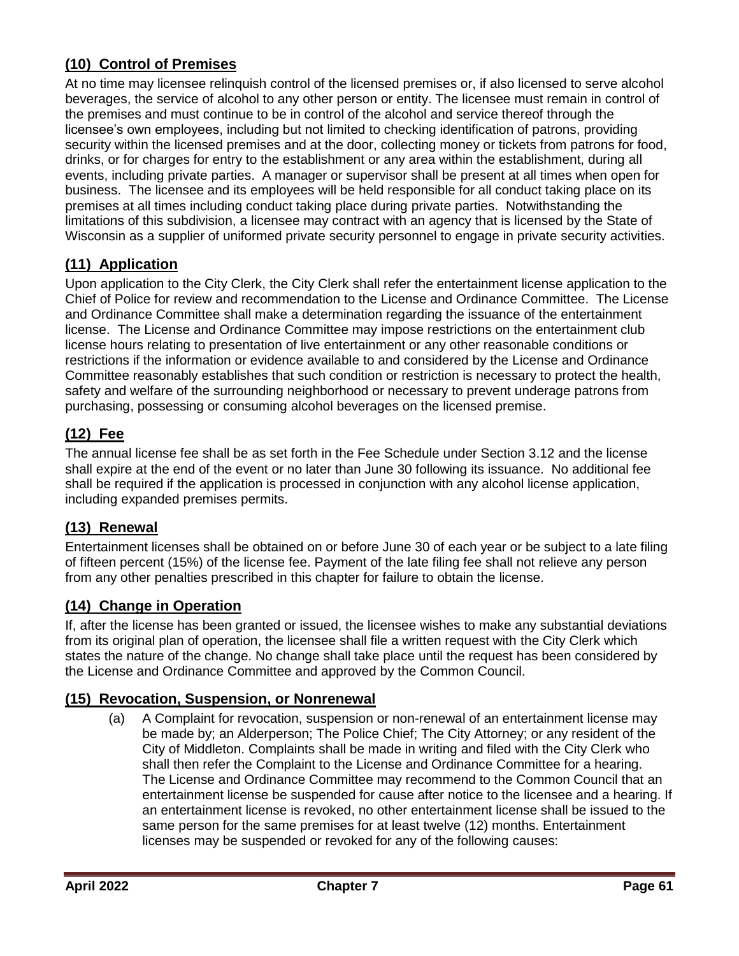## <span id="page-60-0"></span>**(10) Control of Premises**

At no time may licensee relinquish control of the licensed premises or, if also licensed to serve alcohol beverages, the service of alcohol to any other person or entity. The licensee must remain in control of the premises and must continue to be in control of the alcohol and service thereof through the licensee's own employees, including but not limited to checking identification of patrons, providing security within the licensed premises and at the door, collecting money or tickets from patrons for food, drinks, or for charges for entry to the establishment or any area within the establishment, during all events, including private parties. A manager or supervisor shall be present at all times when open for business. The licensee and its employees will be held responsible for all conduct taking place on its premises at all times including conduct taking place during private parties. Notwithstanding the limitations of this subdivision, a licensee may contract with an agency that is licensed by the State of Wisconsin as a supplier of uniformed private security personnel to engage in private security activities.

## <span id="page-60-1"></span>**(11) Application**

Upon application to the City Clerk, the City Clerk shall refer the entertainment license application to the Chief of Police for review and recommendation to the License and Ordinance Committee. The License and Ordinance Committee shall make a determination regarding the issuance of the entertainment license. The License and Ordinance Committee may impose restrictions on the entertainment club license hours relating to presentation of live entertainment or any other reasonable conditions or restrictions if the information or evidence available to and considered by the License and Ordinance Committee reasonably establishes that such condition or restriction is necessary to protect the health, safety and welfare of the surrounding neighborhood or necessary to prevent underage patrons from purchasing, possessing or consuming alcohol beverages on the licensed premise.

## <span id="page-60-2"></span>**(12) Fee**

The annual license fee shall be as set forth in the Fee Schedule under Section 3.12 and the license shall expire at the end of the event or no later than June 30 following its issuance. No additional fee shall be required if the application is processed in conjunction with any alcohol license application, including expanded premises permits.

## <span id="page-60-3"></span>**(13) Renewal**

Entertainment licenses shall be obtained on or before June 30 of each year or be subject to a late filing of fifteen percent (15%) of the license fee. Payment of the late filing fee shall not relieve any person from any other penalties prescribed in this chapter for failure to obtain the license.

## <span id="page-60-4"></span>**(14) Change in Operation**

If, after the license has been granted or issued, the licensee wishes to make any substantial deviations from its original plan of operation, the licensee shall file a written request with the City Clerk which states the nature of the change. No change shall take place until the request has been considered by the License and Ordinance Committee and approved by the Common Council.

## <span id="page-60-5"></span>**(15) Revocation, Suspension, or Nonrenewal**

(a) A Complaint for revocation, suspension or non-renewal of an entertainment license may be made by; an Alderperson; The Police Chief; The City Attorney; or any resident of the City of Middleton. Complaints shall be made in writing and filed with the City Clerk who shall then refer the Complaint to the License and Ordinance Committee for a hearing. The License and Ordinance Committee may recommend to the Common Council that an entertainment license be suspended for cause after notice to the licensee and a hearing. If an entertainment license is revoked, no other entertainment license shall be issued to the same person for the same premises for at least twelve (12) months. Entertainment licenses may be suspended or revoked for any of the following causes: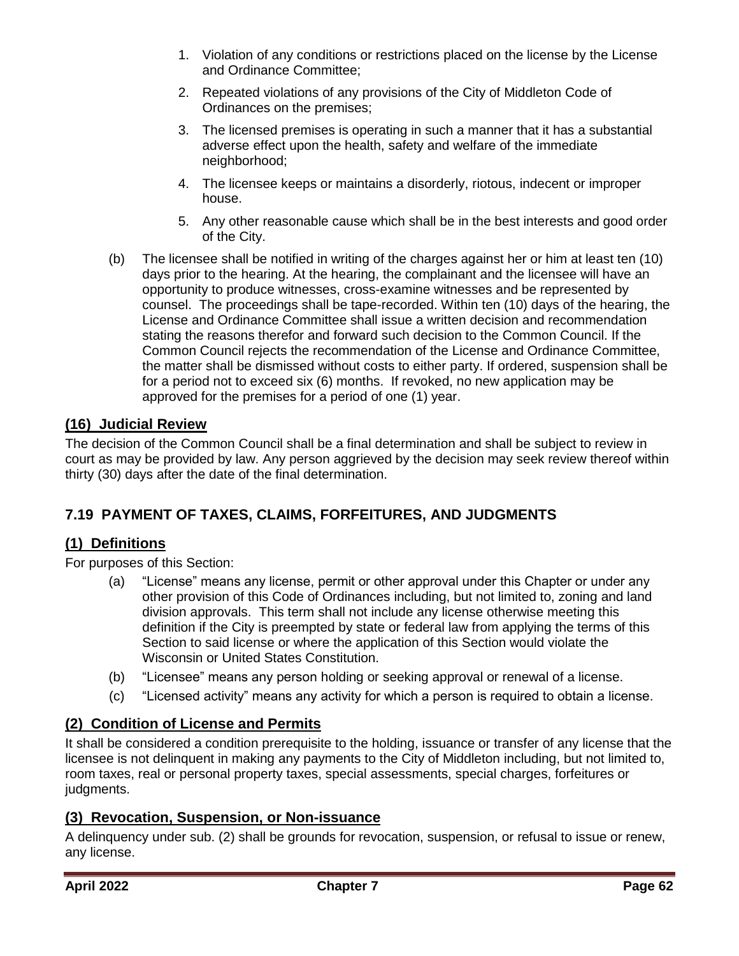- 1. Violation of any conditions or restrictions placed on the license by the License and Ordinance Committee;
- 2. Repeated violations of any provisions of the City of Middleton Code of Ordinances on the premises;
- 3. The licensed premises is operating in such a manner that it has a substantial adverse effect upon the health, safety and welfare of the immediate neighborhood;
- 4. The licensee keeps or maintains a disorderly, riotous, indecent or improper house.
- 5. Any other reasonable cause which shall be in the best interests and good order of the City.
- (b) The licensee shall be notified in writing of the charges against her or him at least ten (10) days prior to the hearing. At the hearing, the complainant and the licensee will have an opportunity to produce witnesses, cross-examine witnesses and be represented by counsel. The proceedings shall be tape-recorded. Within ten (10) days of the hearing, the License and Ordinance Committee shall issue a written decision and recommendation stating the reasons therefor and forward such decision to the Common Council. If the Common Council rejects the recommendation of the License and Ordinance Committee, the matter shall be dismissed without costs to either party. If ordered, suspension shall be for a period not to exceed six (6) months. If revoked, no new application may be approved for the premises for a period of one (1) year.

## <span id="page-61-0"></span>**(16) Judicial Review**

The decision of the Common Council shall be a final determination and shall be subject to review in court as may be provided by law. Any person aggrieved by the decision may seek review thereof within thirty (30) days after the date of the final determination.

## <span id="page-61-1"></span>**7.19 PAYMENT OF TAXES, CLAIMS, FORFEITURES, AND JUDGMENTS**

### <span id="page-61-2"></span>**(1) Definitions**

For purposes of this Section:

- (a) "License" means any license, permit or other approval under this Chapter or under any other provision of this Code of Ordinances including, but not limited to, zoning and land division approvals. This term shall not include any license otherwise meeting this definition if the City is preempted by state or federal law from applying the terms of this Section to said license or where the application of this Section would violate the Wisconsin or United States Constitution.
- (b) "Licensee" means any person holding or seeking approval or renewal of a license.
- (c) "Licensed activity" means any activity for which a person is required to obtain a license.

## <span id="page-61-3"></span>**(2) Condition of License and Permits**

It shall be considered a condition prerequisite to the holding, issuance or transfer of any license that the licensee is not delinquent in making any payments to the City of Middleton including, but not limited to, room taxes, real or personal property taxes, special assessments, special charges, forfeitures or judgments.

### <span id="page-61-4"></span>**(3) Revocation, Suspension, or Non-issuance**

A delinquency under sub. (2) shall be grounds for revocation, suspension, or refusal to issue or renew, any license.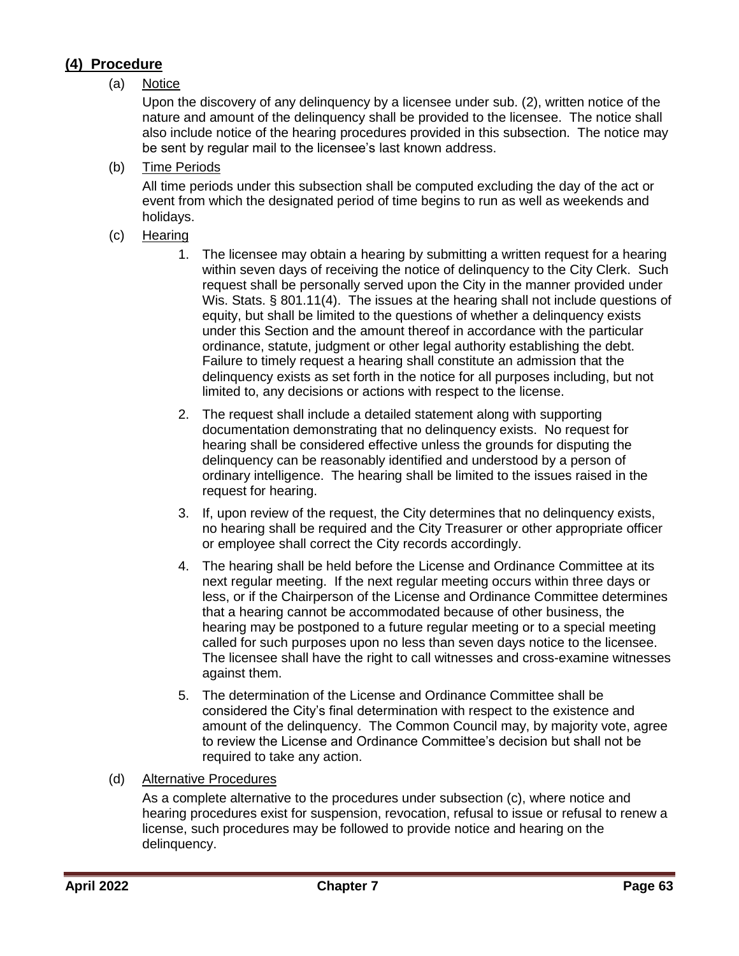## <span id="page-62-0"></span>**(4) Procedure**

### (a) Notice

Upon the discovery of any delinquency by a licensee under sub. (2), written notice of the nature and amount of the delinquency shall be provided to the licensee. The notice shall also include notice of the hearing procedures provided in this subsection. The notice may be sent by regular mail to the licensee's last known address.

(b) Time Periods

All time periods under this subsection shall be computed excluding the day of the act or event from which the designated period of time begins to run as well as weekends and holidays.

- (c) Hearing
	- 1. The licensee may obtain a hearing by submitting a written request for a hearing within seven days of receiving the notice of delinquency to the City Clerk. Such request shall be personally served upon the City in the manner provided under Wis. Stats. § 801.11(4). The issues at the hearing shall not include questions of equity, but shall be limited to the questions of whether a delinquency exists under this Section and the amount thereof in accordance with the particular ordinance, statute, judgment or other legal authority establishing the debt. Failure to timely request a hearing shall constitute an admission that the delinquency exists as set forth in the notice for all purposes including, but not limited to, any decisions or actions with respect to the license.
	- 2. The request shall include a detailed statement along with supporting documentation demonstrating that no delinquency exists. No request for hearing shall be considered effective unless the grounds for disputing the delinquency can be reasonably identified and understood by a person of ordinary intelligence. The hearing shall be limited to the issues raised in the request for hearing.
	- 3. If, upon review of the request, the City determines that no delinquency exists, no hearing shall be required and the City Treasurer or other appropriate officer or employee shall correct the City records accordingly.
	- 4. The hearing shall be held before the License and Ordinance Committee at its next regular meeting. If the next regular meeting occurs within three days or less, or if the Chairperson of the License and Ordinance Committee determines that a hearing cannot be accommodated because of other business, the hearing may be postponed to a future regular meeting or to a special meeting called for such purposes upon no less than seven days notice to the licensee. The licensee shall have the right to call witnesses and cross-examine witnesses against them.
	- 5. The determination of the License and Ordinance Committee shall be considered the City's final determination with respect to the existence and amount of the delinquency. The Common Council may, by majority vote, agree to review the License and Ordinance Committee's decision but shall not be required to take any action.
- (d) Alternative Procedures

As a complete alternative to the procedures under subsection (c), where notice and hearing procedures exist for suspension, revocation, refusal to issue or refusal to renew a license, such procedures may be followed to provide notice and hearing on the delinquency.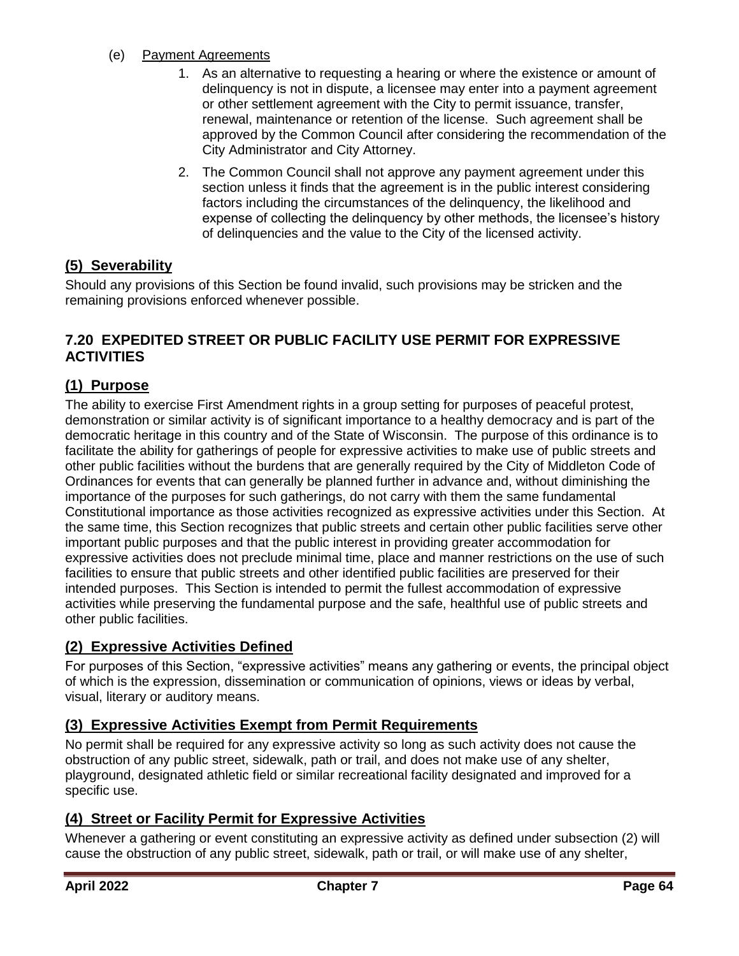### (e) Payment Agreements

- 1. As an alternative to requesting a hearing or where the existence or amount of delinquency is not in dispute, a licensee may enter into a payment agreement or other settlement agreement with the City to permit issuance, transfer, renewal, maintenance or retention of the license. Such agreement shall be approved by the Common Council after considering the recommendation of the City Administrator and City Attorney.
- 2. The Common Council shall not approve any payment agreement under this section unless it finds that the agreement is in the public interest considering factors including the circumstances of the delinquency, the likelihood and expense of collecting the delinquency by other methods, the licensee's history of delinquencies and the value to the City of the licensed activity.

### <span id="page-63-0"></span>**(5) Severability**

Should any provisions of this Section be found invalid, such provisions may be stricken and the remaining provisions enforced whenever possible.

### <span id="page-63-1"></span>**7.20 EXPEDITED STREET OR PUBLIC FACILITY USE PERMIT FOR EXPRESSIVE ACTIVITIES**

### <span id="page-63-2"></span>**(1) Purpose**

The ability to exercise First Amendment rights in a group setting for purposes of peaceful protest, demonstration or similar activity is of significant importance to a healthy democracy and is part of the democratic heritage in this country and of the State of Wisconsin. The purpose of this ordinance is to facilitate the ability for gatherings of people for expressive activities to make use of public streets and other public facilities without the burdens that are generally required by the City of Middleton Code of Ordinances for events that can generally be planned further in advance and, without diminishing the importance of the purposes for such gatherings, do not carry with them the same fundamental Constitutional importance as those activities recognized as expressive activities under this Section. At the same time, this Section recognizes that public streets and certain other public facilities serve other important public purposes and that the public interest in providing greater accommodation for expressive activities does not preclude minimal time, place and manner restrictions on the use of such facilities to ensure that public streets and other identified public facilities are preserved for their intended purposes. This Section is intended to permit the fullest accommodation of expressive activities while preserving the fundamental purpose and the safe, healthful use of public streets and other public facilities.

### <span id="page-63-3"></span>**(2) Expressive Activities Defined**

For purposes of this Section, "expressive activities" means any gathering or events, the principal object of which is the expression, dissemination or communication of opinions, views or ideas by verbal, visual, literary or auditory means.

### <span id="page-63-4"></span>**(3) Expressive Activities Exempt from Permit Requirements**

No permit shall be required for any expressive activity so long as such activity does not cause the obstruction of any public street, sidewalk, path or trail, and does not make use of any shelter, playground, designated athletic field or similar recreational facility designated and improved for a specific use.

## <span id="page-63-5"></span>**(4) Street or Facility Permit for Expressive Activities**

Whenever a gathering or event constituting an expressive activity as defined under subsection (2) will cause the obstruction of any public street, sidewalk, path or trail, or will make use of any shelter,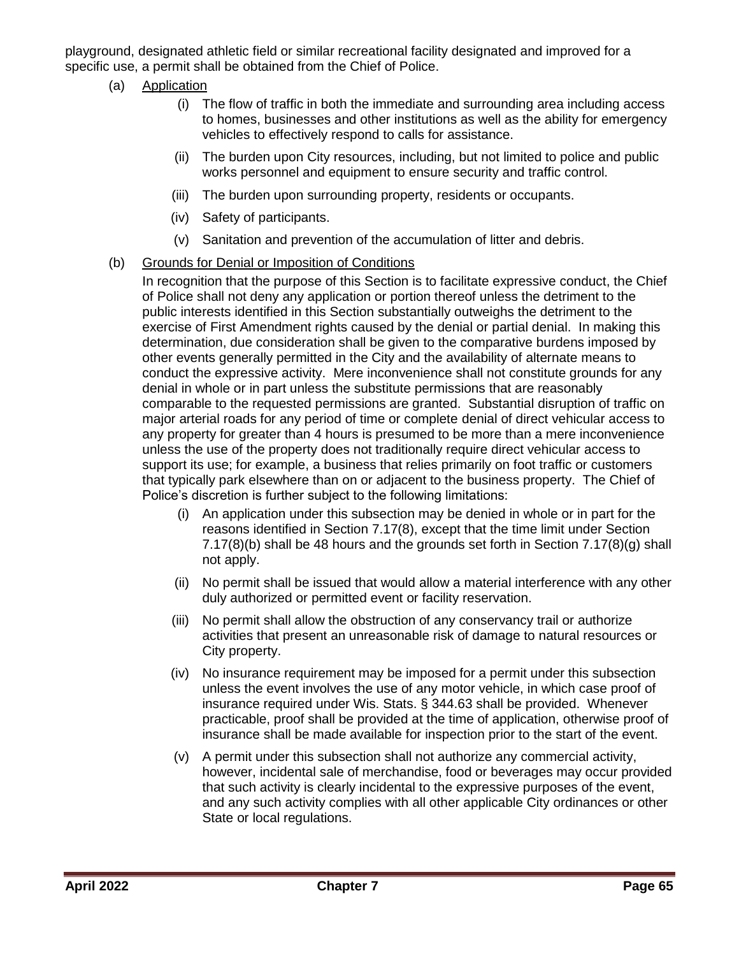playground, designated athletic field or similar recreational facility designated and improved for a specific use, a permit shall be obtained from the Chief of Police.

- (a) Application
	- (i) The flow of traffic in both the immediate and surrounding area including access to homes, businesses and other institutions as well as the ability for emergency vehicles to effectively respond to calls for assistance.
	- (ii) The burden upon City resources, including, but not limited to police and public works personnel and equipment to ensure security and traffic control.
	- (iii) The burden upon surrounding property, residents or occupants.
	- (iv) Safety of participants.
	- (v) Sanitation and prevention of the accumulation of litter and debris.
- (b) Grounds for Denial or Imposition of Conditions

In recognition that the purpose of this Section is to facilitate expressive conduct, the Chief of Police shall not deny any application or portion thereof unless the detriment to the public interests identified in this Section substantially outweighs the detriment to the exercise of First Amendment rights caused by the denial or partial denial. In making this determination, due consideration shall be given to the comparative burdens imposed by other events generally permitted in the City and the availability of alternate means to conduct the expressive activity. Mere inconvenience shall not constitute grounds for any denial in whole or in part unless the substitute permissions that are reasonably comparable to the requested permissions are granted. Substantial disruption of traffic on major arterial roads for any period of time or complete denial of direct vehicular access to any property for greater than 4 hours is presumed to be more than a mere inconvenience unless the use of the property does not traditionally require direct vehicular access to support its use; for example, a business that relies primarily on foot traffic or customers that typically park elsewhere than on or adjacent to the business property. The Chief of Police's discretion is further subject to the following limitations:

- (i) An application under this subsection may be denied in whole or in part for the reasons identified in Section 7.17(8), except that the time limit under Section 7.17(8)(b) shall be 48 hours and the grounds set forth in Section 7.17(8)(g) shall not apply.
- (ii) No permit shall be issued that would allow a material interference with any other duly authorized or permitted event or facility reservation.
- (iii) No permit shall allow the obstruction of any conservancy trail or authorize activities that present an unreasonable risk of damage to natural resources or City property.
- (iv) No insurance requirement may be imposed for a permit under this subsection unless the event involves the use of any motor vehicle, in which case proof of insurance required under Wis. Stats. § 344.63 shall be provided. Whenever practicable, proof shall be provided at the time of application, otherwise proof of insurance shall be made available for inspection prior to the start of the event.
- (v) A permit under this subsection shall not authorize any commercial activity, however, incidental sale of merchandise, food or beverages may occur provided that such activity is clearly incidental to the expressive purposes of the event, and any such activity complies with all other applicable City ordinances or other State or local regulations.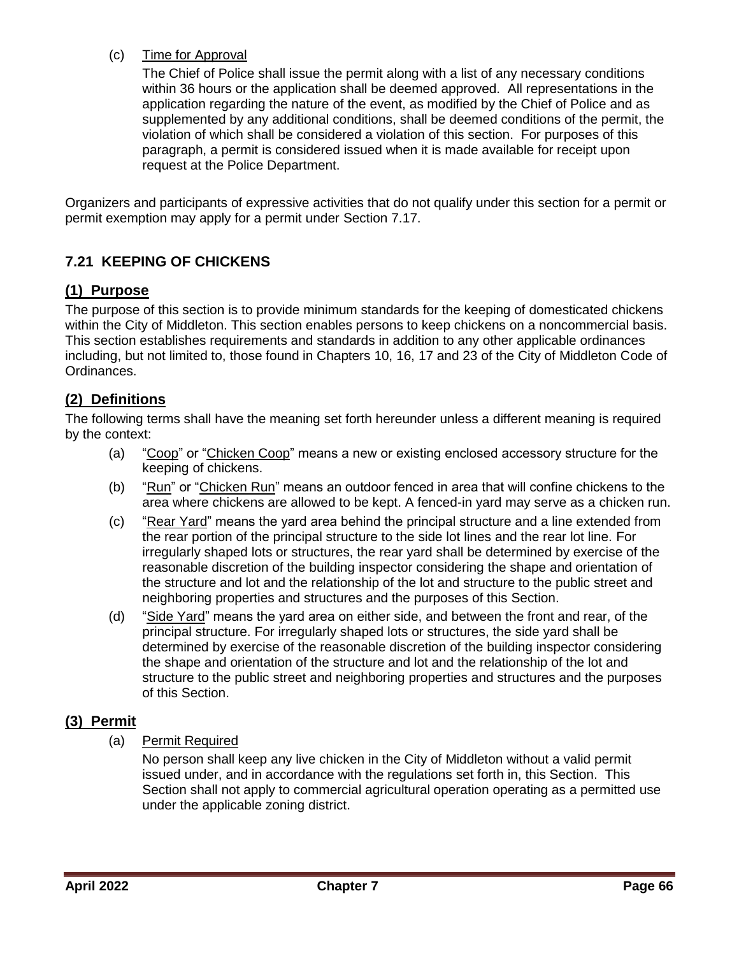### (c) Time for Approval

The Chief of Police shall issue the permit along with a list of any necessary conditions within 36 hours or the application shall be deemed approved. All representations in the application regarding the nature of the event, as modified by the Chief of Police and as supplemented by any additional conditions, shall be deemed conditions of the permit, the violation of which shall be considered a violation of this section. For purposes of this paragraph, a permit is considered issued when it is made available for receipt upon request at the Police Department.

Organizers and participants of expressive activities that do not qualify under this section for a permit or permit exemption may apply for a permit under Section 7.17.

## <span id="page-65-0"></span>**7.21 KEEPING OF CHICKENS**

## <span id="page-65-1"></span>**(1) Purpose**

The purpose of this section is to provide minimum standards for the keeping of domesticated chickens within the City of Middleton. This section enables persons to keep chickens on a noncommercial basis. This section establishes requirements and standards in addition to any other applicable ordinances including, but not limited to, those found in Chapters 10, 16, 17 and 23 of the City of Middleton Code of Ordinances.

### <span id="page-65-2"></span>**(2) Definitions**

The following terms shall have the meaning set forth hereunder unless a different meaning is required by the context:

- (a) "Coop" or "Chicken Coop" means a new or existing enclosed accessory structure for the keeping of chickens.
- (b) "Run" or "Chicken Run" means an outdoor fenced in area that will confine chickens to the area where chickens are allowed to be kept. A fenced-in yard may serve as a chicken run.
- (c) "Rear Yard" means the yard area behind the principal structure and a line extended from the rear portion of the principal structure to the side lot lines and the rear lot line. For irregularly shaped lots or structures, the rear yard shall be determined by exercise of the reasonable discretion of the building inspector considering the shape and orientation of the structure and lot and the relationship of the lot and structure to the public street and neighboring properties and structures and the purposes of this Section.
- (d) "Side Yard" means the yard area on either side, and between the front and rear, of the principal structure. For irregularly shaped lots or structures, the side yard shall be determined by exercise of the reasonable discretion of the building inspector considering the shape and orientation of the structure and lot and the relationship of the lot and structure to the public street and neighboring properties and structures and the purposes of this Section.

### <span id="page-65-3"></span>**(3) Permit**

(a) Permit Required

No person shall keep any live chicken in the City of Middleton without a valid permit issued under, and in accordance with the regulations set forth in, this Section. This Section shall not apply to commercial agricultural operation operating as a permitted use under the applicable zoning district.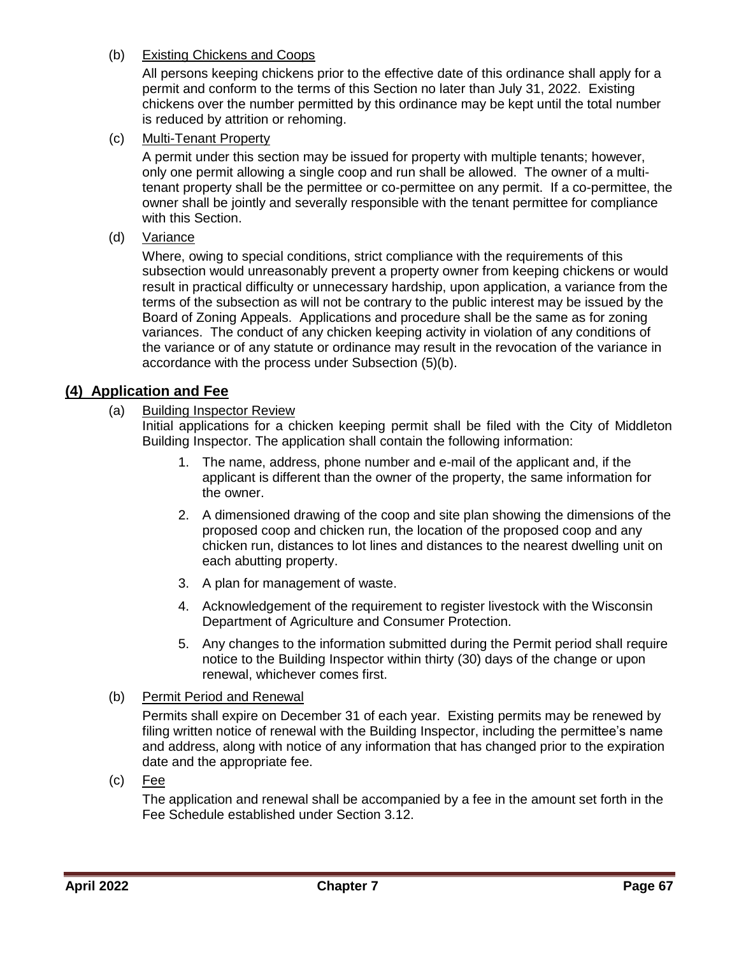### (b) Existing Chickens and Coops

All persons keeping chickens prior to the effective date of this ordinance shall apply for a permit and conform to the terms of this Section no later than July 31, 2022. Existing chickens over the number permitted by this ordinance may be kept until the total number is reduced by attrition or rehoming.

(c) Multi-Tenant Property

A permit under this section may be issued for property with multiple tenants; however, only one permit allowing a single coop and run shall be allowed. The owner of a multitenant property shall be the permittee or co-permittee on any permit. If a co-permittee, the owner shall be jointly and severally responsible with the tenant permittee for compliance with this Section.

(d) Variance

Where, owing to special conditions, strict compliance with the requirements of this subsection would unreasonably prevent a property owner from keeping chickens or would result in practical difficulty or unnecessary hardship, upon application, a variance from the terms of the subsection as will not be contrary to the public interest may be issued by the Board of Zoning Appeals. Applications and procedure shall be the same as for zoning variances. The conduct of any chicken keeping activity in violation of any conditions of the variance or of any statute or ordinance may result in the revocation of the variance in accordance with the process under Subsection (5)(b).

### <span id="page-66-0"></span>**(4) Application and Fee**

### (a) Building Inspector Review

Initial applications for a chicken keeping permit shall be filed with the City of Middleton Building Inspector. The application shall contain the following information:

- 1. The name, address, phone number and e-mail of the applicant and, if the applicant is different than the owner of the property, the same information for the owner.
- 2. A dimensioned drawing of the coop and site plan showing the dimensions of the proposed coop and chicken run, the location of the proposed coop and any chicken run, distances to lot lines and distances to the nearest dwelling unit on each abutting property.
- 3. A plan for management of waste.
- 4. Acknowledgement of the requirement to register livestock with the Wisconsin Department of Agriculture and Consumer Protection.
- 5. Any changes to the information submitted during the Permit period shall require notice to the Building Inspector within thirty (30) days of the change or upon renewal, whichever comes first.
- (b) Permit Period and Renewal

Permits shall expire on December 31 of each year. Existing permits may be renewed by filing written notice of renewal with the Building Inspector, including the permittee's name and address, along with notice of any information that has changed prior to the expiration date and the appropriate fee.

(c) Fee

The application and renewal shall be accompanied by a fee in the amount set forth in the Fee Schedule established under Section 3.12.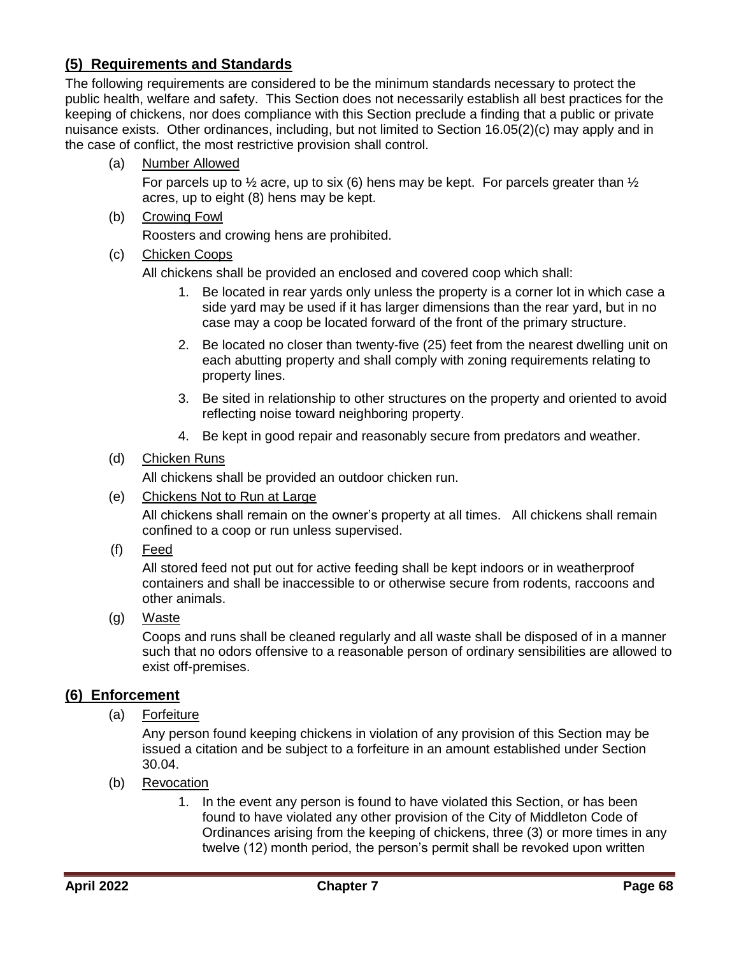## <span id="page-67-0"></span>**(5) Requirements and Standards**

The following requirements are considered to be the minimum standards necessary to protect the public health, welfare and safety. This Section does not necessarily establish all best practices for the keeping of chickens, nor does compliance with this Section preclude a finding that a public or private nuisance exists. Other ordinances, including, but not limited to Section 16.05(2)(c) may apply and in the case of conflict, the most restrictive provision shall control.

(a) Number Allowed

For parcels up to  $\frac{1}{2}$  acre, up to six (6) hens may be kept. For parcels greater than  $\frac{1}{2}$ acres, up to eight (8) hens may be kept.

(b) Crowing Fowl

Roosters and crowing hens are prohibited.

(c) Chicken Coops

All chickens shall be provided an enclosed and covered coop which shall:

- 1. Be located in rear yards only unless the property is a corner lot in which case a side yard may be used if it has larger dimensions than the rear yard, but in no case may a coop be located forward of the front of the primary structure.
- 2. Be located no closer than twenty-five (25) feet from the nearest dwelling unit on each abutting property and shall comply with zoning requirements relating to property lines.
- 3. Be sited in relationship to other structures on the property and oriented to avoid reflecting noise toward neighboring property.
- 4. Be kept in good repair and reasonably secure from predators and weather.

### (d) Chicken Runs

All chickens shall be provided an outdoor chicken run.

(e) Chickens Not to Run at Large

All chickens shall remain on the owner's property at all times. All chickens shall remain confined to a coop or run unless supervised.

(f) Feed

All stored feed not put out for active feeding shall be kept indoors or in weatherproof containers and shall be inaccessible to or otherwise secure from rodents, raccoons and other animals.

(g) Waste

Coops and runs shall be cleaned regularly and all waste shall be disposed of in a manner such that no odors offensive to a reasonable person of ordinary sensibilities are allowed to exist off-premises.

### <span id="page-67-1"></span>**(6) Enforcement**

(a) Forfeiture

Any person found keeping chickens in violation of any provision of this Section may be issued a citation and be subject to a forfeiture in an amount established under Section 30.04.

- (b) Revocation
	- 1. In the event any person is found to have violated this Section, or has been found to have violated any other provision of the City of Middleton Code of Ordinances arising from the keeping of chickens, three (3) or more times in any twelve (12) month period, the person's permit shall be revoked upon written